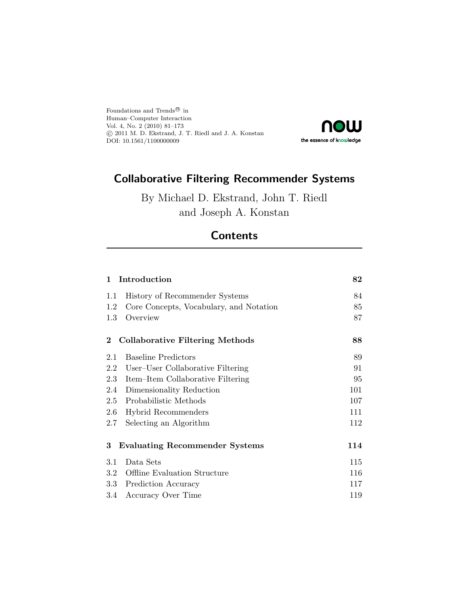Foundations and Trends $^{\textcircled{\tiny{\textregistered}}}$  in Human–Computer Interaction Vol. 4, No. 2 (2010) 81–173  $\copyright$  2011 M. D. Ekstrand, J. T. Riedl and J. A. Konstan DOI: 10.1561/1100000009



## **Collaborative Filtering Recommender Systems**

By Michael D. Ekstrand, John T. Riedl and Joseph A. Konstan

## **Contents**

| Introduction<br>1 | 82                                      |     |
|-------------------|-----------------------------------------|-----|
| 1.1               | History of Recommender Systems          | 84  |
| 1.2               | Core Concepts, Vocabulary, and Notation | 85  |
| 1.3               | Overview                                | 87  |
| $\bf{2}$          | <b>Collaborative Filtering Methods</b>  | 88  |
| 2.1               | <b>Baseline Predictors</b>              | 89  |
| $2.2\,$           | User–User Collaborative Filtering       | 91  |
| 2.3               | Item-Item Collaborative Filtering       | 95  |
| 2.4               | Dimensionality Reduction                | 101 |
| 2.5               | Probabilistic Methods                   | 107 |
| 2.6               | Hybrid Recommenders                     | 111 |
| 2.7               | Selecting an Algorithm                  | 112 |
| 3                 | <b>Evaluating Recommender Systems</b>   | 114 |
| 3.1               | Data Sets                               | 115 |
| 3.2 <sub>1</sub>  | <b>Offline Evaluation Structure</b>     | 116 |
| $3.3\,$           | Prediction Accuracy                     | 117 |
| 3.4               | Accuracy Over Time                      | 119 |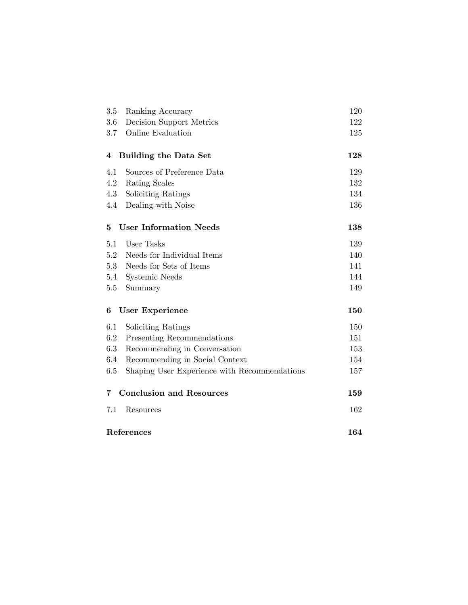| 3.5                                  | Ranking Accuracy                             | 120 |
|--------------------------------------|----------------------------------------------|-----|
| 3.6                                  | Decision Support Metrics                     | 122 |
| 3.7                                  | Online Evaluation                            | 125 |
| 4                                    | <b>Building the Data Set</b>                 | 128 |
| 4.1                                  | Sources of Preference Data                   | 129 |
| 4.2                                  | Rating Scales                                | 132 |
| 4.3                                  | Soliciting Ratings                           | 134 |
| 4.4                                  | Dealing with Noise                           | 136 |
| 5                                    | <b>User Information Needs</b>                | 138 |
| 5.1                                  | User Tasks                                   | 139 |
| 5.2                                  | Needs for Individual Items                   | 140 |
| 5.3                                  | Needs for Sets of Items                      | 141 |
| 5.4                                  | Systemic Needs                               | 144 |
| $5.5\,$                              | Summary                                      | 149 |
| 6                                    | <b>User Experience</b>                       | 150 |
| 6.1                                  | Soliciting Ratings                           | 150 |
| 6.2                                  | Presenting Recommendations                   | 151 |
| 6.3                                  | Recommending in Conversation                 | 153 |
| 6.4                                  | Recommending in Social Context               | 154 |
| 6.5                                  | Shaping User Experience with Recommendations | 157 |
| <b>Conclusion and Resources</b><br>7 |                                              |     |
| 7.1                                  | Resources                                    | 162 |
| References                           |                                              | 164 |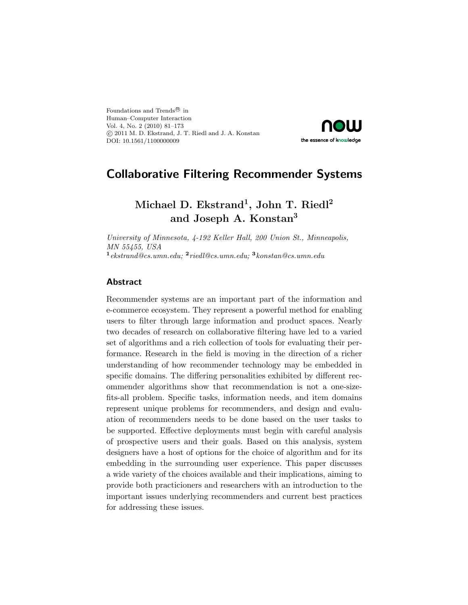Foundations and Trends<sup>®</sup> in Human–Computer Interaction Vol. 4, No. 2 (2010) 81–173 c 2011 M. D. Ekstrand, J. T. Riedl and J. A. Konstan DOI: 10.1561/1100000009



## **Collaborative Filtering Recommender Systems**

## Michael D. Ekstrand<sup>1</sup>, John T. Riedl<sup>2</sup> **and Joseph A. Konstan3**

*University of Minnesota, 4-192 Keller Hall, 200 Union St., Minneapolis, MN 55455, USA* **<sup>1</sup>***ekstrand@cs.umn.edu;* **<sup>2</sup>***riedl@cs.umn.edu;* **<sup>3</sup>***konstan@cs.umn.edu*

#### **Abstract**

Recommender systems are an important part of the information and e-commerce ecosystem. They represent a powerful method for enabling users to filter through large information and product spaces. Nearly two decades of research on collaborative filtering have led to a varied set of algorithms and a rich collection of tools for evaluating their performance. Research in the field is moving in the direction of a richer understanding of how recommender technology may be embedded in specific domains. The differing personalities exhibited by different recommender algorithms show that recommendation is not a one-sizefits-all problem. Specific tasks, information needs, and item domains represent unique problems for recommenders, and design and evaluation of recommenders needs to be done based on the user tasks to be supported. Effective deployments must begin with careful analysis of prospective users and their goals. Based on this analysis, system designers have a host of options for the choice of algorithm and for its embedding in the surrounding user experience. This paper discusses a wide variety of the choices available and their implications, aiming to provide both practicioners and researchers with an introduction to the important issues underlying recommenders and current best practices for addressing these issues.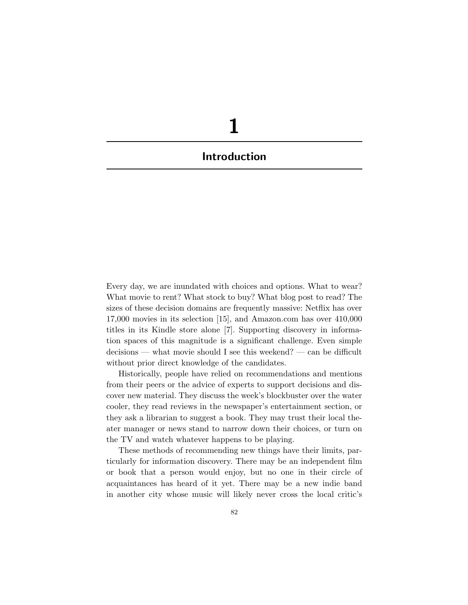# **1 Introduction**

Every day, we are inundated with choices and options. What to wear? What movie to rent? What stock to buy? What blog post to read? The sizes of these decision domains are frequently massive: Netflix has over 17,000 movies in its selection [15], and Amazon.com has over 410,000 titles in its Kindle store alone [7]. Supporting discovery in information spaces of this magnitude is a significant challenge. Even simple decisions — what movie should I see this weekend? — can be difficult without prior direct knowledge of the candidates.

Historically, people have relied on recommendations and mentions from their peers or the advice of experts to support decisions and discover new material. They discuss the week's blockbuster over the water cooler, they read reviews in the newspaper's entertainment section, or they ask a librarian to suggest a book. They may trust their local theater manager or news stand to narrow down their choices, or turn on the TV and watch whatever happens to be playing.

These methods of recommending new things have their limits, particularly for information discovery. There may be an independent film or book that a person would enjoy, but no one in their circle of acquaintances has heard of it yet. There may be a new indie band in another city whose music will likely never cross the local critic's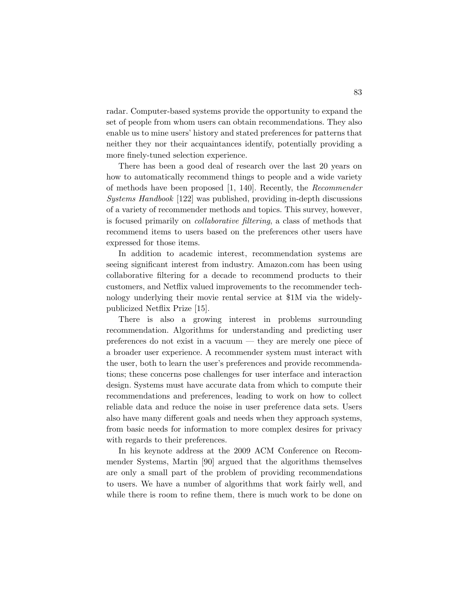radar. Computer-based systems provide the opportunity to expand the set of people from whom users can obtain recommendations. They also enable us to mine users' history and stated preferences for patterns that neither they nor their acquaintances identify, potentially providing a more finely-tuned selection experience.

There has been a good deal of research over the last 20 years on how to automatically recommend things to people and a wide variety of methods have been proposed [1, 140]. Recently, the *Recommender Systems Handbook* [122] was published, providing in-depth discussions of a variety of recommender methods and topics. This survey, however, is focused primarily on *collaborative filtering*, a class of methods that recommend items to users based on the preferences other users have expressed for those items.

In addition to academic interest, recommendation systems are seeing significant interest from industry. Amazon.com has been using collaborative filtering for a decade to recommend products to their customers, and Netflix valued improvements to the recommender technology underlying their movie rental service at \$1M via the widelypublicized Netflix Prize [15].

There is also a growing interest in problems surrounding recommendation. Algorithms for understanding and predicting user preferences do not exist in a vacuum — they are merely one piece of a broader user experience. A recommender system must interact with the user, both to learn the user's preferences and provide recommendations; these concerns pose challenges for user interface and interaction design. Systems must have accurate data from which to compute their recommendations and preferences, leading to work on how to collect reliable data and reduce the noise in user preference data sets. Users also have many different goals and needs when they approach systems, from basic needs for information to more complex desires for privacy with regards to their preferences.

In his keynote address at the 2009 ACM Conference on Recommender Systems, Martin [90] argued that the algorithms themselves are only a small part of the problem of providing recommendations to users. We have a number of algorithms that work fairly well, and while there is room to refine them, there is much work to be done on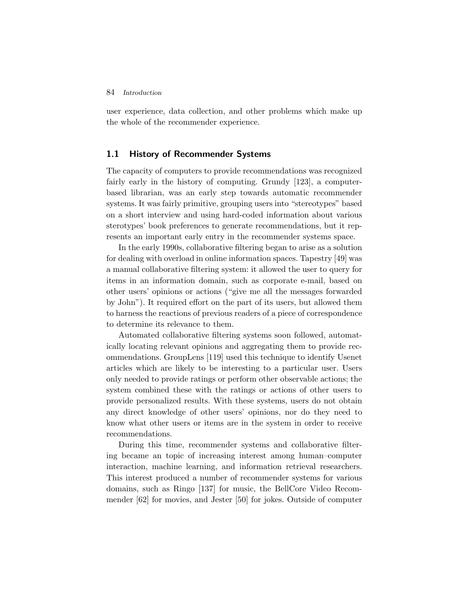#### 84 *Introduction*

user experience, data collection, and other problems which make up the whole of the recommender experience.

#### **1.1 History of Recommender Systems**

The capacity of computers to provide recommendations was recognized fairly early in the history of computing. Grundy [123], a computerbased librarian, was an early step towards automatic recommender systems. It was fairly primitive, grouping users into "stereotypes" based on a short interview and using hard-coded information about various sterotypes' book preferences to generate recommendations, but it represents an important early entry in the recommender systems space.

In the early 1990s, collaborative filtering began to arise as a solution for dealing with overload in online information spaces. Tapestry [49] was a manual collaborative filtering system: it allowed the user to query for items in an information domain, such as corporate e-mail, based on other users' opinions or actions ("give me all the messages forwarded by John"). It required effort on the part of its users, but allowed them to harness the reactions of previous readers of a piece of correspondence to determine its relevance to them.

Automated collaborative filtering systems soon followed, automatically locating relevant opinions and aggregating them to provide recommendations. GroupLens [119] used this technique to identify Usenet articles which are likely to be interesting to a particular user. Users only needed to provide ratings or perform other observable actions; the system combined these with the ratings or actions of other users to provide personalized results. With these systems, users do not obtain any direct knowledge of other users' opinions, nor do they need to know what other users or items are in the system in order to receive recommendations.

During this time, recommender systems and collaborative filtering became an topic of increasing interest among human–computer interaction, machine learning, and information retrieval researchers. This interest produced a number of recommender systems for various domains, such as Ringo [137] for music, the BellCore Video Recommender [62] for movies, and Jester [50] for jokes. Outside of computer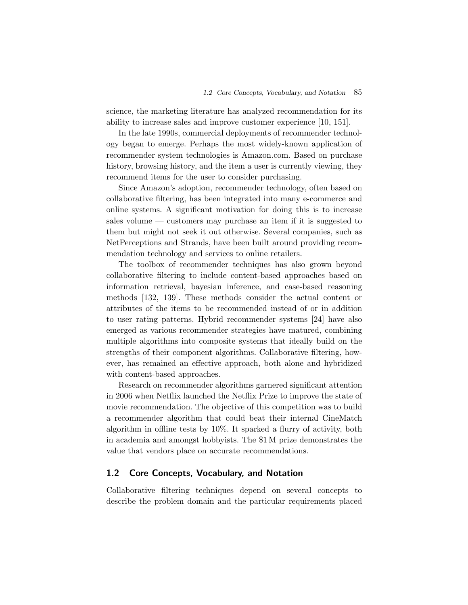science, the marketing literature has analyzed recommendation for its ability to increase sales and improve customer experience [10, 151].

In the late 1990s, commercial deployments of recommender technology began to emerge. Perhaps the most widely-known application of recommender system technologies is Amazon.com. Based on purchase history, browsing history, and the item a user is currently viewing, they recommend items for the user to consider purchasing.

Since Amazon's adoption, recommender technology, often based on collaborative filtering, has been integrated into many e-commerce and online systems. A significant motivation for doing this is to increase sales volume — customers may purchase an item if it is suggested to them but might not seek it out otherwise. Several companies, such as NetPerceptions and Strands, have been built around providing recommendation technology and services to online retailers.

The toolbox of recommender techniques has also grown beyond collaborative filtering to include content-based approaches based on information retrieval, bayesian inference, and case-based reasoning methods [132, 139]. These methods consider the actual content or attributes of the items to be recommended instead of or in addition to user rating patterns. Hybrid recommender systems [24] have also emerged as various recommender strategies have matured, combining multiple algorithms into composite systems that ideally build on the strengths of their component algorithms. Collaborative filtering, however, has remained an effective approach, both alone and hybridized with content-based approaches.

Research on recommender algorithms garnered significant attention in 2006 when Netflix launched the Netflix Prize to improve the state of movie recommendation. The objective of this competition was to build a recommender algorithm that could beat their internal CineMatch algorithm in offline tests by 10%. It sparked a flurry of activity, both in academia and amongst hobbyists. The \$1 M prize demonstrates the value that vendors place on accurate recommendations.

#### **1.2 Core Concepts, Vocabulary, and Notation**

Collaborative filtering techniques depend on several concepts to describe the problem domain and the particular requirements placed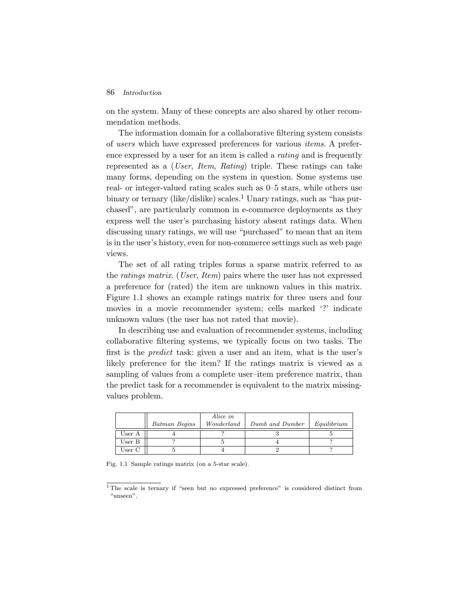#### 86 *Introduction*

on the system. Many of these concepts are also shared by other recommendation methods.

The information domain for a collaborative filtering system consists of *users* which have expressed preferences for various *items*. A preference expressed by a user for an item is called a *rating* and is frequently represented as a (*User*, *Item*, *Rating*) triple. These ratings can take many forms, depending on the system in question. Some systems use real- or integer-valued rating scales such as 0–5 stars, while others use binary or ternary (like/dislike) scales.<sup>1</sup> Unary ratings, such as "has purchased", are particularly common in e-commerce deployments as they express well the user's purchasing history absent ratings data. When discussing unary ratings, we will use "purchased" to mean that an item is in the user's history, even for non-commerce settings such as web page views.

The set of all rating triples forms a sparse matrix referred to as the *ratings matrix*. (*User*, *Item*) pairs where the user has not expressed a preference for (rated) the item are unknown values in this matrix. Figure 1.1 shows an example ratings matrix for three users and four movies in a movie recommender system; cells marked '?' indicate unknown values (the user has not rated that movie).

In describing use and evaluation of recommender systems, including collaborative filtering systems, we typically focus on two tasks. The first is the *predict* task: given a user and an item, what is the user's likely preference for the item? If the ratings matrix is viewed as a sampling of values from a complete user–item preference matrix, than the predict task for a recommender is equivalent to the matrix missingvalues problem.

|        | Batman Begins | Alice in<br>Wonderland | Dumb and Dumber | Equilibrium |
|--------|---------------|------------------------|-----------------|-------------|
| User A |               |                        |                 |             |
| User B |               |                        |                 |             |
| User C |               |                        |                 |             |

Fig. 1.1 Sample ratings matrix (on a 5-star scale).

<sup>&</sup>lt;sup>1</sup>The scale is ternary if "seen but no expressed preference" is considered distinct from "unseen".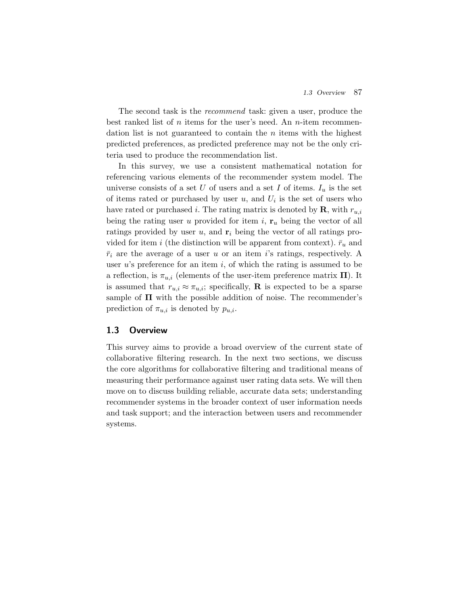The second task is the *recommend* task: given a user, produce the best ranked list of  $n$  items for the user's need. An  $n$ -item recommendation list is not guaranteed to contain the  $n$  items with the highest predicted preferences, as predicted preference may not be the only criteria used to produce the recommendation list.

In this survey, we use a consistent mathematical notation for referencing various elements of the recommender system model. The universe consists of a set U of users and a set I of items.  $I_u$  is the set of items rated or purchased by user  $u$ , and  $U_i$  is the set of users who have rated or purchased i. The rating matrix is denoted by  $\mathbf{R}$ , with  $r_{u,i}$ being the rating user u provided for item i,  $\mathbf{r}_u$  being the vector of all ratings provided by user  $u$ , and  $\mathbf{r}_i$  being the vector of all ratings provided for item i (the distinction will be apparent from context).  $\bar{r}_u$  and  $\bar{r}_i$  are the average of a user u or an item is ratings, respectively. A user  $u$ 's preference for an item  $i$ , of which the rating is assumed to be a reflection, is  $\pi_{u,i}$  (elements of the user-item preference matrix **Π**). It is assumed that  $r_{u,i} \approx \pi_{u,i}$ ; specifically, **R** is expected to be a sparse sample of **Π** with the possible addition of noise. The recommender's prediction of  $\pi_{u,i}$  is denoted by  $p_{u,i}$ .

#### **1.3 Overview**

This survey aims to provide a broad overview of the current state of collaborative filtering research. In the next two sections, we discuss the core algorithms for collaborative filtering and traditional means of measuring their performance against user rating data sets. We will then move on to discuss building reliable, accurate data sets; understanding recommender systems in the broader context of user information needs and task support; and the interaction between users and recommender systems.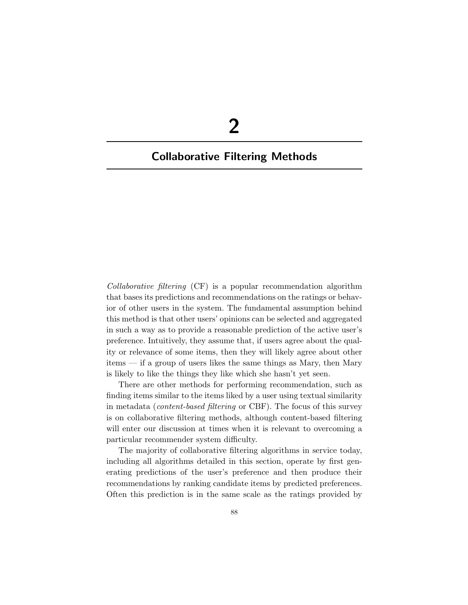## **2**

## **Collaborative Filtering Methods**

*Collaborative filtering* (CF) is a popular recommendation algorithm that bases its predictions and recommendations on the ratings or behavior of other users in the system. The fundamental assumption behind this method is that other users' opinions can be selected and aggregated in such a way as to provide a reasonable prediction of the active user's preference. Intuitively, they assume that, if users agree about the quality or relevance of some items, then they will likely agree about other items — if a group of users likes the same things as Mary, then Mary is likely to like the things they like which she hasn't yet seen.

There are other methods for performing recommendation, such as finding items similar to the items liked by a user using textual similarity in metadata (*content-based filtering* or CBF). The focus of this survey is on collaborative filtering methods, although content-based filtering will enter our discussion at times when it is relevant to overcoming a particular recommender system difficulty.

The majority of collaborative filtering algorithms in service today, including all algorithms detailed in this section, operate by first generating predictions of the user's preference and then produce their recommendations by ranking candidate items by predicted preferences. Often this prediction is in the same scale as the ratings provided by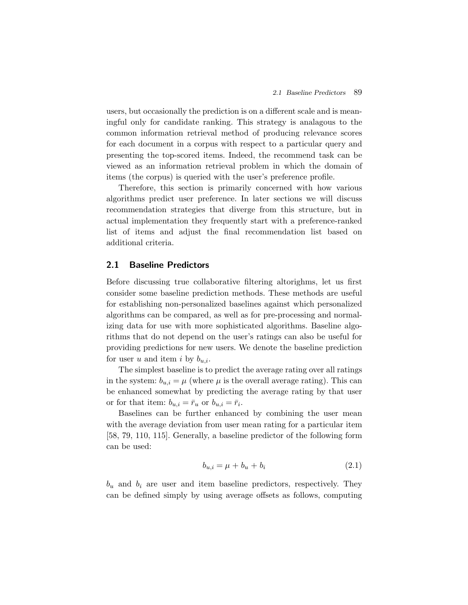users, but occasionally the prediction is on a different scale and is meaningful only for candidate ranking. This strategy is analagous to the common information retrieval method of producing relevance scores for each document in a corpus with respect to a particular query and presenting the top-scored items. Indeed, the recommend task can be viewed as an information retrieval problem in which the domain of items (the corpus) is queried with the user's preference profile.

Therefore, this section is primarily concerned with how various algorithms predict user preference. In later sections we will discuss recommendation strategies that diverge from this structure, but in actual implementation they frequently start with a preference-ranked list of items and adjust the final recommendation list based on additional criteria.

#### **2.1 Baseline Predictors**

Before discussing true collaborative filtering altorighms, let us first consider some baseline prediction methods. These methods are useful for establishing non-personalized baselines against which personalized algorithms can be compared, as well as for pre-processing and normalizing data for use with more sophisticated algorithms. Baseline algorithms that do not depend on the user's ratings can also be useful for providing predictions for new users. We denote the baseline prediction for user u and item i by  $b_{u,i}$ .

The simplest baseline is to predict the average rating over all ratings in the system:  $b_{u,i} = \mu$  (where  $\mu$  is the overall average rating). This can be enhanced somewhat by predicting the average rating by that user or for that item:  $b_{u,i} = \bar{r}_u$  or  $b_{u,i} = \bar{r}_i$ .

Baselines can be further enhanced by combining the user mean with the average deviation from user mean rating for a particular item [58, 79, 110, 115]. Generally, a baseline predictor of the following form can be used:

$$
b_{u,i} = \mu + b_u + b_i \tag{2.1}
$$

 $b_u$  and  $b_i$  are user and item baseline predictors, respectively. They can be defined simply by using average offsets as follows, computing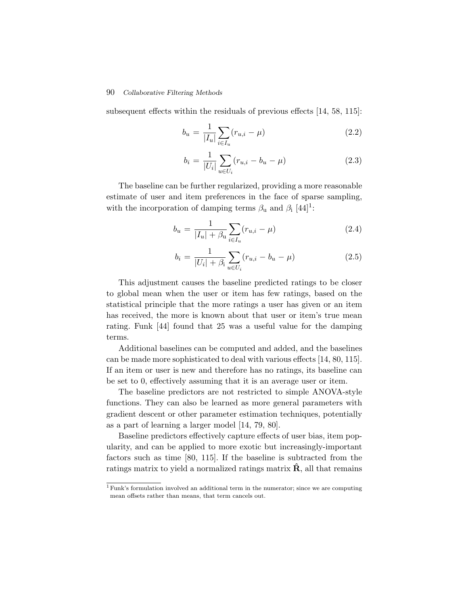subsequent effects within the residuals of previous effects [14, 58, 115]:

$$
b_u = \frac{1}{|I_u|} \sum_{i \in I_u} (r_{u,i} - \mu)
$$
\n(2.2)

$$
b_i = \frac{1}{|U_i|} \sum_{u \in U_i} (r_{u,i} - b_u - \mu)
$$
 (2.3)

The baseline can be further regularized, providing a more reasonable estimate of user and item preferences in the face of sparse sampling, with the incorporation of damping terms  $\beta_u$  and  $\beta_i$  [44]<sup>1</sup>:

$$
b_u = \frac{1}{|I_u| + \beta_u} \sum_{i \in I_u} (r_{u,i} - \mu)
$$
\n(2.4)

$$
b_i = \frac{1}{|U_i| + \beta_i} \sum_{u \in U_i} (r_{u,i} - b_u - \mu)
$$
 (2.5)

This adjustment causes the baseline predicted ratings to be closer to global mean when the user or item has few ratings, based on the statistical principle that the more ratings a user has given or an item has received, the more is known about that user or item's true mean rating. Funk [44] found that 25 was a useful value for the damping terms.

Additional baselines can be computed and added, and the baselines can be made more sophisticated to deal with various effects [14, 80, 115]. If an item or user is new and therefore has no ratings, its baseline can be set to 0, effectively assuming that it is an average user or item.

The baseline predictors are not restricted to simple ANOVA-style functions. They can also be learned as more general parameters with gradient descent or other parameter estimation techniques, potentially as a part of learning a larger model [14, 79, 80].

Baseline predictors effectively capture effects of user bias, item popularity, and can be applied to more exotic but increasingly-important factors such as time [80, 115]. If the baseline is subtracted from the ratings matrix to yield a normalized ratings matrix  $\hat{\mathbf{R}}$ , all that remains

 $1$  Funk's formulation involved an additional term in the numerator; since we are computing mean offsets rather than means, that term cancels out.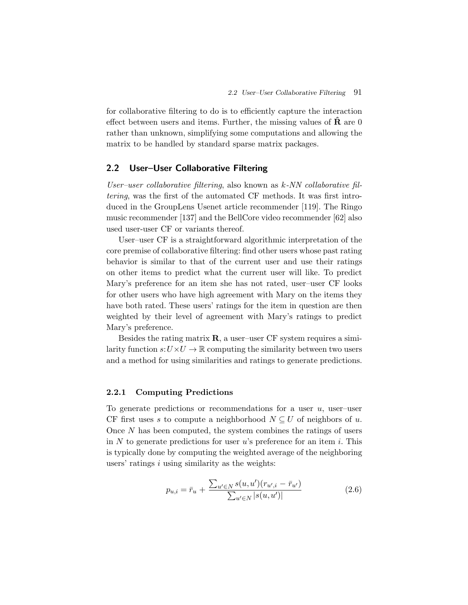for collaborative filtering to do is to efficiently capture the interaction effect between users and items. Further, the missing values of  $\hat{\mathbf{R}}$  are 0 rather than unknown, simplifying some computations and allowing the matrix to be handled by standard sparse matrix packages.

#### **2.2 User–User Collaborative Filtering**

*User–user collaborative filtering*, also known as k*-NN collaborative filtering*, was the first of the automated CF methods. It was first introduced in the GroupLens Usenet article recommender [119]. The Ringo music recommender [137] and the BellCore video recommender [62] also used user-user CF or variants thereof.

User–user CF is a straightforward algorithmic interpretation of the core premise of collaborative filtering: find other users whose past rating behavior is similar to that of the current user and use their ratings on other items to predict what the current user will like. To predict Mary's preference for an item she has not rated, user–user CF looks for other users who have high agreement with Mary on the items they have both rated. These users' ratings for the item in question are then weighted by their level of agreement with Mary's ratings to predict Mary's preference.

Besides the rating matrix **R**, a user–user CF system requires a similarity function  $s:U\times U\to\mathbb{R}$  computing the similarity between two users and a method for using similarities and ratings to generate predictions.

#### **2.2.1 Computing Predictions**

To generate predictions or recommendations for a user  $u$ , user-user CF first uses s to compute a neighborhood  $N \subseteq U$  of neighbors of u. Once N has been computed, the system combines the ratings of users in N to generate predictions for user  $u$ 's preference for an item i. This is typically done by computing the weighted average of the neighboring users' ratings  $i$  using similarity as the weights:

$$
p_{u,i} = \bar{r}_u + \frac{\sum_{u' \in N} s(u, u')(r_{u',i} - \bar{r}_{u'})}{\sum_{u' \in N} |s(u, u')|}
$$
(2.6)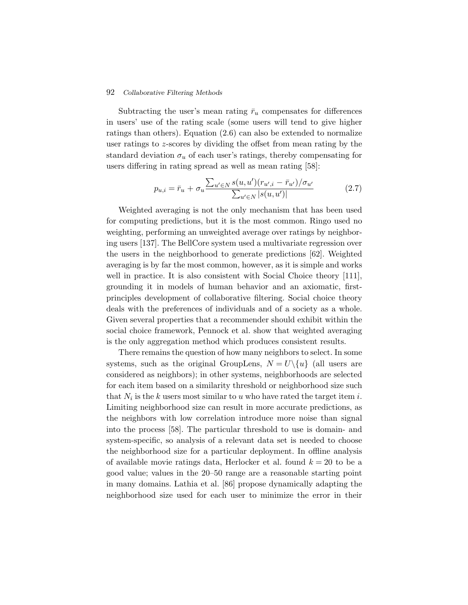Subtracting the user's mean rating  $\bar{r}_u$  compensates for differences in users' use of the rating scale (some users will tend to give higher ratings than others). Equation (2.6) can also be extended to normalize user ratings to z-scores by dividing the offset from mean rating by the standard deviation  $\sigma_u$  of each user's ratings, thereby compensating for users differing in rating spread as well as mean rating [58]:

$$
p_{u,i} = \bar{r}_u + \sigma_u \frac{\sum_{u' \in N} s(u, u') (r_{u',i} - \bar{r}_{u'}) / \sigma_{u'}}{\sum_{u' \in N} |s(u, u')|}
$$
(2.7)

Weighted averaging is not the only mechanism that has been used for computing predictions, but it is the most common. Ringo used no weighting, performing an unweighted average over ratings by neighboring users [137]. The BellCore system used a multivariate regression over the users in the neighborhood to generate predictions [62]. Weighted averaging is by far the most common, however, as it is simple and works well in practice. It is also consistent with Social Choice theory [111], grounding it in models of human behavior and an axiomatic, firstprinciples development of collaborative filtering. Social choice theory deals with the preferences of individuals and of a society as a whole. Given several properties that a recommender should exhibit within the social choice framework, Pennock et al. show that weighted averaging is the only aggregation method which produces consistent results.

There remains the question of how many neighbors to select. In some systems, such as the original GroupLens,  $N = U\setminus\{u\}$  (all users are considered as neighbors); in other systems, neighborhoods are selected for each item based on a similarity threshold or neighborhood size such that  $N_i$  is the k users most similar to u who have rated the target item i. Limiting neighborhood size can result in more accurate predictions, as the neighbors with low correlation introduce more noise than signal into the process [58]. The particular threshold to use is domain- and system-specific, so analysis of a relevant data set is needed to choose the neighborhood size for a particular deployment. In offline analysis of available movie ratings data, Herlocker et al. found  $k = 20$  to be a good value; values in the 20–50 range are a reasonable starting point in many domains. Lathia et al. [86] propose dynamically adapting the neighborhood size used for each user to minimize the error in their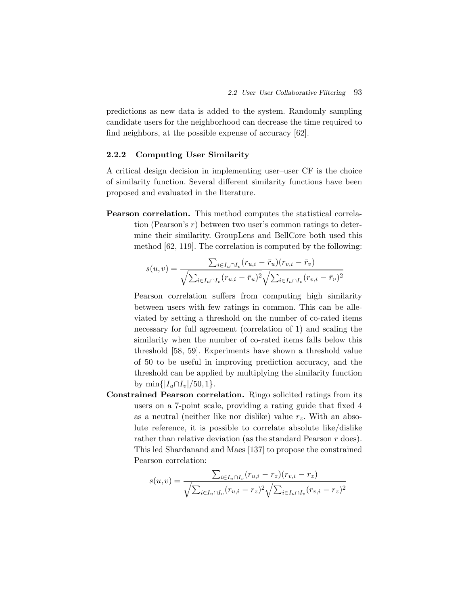predictions as new data is added to the system. Randomly sampling candidate users for the neighborhood can decrease the time required to find neighbors, at the possible expense of accuracy [62].

#### **2.2.2 Computing User Similarity**

A critical design decision in implementing user–user CF is the choice of similarity function. Several different similarity functions have been proposed and evaluated in the literature.

**Pearson correlation.** This method computes the statistical correlation (Pearson's r) between two user's common ratings to determine their similarity. GroupLens and BellCore both used this method [62, 119]. The correlation is computed by the following:

$$
s(u,v) = \frac{\sum_{i \in I_u \cap I_v} (r_{u,i} - \bar{r}_u)(r_{v,i} - \bar{r}_v)}{\sqrt{\sum_{i \in I_u \cap I_v} (r_{u,i} - \bar{r}_u)^2} \sqrt{\sum_{i \in I_u \cap I_v} (r_{v,i} - \bar{r}_v)^2}}
$$

Pearson correlation suffers from computing high similarity between users with few ratings in common. This can be alleviated by setting a threshold on the number of co-rated items necessary for full agreement (correlation of 1) and scaling the similarity when the number of co-rated items falls below this threshold [58, 59]. Experiments have shown a threshold value of 50 to be useful in improving prediction accuracy, and the threshold can be applied by multiplying the similarity function by  $\min\{|I_u \cap I_v|/50,1\}.$ 

**Constrained Pearson correlation.** Ringo solicited ratings from its users on a 7-point scale, providing a rating guide that fixed 4 as a neutral (neither like nor dislike) value  $r<sub>z</sub>$ . With an absolute reference, it is possible to correlate absolute like/dislike rather than relative deviation (as the standard Pearson r does). This led Shardanand and Maes [137] to propose the constrained Pearson correlation:

$$
s(u,v) = \frac{\sum_{i \in I_u \cap I_v} (r_{u,i} - r_z)(r_{v,i} - r_z)}{\sqrt{\sum_{i \in I_u \cap I_v} (r_{u,i} - r_z)^2} \sqrt{\sum_{i \in I_u \cap I_v} (r_{v,i} - r_z)^2}}
$$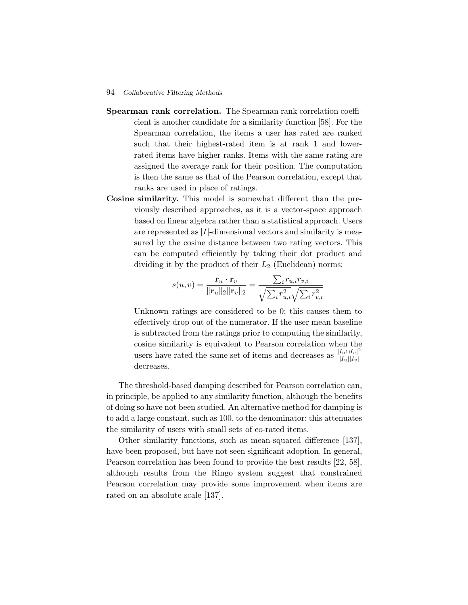- **Spearman rank correlation.** The Spearman rank correlation coefficient is another candidate for a similarity function [58]. For the Spearman correlation, the items a user has rated are ranked such that their highest-rated item is at rank 1 and lowerrated items have higher ranks. Items with the same rating are assigned the average rank for their position. The computation is then the same as that of the Pearson correlation, except that ranks are used in place of ratings.
- **Cosine similarity.** This model is somewhat different than the previously described approaches, as it is a vector-space approach based on linear algebra rather than a statistical approach. Users are represented as  $|I|$ -dimensional vectors and similarity is measured by the cosine distance between two rating vectors. This can be computed efficiently by taking their dot product and dividing it by the product of their  $L_2$  (Euclidean) norms:

$$
s(u,v) = \frac{\mathbf{r}_u \cdot \mathbf{r}_v}{\|\mathbf{r}_u\|_2 \|\mathbf{r}_v\|_2} = \frac{\sum_i r_{u,i} r_{v,i}}{\sqrt{\sum_i r_{u,i}^2} \sqrt{\sum_i r_{v,i}^2}}
$$

Unknown ratings are considered to be 0; this causes them to effectively drop out of the numerator. If the user mean baseline is subtracted from the ratings prior to computing the similarity, cosine similarity is equivalent to Pearson correlation when the users have rated the same set of items and decreases as  $\frac{|I_u \cap I_v|^2}{|I||I||}$  $|I_u||I_v|$ decreases.

The threshold-based damping described for Pearson correlation can, in principle, be applied to any similarity function, although the benefits of doing so have not been studied. An alternative method for damping is to add a large constant, such as 100, to the denominator; this attenuates the similarity of users with small sets of co-rated items.

Other similarity functions, such as mean-squared difference [137], have been proposed, but have not seen significant adoption. In general, Pearson correlation has been found to provide the best results [22, 58], although results from the Ringo system suggest that constrained Pearson correlation may provide some improvement when items are rated on an absolute scale [137].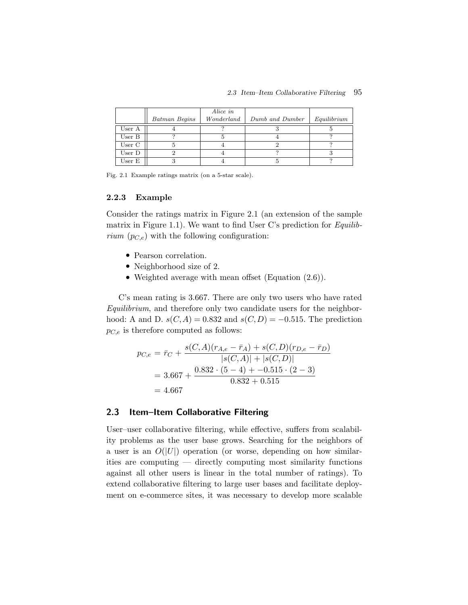|        |               | Alice in          |                 |             |
|--------|---------------|-------------------|-----------------|-------------|
|        | Batman Begins | <i>Wonderland</i> | Dumb and Dumber | Equilibrium |
| User A |               |                   |                 |             |
| User B |               |                   |                 |             |
| User C |               |                   |                 |             |
| User D |               |                   |                 |             |
| User E |               |                   |                 |             |

Fig. 2.1 Example ratings matrix (on a 5-star scale).

#### **2.2.3 Example**

Consider the ratings matrix in Figure 2.1 (an extension of the sample matrix in Figure 1.1). We want to find User C's prediction for *Equilibrium*  $(p_{C,e})$  with the following configuration:

- Pearson correlation.
- Neighborhood size of 2.
- Weighted average with mean offset (Equation (2.6)).

C's mean rating is 3.667. There are only two users who have rated *Equilibrium*, and therefore only two candidate users for the neighborhood: A and D.  $s(C, A) = 0.832$  and  $s(C, D) = -0.515$ . The prediction  $p_{C,e}$  is therefore computed as follows:

$$
p_{C,e} = \bar{r}_C + \frac{s(C,A)(r_{A,e} - \bar{r}_A) + s(C,D)(r_{D,e} - \bar{r}_D)}{|s(C,A)| + |s(C,D)|}
$$
  
= 3.667 +  $\frac{0.832 \cdot (5-4) + -0.515 \cdot (2-3)}{0.832 + 0.515}$   
= 4.667

#### **2.3 Item–Item Collaborative Filtering**

User–user collaborative filtering, while effective, suffers from scalability problems as the user base grows. Searching for the neighbors of a user is an  $O(|U|)$  operation (or worse, depending on how similarities are computing — directly computing most similarity functions against all other users is linear in the total number of ratings). To extend collaborative filtering to large user bases and facilitate deployment on e-commerce sites, it was necessary to develop more scalable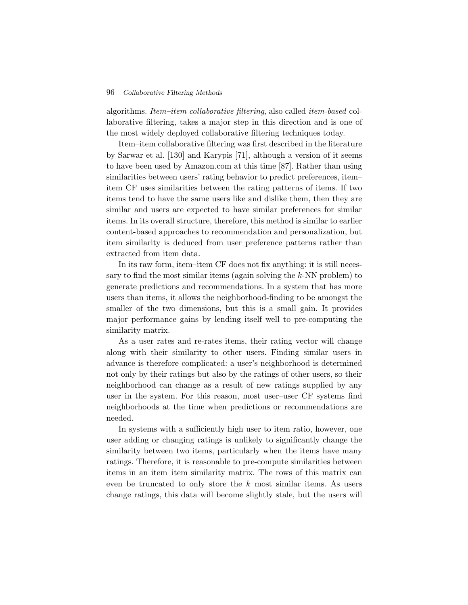algorithms. *Item–item collaborative filtering*, also called *item-based* collaborative filtering, takes a major step in this direction and is one of the most widely deployed collaborative filtering techniques today.

Item–item collaborative filtering was first described in the literature by Sarwar et al. [130] and Karypis [71], although a version of it seems to have been used by Amazon.com at this time [87]. Rather than using similarities between users' rating behavior to predict preferences, item– item CF uses similarities between the rating patterns of items. If two items tend to have the same users like and dislike them, then they are similar and users are expected to have similar preferences for similar items. In its overall structure, therefore, this method is similar to earlier content-based approaches to recommendation and personalization, but item similarity is deduced from user preference patterns rather than extracted from item data.

In its raw form, item–item CF does not fix anything: it is still necessary to find the most similar items (again solving the  $k$ -NN problem) to generate predictions and recommendations. In a system that has more users than items, it allows the neighborhood-finding to be amongst the smaller of the two dimensions, but this is a small gain. It provides major performance gains by lending itself well to pre-computing the similarity matrix.

As a user rates and re-rates items, their rating vector will change along with their similarity to other users. Finding similar users in advance is therefore complicated: a user's neighborhood is determined not only by their ratings but also by the ratings of other users, so their neighborhood can change as a result of new ratings supplied by any user in the system. For this reason, most user–user CF systems find neighborhoods at the time when predictions or recommendations are needed.

In systems with a sufficiently high user to item ratio, however, one user adding or changing ratings is unlikely to significantly change the similarity between two items, particularly when the items have many ratings. Therefore, it is reasonable to pre-compute similarities between items in an item–item similarity matrix. The rows of this matrix can even be truncated to only store the k most similar items. As users change ratings, this data will become slightly stale, but the users will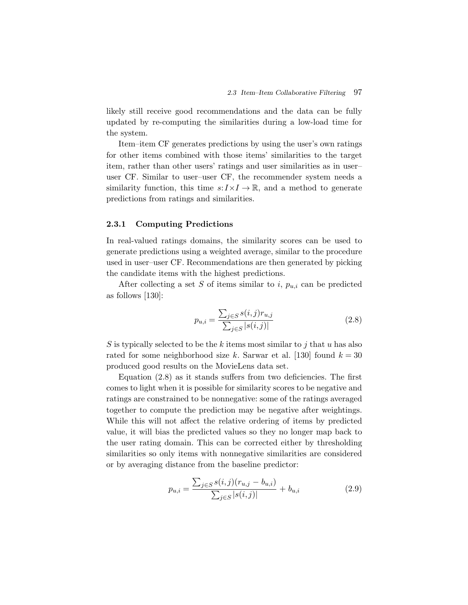likely still receive good recommendations and the data can be fully updated by re-computing the similarities during a low-load time for the system.

Item–item CF generates predictions by using the user's own ratings for other items combined with those items' similarities to the target item, rather than other users' ratings and user similarities as in user– user CF. Similar to user–user CF, the recommender system needs a similarity function, this time  $s: I \times I \to \mathbb{R}$ , and a method to generate predictions from ratings and similarities.

#### **2.3.1 Computing Predictions**

In real-valued ratings domains, the similarity scores can be used to generate predictions using a weighted average, similar to the procedure used in user–user CF. Recommendations are then generated by picking the candidate items with the highest predictions.

After collecting a set S of items similar to i,  $p_{u,i}$  can be predicted as follows [130]:

$$
p_{u,i} = \frac{\sum_{j \in S} s(i,j) r_{u,j}}{\sum_{j \in S} |s(i,j)|}
$$
(2.8)

S is typically selected to be the k items most similar to j that u has also rated for some neighborhood size k. Sarwar et al. [130] found  $k = 30$ produced good results on the MovieLens data set.

Equation (2.8) as it stands suffers from two deficiencies. The first comes to light when it is possible for similarity scores to be negative and ratings are constrained to be nonnegative: some of the ratings averaged together to compute the prediction may be negative after weightings. While this will not affect the relative ordering of items by predicted value, it will bias the predicted values so they no longer map back to the user rating domain. This can be corrected either by thresholding similarities so only items with nonnegative similarities are considered or by averaging distance from the baseline predictor:

$$
p_{u,i} = \frac{\sum_{j \in S} s(i,j)(r_{u,j} - b_{u,i})}{\sum_{j \in S} |s(i,j)|} + b_{u,i}
$$
(2.9)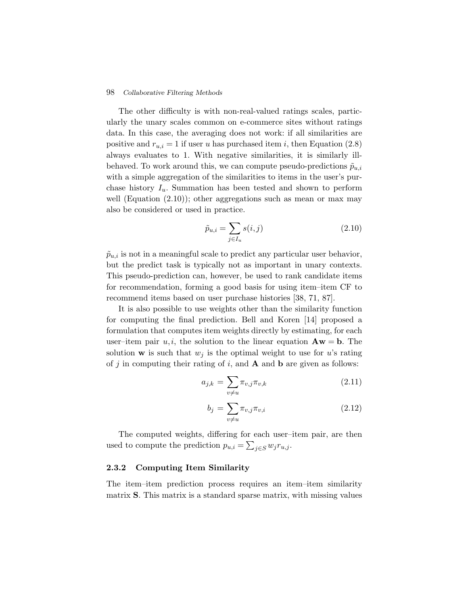The other difficulty is with non-real-valued ratings scales, particularly the unary scales common on e-commerce sites without ratings data. In this case, the averaging does not work: if all similarities are positive and  $r_{u,i} = 1$  if user u has purchased item i, then Equation (2.8) always evaluates to 1. With negative similarities, it is similarly illbehaved. To work around this, we can compute pseudo-predictions  $\tilde{p}_{u,i}$ with a simple aggregation of the similarities to items in the user's purchase history  $I_u$ . Summation has been tested and shown to perform well (Equation (2.10)); other aggregations such as mean or max may also be considered or used in practice.

$$
\tilde{p}_{u,i} = \sum_{j \in I_u} s(i,j) \tag{2.10}
$$

 $\tilde{p}_{u,i}$  is not in a meaningful scale to predict any particular user behavior, but the predict task is typically not as important in unary contexts. This pseudo-prediction can, however, be used to rank candidate items for recommendation, forming a good basis for using item–item CF to recommend items based on user purchase histories [38, 71, 87].

It is also possible to use weights other than the similarity function for computing the final prediction. Bell and Koren [14] proposed a formulation that computes item weights directly by estimating, for each user–item pair  $u, i$ , the solution to the linear equation  $\mathbf{A}\mathbf{w} = \mathbf{b}$ . The solution **w** is such that  $w_i$  is the optimal weight to use for u's rating of j in computing their rating of i, and  $\bf{A}$  and  $\bf{b}$  are given as follows:

$$
a_{j,k} = \sum_{v \neq u} \pi_{v,j} \pi_{v,k} \tag{2.11}
$$

$$
b_j = \sum_{v \neq u} \pi_{v,j} \pi_{v,i} \tag{2.12}
$$

The computed weights, differing for each user–item pair, are then used to compute the prediction  $p_{u,i} = \sum_{j \in S} w_j r_{u,j}$ .

#### **2.3.2 Computing Item Similarity**

The item–item prediction process requires an item–item similarity matrix **S**. This matrix is a standard sparse matrix, with missing values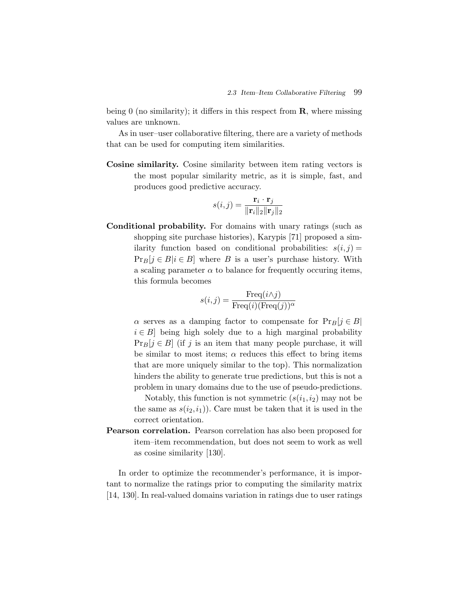being 0 (no similarity); it differs in this respect from **R**, where missing values are unknown.

As in user–user collaborative filtering, there are a variety of methods that can be used for computing item similarities.

**Cosine similarity.** Cosine similarity between item rating vectors is the most popular similarity metric, as it is simple, fast, and produces good predictive accuracy.

$$
s(i,j) = \frac{\mathbf{r}_i \cdot \mathbf{r}_j}{\|\mathbf{r}_i\|_2 \|\mathbf{r}_j\|_2}
$$

**Conditional probability.** For domains with unary ratings (such as shopping site purchase histories), Karypis [71] proposed a similarity function based on conditional probabilities:  $s(i, j)$  $Pr_B[j \in B | i \in B]$  where B is a user's purchase history. With a scaling parameter  $\alpha$  to balance for frequently occuring items, this formula becomes

$$
s(i,j) = \frac{\text{Freq}(i \wedge j)}{\text{Freq}(i)(\text{Freq}(j))^{\alpha}}
$$

 $\alpha$  serves as a damping factor to compensate for  $Pr_B[j \in B]$  $i \in B$  being high solely due to a high marginal probability  $\Pr_B[j \in B]$  (if j is an item that many people purchase, it will be similar to most items;  $\alpha$  reduces this effect to bring items that are more uniquely similar to the top). This normalization hinders the ability to generate true predictions, but this is not a problem in unary domains due to the use of pseudo-predictions.

Notably, this function is not symmetric  $(s(i_1, i_2)$  may not be the same as  $s(i_2, i_1)$ . Care must be taken that it is used in the correct orientation.

**Pearson correlation.** Pearson correlation has also been proposed for item–item recommendation, but does not seem to work as well as cosine similarity [130].

In order to optimize the recommender's performance, it is important to normalize the ratings prior to computing the similarity matrix [14, 130]. In real-valued domains variation in ratings due to user ratings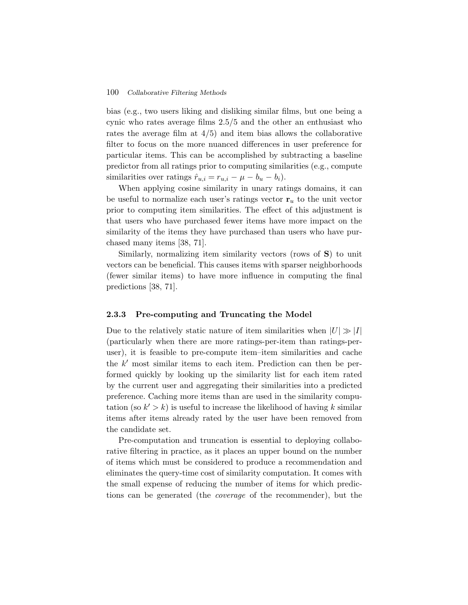bias (e.g., two users liking and disliking similar films, but one being a cynic who rates average films 2.5/5 and the other an enthusiast who rates the average film at  $4/5$ ) and item bias allows the collaborative filter to focus on the more nuanced differences in user preference for particular items. This can be accomplished by subtracting a baseline predictor from all ratings prior to computing similarities (e.g., compute similarities over ratings  $\hat{r}_{u,i} = r_{u,i} - \mu - b_u - b_i$ .

When applying cosine similarity in unary ratings domains, it can be useful to normalize each user's ratings vector  $\mathbf{r}_u$  to the unit vector prior to computing item similarities. The effect of this adjustment is that users who have purchased fewer items have more impact on the similarity of the items they have purchased than users who have purchased many items [38, 71].

Similarly, normalizing item similarity vectors (rows of **S**) to unit vectors can be beneficial. This causes items with sparser neighborhoods (fewer similar items) to have more influence in computing the final predictions [38, 71].

#### **2.3.3 Pre-computing and Truncating the Model**

Due to the relatively static nature of item similarities when  $|U|\gg|I|$ (particularly when there are more ratings-per-item than ratings-peruser), it is feasible to pre-compute item–item similarities and cache the  $k'$  most similar items to each item. Prediction can then be performed quickly by looking up the similarity list for each item rated by the current user and aggregating their similarities into a predicted preference. Caching more items than are used in the similarity computation (so  $k' > k$ ) is useful to increase the likelihood of having k similar items after items already rated by the user have been removed from the candidate set.

Pre-computation and truncation is essential to deploying collaborative filtering in practice, as it places an upper bound on the number of items which must be considered to produce a recommendation and eliminates the query-time cost of similarity computation. It comes with the small expense of reducing the number of items for which predictions can be generated (the *coverage* of the recommender), but the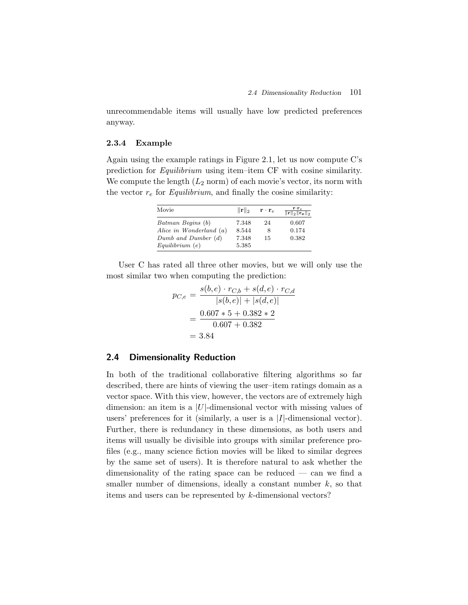unrecommendable items will usually have low predicted preferences anyway.

#### **2.3.4 Example**

Again using the example ratings in Figure 2.1, let us now compute C's prediction for *Equilibrium* using item–item CF with cosine similarity. We compute the length  $(L_2 \text{ norm})$  of each movie's vector, its norm with the vector  $r_e$  for *Equilibrium*, and finally the cosine similarity:

| Movie                   | $\ \mathbf{r}\ _2$ | $\mathbf{r} \cdot \mathbf{r}_e$ | $\mathbf{r} \cdot \mathbf{r}_e$<br>$\overline{\ \mathbf{r}\ _2\ \mathbf{r}_e\ _2}$ |
|-------------------------|--------------------|---------------------------------|------------------------------------------------------------------------------------|
| Batman Begins (b)       | 7.348              | 24                              | 0.607                                                                              |
| Alice in Wonderland (a) | 8.544              | 8                               | 0.174                                                                              |
| Dumb and Dumber $(d)$   | 7.348              | 15                              | 0.382                                                                              |
| Equilibrium(e)          | 5.385              |                                 |                                                                                    |

User C has rated all three other movies, but we will only use the most similar two when computing the prediction:

$$
p_{C,e} = \frac{s(b,e) \cdot r_{C,b} + s(d,e) \cdot r_{C,d}}{|s(b,e)| + |s(d,e)|}
$$
  
= 
$$
\frac{0.607 * 5 + 0.382 * 2}{0.607 + 0.382}
$$
  
= 3.84

#### **2.4 Dimensionality Reduction**

In both of the traditional collaborative filtering algorithms so far described, there are hints of viewing the user–item ratings domain as a vector space. With this view, however, the vectors are of extremely high dimension: an item is a  $|U|$ -dimensional vector with missing values of users' preferences for it (similarly, a user is a  $|I|$ -dimensional vector). Further, there is redundancy in these dimensions, as both users and items will usually be divisible into groups with similar preference profiles (e.g., many science fiction movies will be liked to similar degrees by the same set of users). It is therefore natural to ask whether the dimensionality of the rating space can be reduced — can we find a smaller number of dimensions, ideally a constant number  $k$ , so that items and users can be represented by k-dimensional vectors?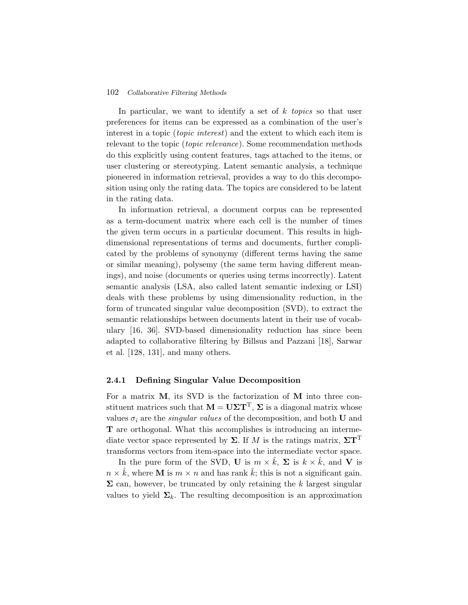In particular, we want to identify a set of k *topics* so that user preferences for items can be expressed as a combination of the user's interest in a topic (*topic interest*) and the extent to which each item is relevant to the topic (*topic relevance*). Some recommendation methods do this explicitly using content features, tags attached to the items, or user clustering or stereotyping. Latent semantic analysis, a technique pioneered in information retrieval, provides a way to do this decomposition using only the rating data. The topics are considered to be latent in the rating data.

In information retrieval, a document corpus can be represented as a term-document matrix where each cell is the number of times the given term occurs in a particular document. This results in highdimensional representations of terms and documents, further complicated by the problems of synonymy (different terms having the same or similar meaning), polysemy (the same term having different meanings), and noise (documents or queries using terms incorrectly). Latent semantic analysis (LSA, also called latent semantic indexing or LSI) deals with these problems by using dimensionality reduction, in the form of truncated singular value decomposition (SVD), to extract the semantic relationships between documents latent in their use of vocabulary [16, 36]. SVD-based dimensionality reduction has since been adapted to collaborative filtering by Billsus and Pazzani [18], Sarwar et al. [128, 131], and many others.

#### **2.4.1 Defining Singular Value Decomposition**

For a matrix **M**, its SVD is the factorization of **M** into three constituent matrices such that  $M = U\Sigma T^{T}$ ,  $\Sigma$  is a diagonal matrix whose values  $\sigma_i$  are the *singular values* of the decomposition, and both **U** and **T** are orthogonal. What this accomplishes is introducing an intermediate vector space represented by  $\Sigma$ . If M is the ratings matrix,  $\Sigma T^T$ transforms vectors from item-space into the intermediate vector space.

In the pure form of the SVD, **U** is  $m \times \hat{k}$ ,  $\Sigma$  is  $k \times \hat{k}$ , and **V** is  $n \times \hat{k}$ , where **M** is  $m \times n$  and has rank  $\hat{k}$ ; this is not a significant gain.  $\Sigma$  can, however, be truncated by only retaining the k largest singular values to yield  $\Sigma_k$ . The resulting decomposition is an approximation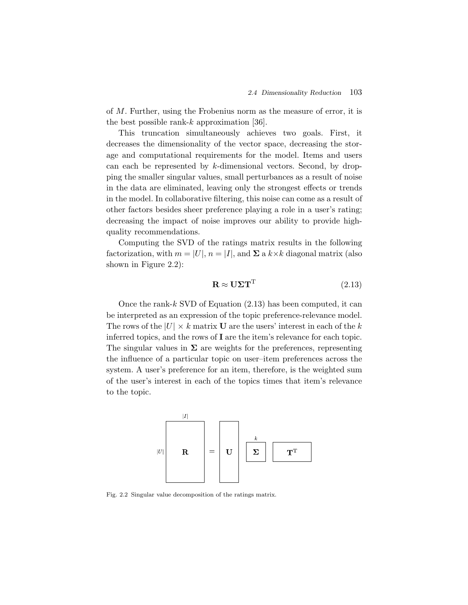of M. Further, using the Frobenius norm as the measure of error, it is the best possible rank- $k$  approximation [36].

This truncation simultaneously achieves two goals. First, it decreases the dimensionality of the vector space, decreasing the storage and computational requirements for the model. Items and users can each be represented by k-dimensional vectors. Second, by dropping the smaller singular values, small perturbances as a result of noise in the data are eliminated, leaving only the strongest effects or trends in the model. In collaborative filtering, this noise can come as a result of other factors besides sheer preference playing a role in a user's rating; decreasing the impact of noise improves our ability to provide highquality recommendations.

Computing the SVD of the ratings matrix results in the following factorization, with  $m = |U|$ ,  $n = |I|$ , and  $\Sigma$  a  $k \times k$  diagonal matrix (also shown in Figure 2.2):

$$
\mathbf{R} \approx \mathbf{U} \mathbf{\Sigma} \mathbf{T}^{\mathrm{T}} \tag{2.13}
$$

Once the rank- $k$  SVD of Equation  $(2.13)$  has been computed, it can be interpreted as an expression of the topic preference-relevance model. The rows of the  $|U| \times k$  matrix **U** are the users' interest in each of the k inferred topics, and the rows of **I** are the item's relevance for each topic. The singular values in  $\Sigma$  are weights for the preferences, representing the influence of a particular topic on user–item preferences across the system. A user's preference for an item, therefore, is the weighted sum of the user's interest in each of the topics times that item's relevance to the topic.



Fig. 2.2 Singular value decomposition of the ratings matrix.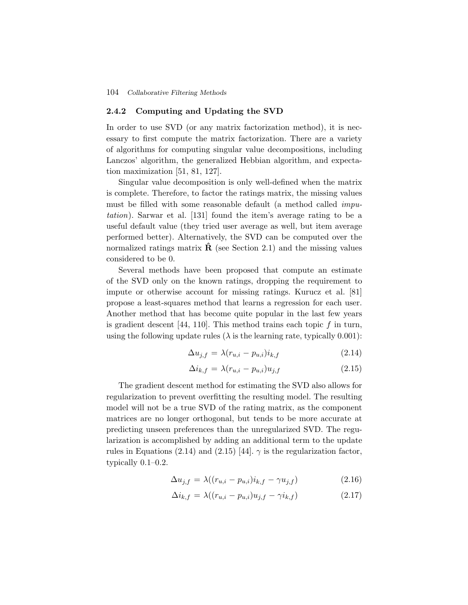#### **2.4.2 Computing and Updating the SVD**

In order to use SVD (or any matrix factorization method), it is necessary to first compute the matrix factorization. There are a variety of algorithms for computing singular value decompositions, including Lanczos' algorithm, the generalized Hebbian algorithm, and expectation maximization [51, 81, 127].

Singular value decomposition is only well-defined when the matrix is complete. Therefore, to factor the ratings matrix, the missing values must be filled with some reasonable default (a method called *imputation*). Sarwar et al. [131] found the item's average rating to be a useful default value (they tried user average as well, but item average performed better). Alternatively, the SVD can be computed over the normalized ratings matrix  $\mathbf{R}$  (see Section 2.1) and the missing values considered to be 0.

Several methods have been proposed that compute an estimate of the SVD only on the known ratings, dropping the requirement to impute or otherwise account for missing ratings. Kurucz et al. [81] propose a least-squares method that learns a regression for each user. Another method that has become quite popular in the last few years is gradient descent [44, 110]. This method trains each topic  $f$  in turn, using the following update rules  $(\lambda)$  is the learning rate, typically 0.001):

$$
\Delta u_{j,f} = \lambda (r_{u,i} - p_{u,i}) i_{k,f} \tag{2.14}
$$

$$
\Delta i_{k,f} = \lambda (r_{u,i} - p_{u,i}) u_{j,f} \tag{2.15}
$$

The gradient descent method for estimating the SVD also allows for regularization to prevent overfitting the resulting model. The resulting model will not be a true SVD of the rating matrix, as the component matrices are no longer orthogonal, but tends to be more accurate at predicting unseen preferences than the unregularized SVD. The regularization is accomplished by adding an additional term to the update rules in Equations (2.14) and (2.15) [44].  $\gamma$  is the regularization factor, typically 0.1–0.2.

$$
\Delta u_{j,f} = \lambda ((r_{u,i} - p_{u,i})i_{k,f} - \gamma u_{j,f})
$$
\n(2.16)

$$
\Delta i_{k,f} = \lambda((r_{u,i} - p_{u,i})u_{j,f} - \gamma i_{k,f})
$$
\n(2.17)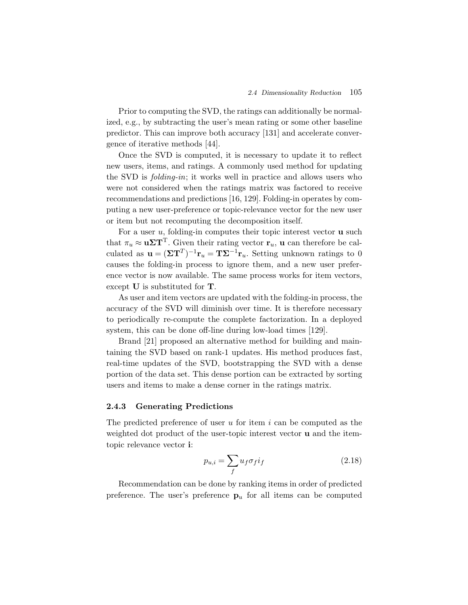Prior to computing the SVD, the ratings can additionally be normalized, e.g., by subtracting the user's mean rating or some other baseline predictor. This can improve both accuracy [131] and accelerate convergence of iterative methods [44].

Once the SVD is computed, it is necessary to update it to reflect new users, items, and ratings. A commonly used method for updating the SVD is *folding-in*; it works well in practice and allows users who were not considered when the ratings matrix was factored to receive recommendations and predictions [16, 129]. Folding-in operates by computing a new user-preference or topic-relevance vector for the new user or item but not recomputing the decomposition itself.

For a user u, folding-in computes their topic interest vector **u** such that  $\pi_u \approx \mathbf{u} \Sigma \mathbf{T}^T$ . Given their rating vector  $\mathbf{r}_u$ , **u** can therefore be calculated as  $\mathbf{u} = (\Sigma \mathbf{T}^T)^{-1} \mathbf{r}_u = \mathbf{T} \Sigma^{-1} \mathbf{r}_u$ . Setting unknown ratings to 0 causes the folding-in process to ignore them, and a new user preference vector is now available. The same process works for item vectors, except **U** is substituted for **T**.

As user and item vectors are updated with the folding-in process, the accuracy of the SVD will diminish over time. It is therefore necessary to periodically re-compute the complete factorization. In a deployed system, this can be done off-line during low-load times [129].

Brand [21] proposed an alternative method for building and maintaining the SVD based on rank-1 updates. His method produces fast, real-time updates of the SVD, bootstrapping the SVD with a dense portion of the data set. This dense portion can be extracted by sorting users and items to make a dense corner in the ratings matrix.

#### **2.4.3 Generating Predictions**

The predicted preference of user  $u$  for item  $i$  can be computed as the weighted dot product of the user-topic interest vector **u** and the itemtopic relevance vector **i**:

$$
p_{u,i} = \sum_{f} u_f \sigma_f i_f \tag{2.18}
$$

Recommendation can be done by ranking items in order of predicted preference. The user's preference  $\mathbf{p}_u$  for all items can be computed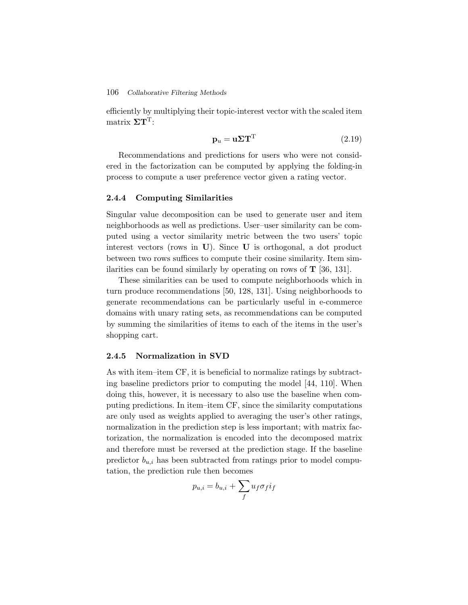efficiently by multiplying their topic-interest vector with the scaled item matrix **ΣT**T:

$$
\mathbf{p}_u = \mathbf{u} \Sigma \mathbf{T}^\mathrm{T} \tag{2.19}
$$

Recommendations and predictions for users who were not considered in the factorization can be computed by applying the folding-in process to compute a user preference vector given a rating vector.

#### **2.4.4 Computing Similarities**

Singular value decomposition can be used to generate user and item neighborhoods as well as predictions. User–user similarity can be computed using a vector similarity metric between the two users' topic interest vectors (rows in **U**). Since **U** is orthogonal, a dot product between two rows suffices to compute their cosine similarity. Item similarities can be found similarly by operating on rows of **T** [36, 131].

These similarities can be used to compute neighborhoods which in turn produce recommendations [50, 128, 131]. Using neighborhoods to generate recommendations can be particularly useful in e-commerce domains with unary rating sets, as recommendations can be computed by summing the similarities of items to each of the items in the user's shopping cart.

#### **2.4.5 Normalization in SVD**

As with item–item CF, it is beneficial to normalize ratings by subtracting baseline predictors prior to computing the model [44, 110]. When doing this, however, it is necessary to also use the baseline when computing predictions. In item–item CF, since the similarity computations are only used as weights applied to averaging the user's other ratings, normalization in the prediction step is less important; with matrix factorization, the normalization is encoded into the decomposed matrix and therefore must be reversed at the prediction stage. If the baseline predictor  $b_{u,i}$  has been subtracted from ratings prior to model computation, the prediction rule then becomes

$$
p_{u,i} = b_{u,i} + \sum_f u_f \sigma_f i_f
$$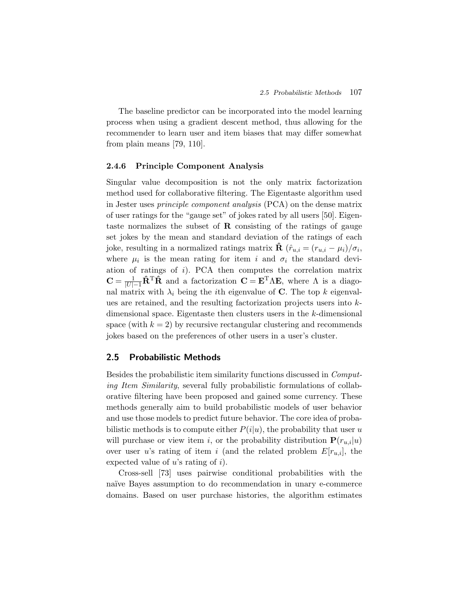The baseline predictor can be incorporated into the model learning process when using a gradient descent method, thus allowing for the recommender to learn user and item biases that may differ somewhat from plain means [79, 110].

#### **2.4.6 Principle Component Analysis**

Singular value decomposition is not the only matrix factorization method used for collaborative filtering. The Eigentaste algorithm used in Jester uses *principle component analysis* (PCA) on the dense matrix of user ratings for the "gauge set" of jokes rated by all users [50]. Eigentaste normalizes the subset of **R** consisting of the ratings of gauge set jokes by the mean and standard deviation of the ratings of each joke, resulting in a normalized ratings matrix  $\hat{\mathbf{R}}$   $(\hat{r}_{u,i} = (r_{u,i} - \mu_i)/\sigma_i$ , where  $\mu_i$  is the mean rating for item i and  $\sigma_i$  the standard deviation of ratings of  $i$ ). PCA then computes the correlation matrix  $\mathbf{C} = \frac{1}{|U| - 1} \hat{\mathbf{R}}^{\mathrm{T}} \hat{\mathbf{R}}$  and a factorization  $\mathbf{C} = \mathbf{E}^{\mathrm{T}} \Lambda \mathbf{E}$ , where  $\Lambda$  is a diagonal matrix with  $\lambda_i$  being the *i*th eigenvalue of **C**. The top k eigenvalues are retained, and the resulting factorization projects users into kdimensional space. Eigentaste then clusters users in the k-dimensional space (with  $k = 2$ ) by recursive rectangular clustering and recommends jokes based on the preferences of other users in a user's cluster.

#### **2.5 Probabilistic Methods**

Besides the probabilistic item similarity functions discussed in *Computing Item Similarity*, several fully probabilistic formulations of collaborative filtering have been proposed and gained some currency. These methods generally aim to build probabilistic models of user behavior and use those models to predict future behavior. The core idea of probabilistic methods is to compute either  $P(i|u)$ , the probability that user u will purchase or view item i, or the probability distribution  $P(r_{u,i}|u)$ over user u's rating of item i (and the related problem  $E[r_{u,i}]$ , the expected value of  $u$ 's rating of  $i$ ).

Cross-sell [73] uses pairwise conditional probabilities with the naïve Bayes assumption to do recommendation in unary e-commerce domains. Based on user purchase histories, the algorithm estimates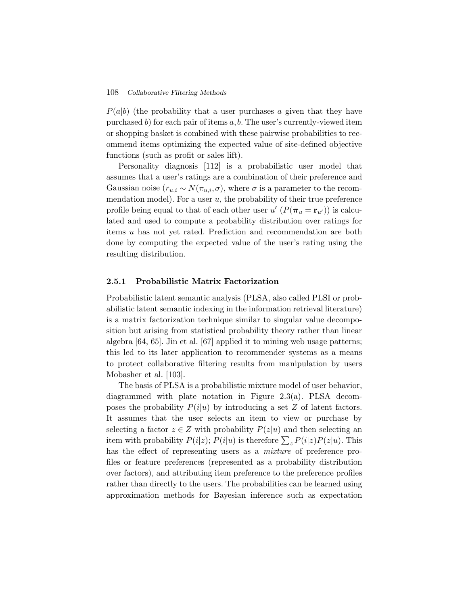$P(a|b)$  (the probability that a user purchases a given that they have purchased b) for each pair of items  $a, b$ . The user's currently-viewed item or shopping basket is combined with these pairwise probabilities to recommend items optimizing the expected value of site-defined objective functions (such as profit or sales lift).

Personality diagnosis [112] is a probabilistic user model that assumes that a user's ratings are a combination of their preference and Gaussian noise  $(r_{u,i} \sim N(\pi_{u,i}, \sigma))$ , where  $\sigma$  is a parameter to the recommendation model). For a user  $u$ , the probability of their true preference profile being equal to that of each other user  $u'$   $(P(\pi_u = \mathbf{r}_{u'}))$  is calculated and used to compute a probability distribution over ratings for items u has not yet rated. Prediction and recommendation are both done by computing the expected value of the user's rating using the resulting distribution.

#### **2.5.1 Probabilistic Matrix Factorization**

Probabilistic latent semantic analysis (PLSA, also called PLSI or probabilistic latent semantic indexing in the information retrieval literature) is a matrix factorization technique similar to singular value decomposition but arising from statistical probability theory rather than linear algebra [64, 65]. Jin et al. [67] applied it to mining web usage patterns; this led to its later application to recommender systems as a means to protect collaborative filtering results from manipulation by users Mobasher et al. [103].

The basis of PLSA is a probabilistic mixture model of user behavior, diagrammed with plate notation in Figure 2.3(a). PLSA decomposes the probability  $P(i|u)$  by introducing a set Z of latent factors. It assumes that the user selects an item to view or purchase by selecting a factor  $z \in Z$  with probability  $P(z|u)$  and then selecting an item with probability  $P(i|z)$ ;  $P(i|u)$  is therefore  $\sum_{z} P(i|z)P(z|u)$ . This has the effect of representing users as a *mixture* of preference profiles or feature preferences (represented as a probability distribution over factors), and attributing item preference to the preference profiles rather than directly to the users. The probabilities can be learned using approximation methods for Bayesian inference such as expectation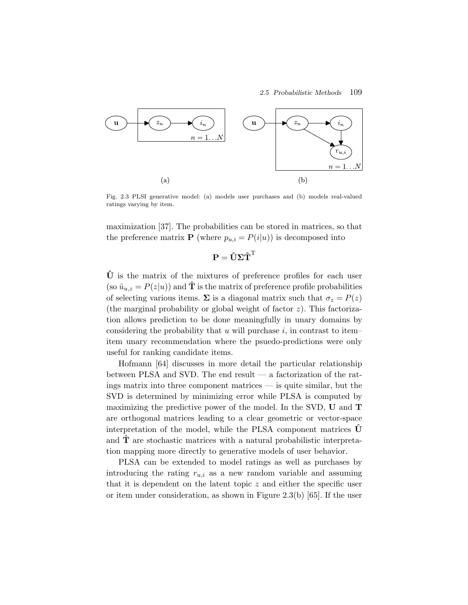

Fig. 2.3 PLSI generative model: (a) models user purchases and (b) models real-valued ratings varying by item.

maximization [37]. The probabilities can be stored in matrices, so that the preference matrix **P** (where  $p_{u,i} = P(i|u)$ ) is decomposed into

**P** =  $\hat{\mathbf{U}}\mathbf{\Sigma}\hat{\mathbf{T}}^T$ 

 $\hat{U}$  is the matrix of the mixtures of preference profiles for each user (so  $\hat{u}_{u,z} = P(z|u)$ ) and  $\hat{\mathbf{T}}$  is the matrix of preference profile probabilities of selecting various items.  $\Sigma$  is a diagonal matrix such that  $\sigma_z = P(z)$ (the marginal probability or global weight of factor  $z$ ). This factorization allows prediction to be done meaningfully in unary domains by considering the probability that  $u$  will purchase  $i$ , in contrast to item– item unary recommendation where the psuedo-predictions were only useful for ranking candidate items.

Hofmann [64] discusses in more detail the particular relationship between PLSA and SVD. The end result — a factorization of the ratings matrix into three component matrices — is quite similar, but the SVD is determined by minimizing error while PLSA is computed by maximizing the predictive power of the model. In the SVD, **U** and **T** are orthogonal matrices leading to a clear geometric or vector-space interpretation of the model, while the PLSA component matrices **Uˆ** and  $\tilde{T}$  are stochastic matrices with a natural probabilistic interpretation mapping more directly to generative models of user behavior.

PLSA can be extended to model ratings as well as purchases by introducing the rating  $r_{u,i}$  as a new random variable and assuming that it is dependent on the latent topic  $z$  and either the specific user or item under consideration, as shown in Figure 2.3(b) [65]. If the user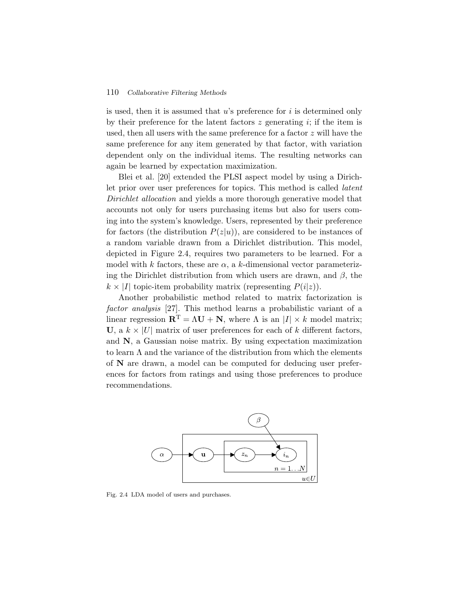is used, then it is assumed that  $u$ 's preference for  $i$  is determined only by their preference for the latent factors  $z$  generating  $i$ ; if the item is used, then all users with the same preference for a factor z will have the same preference for any item generated by that factor, with variation dependent only on the individual items. The resulting networks can again be learned by expectation maximization.

Blei et al. [20] extended the PLSI aspect model by using a Dirichlet prior over user preferences for topics. This method is called *latent Dirichlet allocation* and yields a more thorough generative model that accounts not only for users purchasing items but also for users coming into the system's knowledge. Users, represented by their preference for factors (the distribution  $P(z|u)$ ), are considered to be instances of a random variable drawn from a Dirichlet distribution. This model, depicted in Figure 2.4, requires two parameters to be learned. For a model with k factors, these are  $\alpha$ , a k-dimensional vector parameterizing the Dirichlet distribution from which users are drawn, and  $\beta$ , the  $k \times |I|$  topic-item probability matrix (representing  $P(i|z)$ ).

Another probabilistic method related to matrix factorization is *factor analysis* [27]. This method learns a probabilistic variant of a linear regression  $\mathbf{R}^{\mathrm{T}} = \Lambda \mathbf{U} + \mathbf{N}$ , where  $\Lambda$  is an  $|I| \times k$  model matrix; **U**, a  $k \times |U|$  matrix of user preferences for each of k different factors, and **N**, a Gaussian noise matrix. By using expectation maximization to learn  $\Lambda$  and the variance of the distribution from which the elements of **N** are drawn, a model can be computed for deducing user preferences for factors from ratings and using those preferences to produce recommendations.



Fig. 2.4 LDA model of users and purchases.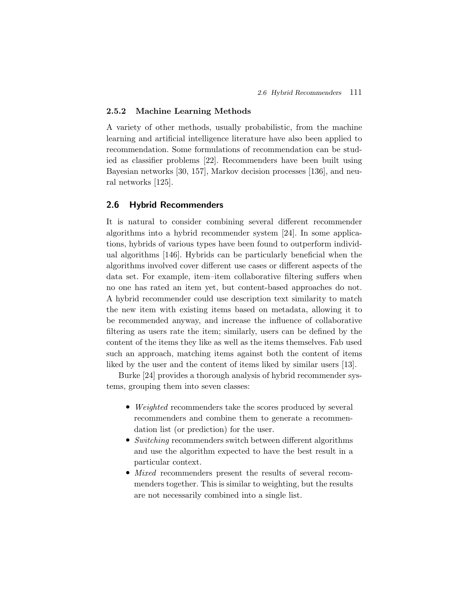#### **2.5.2 Machine Learning Methods**

A variety of other methods, usually probabilistic, from the machine learning and artificial intelligence literature have also been applied to recommendation. Some formulations of recommendation can be studied as classifier problems [22]. Recommenders have been built using Bayesian networks [30, 157], Markov decision processes [136], and neural networks [125].

#### **2.6 Hybrid Recommenders**

It is natural to consider combining several different recommender algorithms into a hybrid recommender system [24]. In some applications, hybrids of various types have been found to outperform individual algorithms [146]. Hybrids can be particularly beneficial when the algorithms involved cover different use cases or different aspects of the data set. For example, item–item collaborative filtering suffers when no one has rated an item yet, but content-based approaches do not. A hybrid recommender could use description text similarity to match the new item with existing items based on metadata, allowing it to be recommended anyway, and increase the influence of collaborative filtering as users rate the item; similarly, users can be defined by the content of the items they like as well as the items themselves. Fab used such an approach, matching items against both the content of items liked by the user and the content of items liked by similar users [13].

Burke [24] provides a thorough analysis of hybrid recommender systems, grouping them into seven classes:

- *Weighted* recommenders take the scores produced by several recommenders and combine them to generate a recommendation list (or prediction) for the user.
- *Switching* recommenders switch between different algorithms and use the algorithm expected to have the best result in a particular context.
- *Mixed* recommenders present the results of several recommenders together. This is similar to weighting, but the results are not necessarily combined into a single list.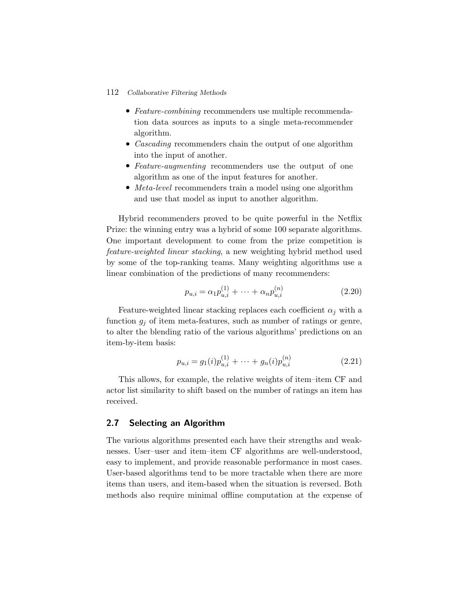- *Feature-combining* recommenders use multiple recommendation data sources as inputs to a single meta-recommender algorithm.
- *Cascading* recommenders chain the output of one algorithm into the input of another.
- *Feature-augmenting* recommenders use the output of one algorithm as one of the input features for another.
- *Meta-level* recommenders train a model using one algorithm and use that model as input to another algorithm.

Hybrid recommenders proved to be quite powerful in the Netflix Prize: the winning entry was a hybrid of some 100 separate algorithms. One important development to come from the prize competition is *feature-weighted linear stacking*, a new weighting hybrid method used by some of the top-ranking teams. Many weighting algorithms use a linear combination of the predictions of many recommenders:

$$
p_{u,i} = \alpha_1 p_{u,i}^{(1)} + \dots + \alpha_n p_{u,i}^{(n)}
$$
\n(2.20)

Feature-weighted linear stacking replaces each coefficient  $\alpha_i$  with a function  $g_i$  of item meta-features, such as number of ratings or genre, to alter the blending ratio of the various algorithms' predictions on an item-by-item basis:

$$
p_{u,i} = g_1(i)p_{u,i}^{(1)} + \dots + g_n(i)p_{u,i}^{(n)}
$$
\n(2.21)

This allows, for example, the relative weights of item–item CF and actor list similarity to shift based on the number of ratings an item has received.

#### **2.7 Selecting an Algorithm**

The various algorithms presented each have their strengths and weaknesses. User–user and item–item CF algorithms are well-understood, easy to implement, and provide reasonable performance in most cases. User-based algorithms tend to be more tractable when there are more items than users, and item-based when the situation is reversed. Both methods also require minimal offline computation at the expense of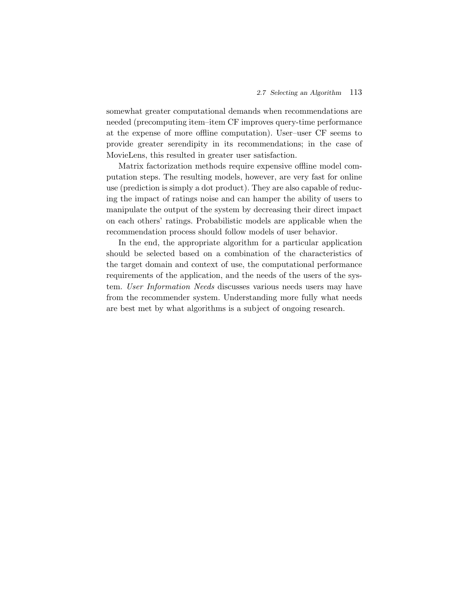somewhat greater computational demands when recommendations are needed (precomputing item–item CF improves query-time performance at the expense of more offline computation). User–user CF seems to provide greater serendipity in its recommendations; in the case of MovieLens, this resulted in greater user satisfaction.

Matrix factorization methods require expensive offline model computation steps. The resulting models, however, are very fast for online use (prediction is simply a dot product). They are also capable of reducing the impact of ratings noise and can hamper the ability of users to manipulate the output of the system by decreasing their direct impact on each others' ratings. Probabilistic models are applicable when the recommendation process should follow models of user behavior.

In the end, the appropriate algorithm for a particular application should be selected based on a combination of the characteristics of the target domain and context of use, the computational performance requirements of the application, and the needs of the users of the system. *User Information Needs* discusses various needs users may have from the recommender system. Understanding more fully what needs are best met by what algorithms is a subject of ongoing research.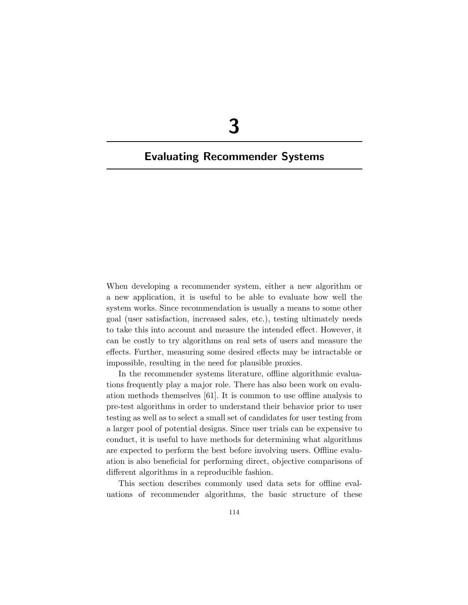## **3**

## **Evaluating Recommender Systems**

When developing a recommender system, either a new algorithm or a new application, it is useful to be able to evaluate how well the system works. Since recommendation is usually a means to some other goal (user satisfaction, increased sales, etc.), testing ultimately needs to take this into account and measure the intended effect. However, it can be costly to try algorithms on real sets of users and measure the effects. Further, measuring some desired effects may be intractable or impossible, resulting in the need for plausible proxies.

In the recommender systems literature, offline algorithmic evaluations frequently play a major role. There has also been work on evaluation methods themselves [61]. It is common to use offline analysis to pre-test algorithms in order to understand their behavior prior to user testing as well as to select a small set of candidates for user testing from a larger pool of potential designs. Since user trials can be expensive to conduct, it is useful to have methods for determining what algorithms are expected to perform the best before involving users. Offline evaluation is also beneficial for performing direct, objective comparisons of different algorithms in a reproducible fashion.

This section describes commonly used data sets for offline evaluations of recommender algorithms, the basic structure of these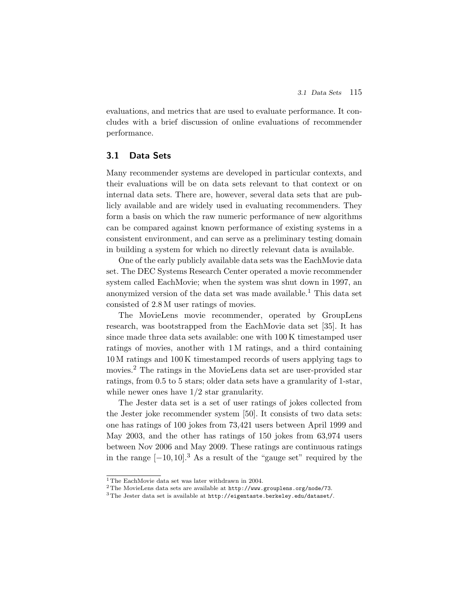evaluations, and metrics that are used to evaluate performance. It concludes with a brief discussion of online evaluations of recommender performance.

#### **3.1 Data Sets**

Many recommender systems are developed in particular contexts, and their evaluations will be on data sets relevant to that context or on internal data sets. There are, however, several data sets that are publicly available and are widely used in evaluating recommenders. They form a basis on which the raw numeric performance of new algorithms can be compared against known performance of existing systems in a consistent environment, and can serve as a preliminary testing domain in building a system for which no directly relevant data is available.

One of the early publicly available data sets was the EachMovie data set. The DEC Systems Research Center operated a movie recommender system called EachMovie; when the system was shut down in 1997, an anonymized version of the data set was made available.<sup>1</sup> This data set consisted of 2.8 M user ratings of movies.

The MovieLens movie recommender, operated by GroupLens research, was bootstrapped from the EachMovie data set [35]. It has since made three data sets available: one with 100 K timestamped user ratings of movies, another with 1 M ratings, and a third containing 10 M ratings and 100 K timestamped records of users applying tags to movies.<sup>2</sup> The ratings in the MovieLens data set are user-provided star ratings, from 0.5 to 5 stars; older data sets have a granularity of 1-star, while newer ones have  $1/2$  star granularity.

The Jester data set is a set of user ratings of jokes collected from the Jester joke recommender system [50]. It consists of two data sets: one has ratings of 100 jokes from 73,421 users between April 1999 and May 2003, and the other has ratings of 150 jokes from 63,974 users between Nov 2006 and May 2009. These ratings are continuous ratings in the range  $[-10,10]$ <sup>3</sup>. As a result of the "gauge set" required by the

<sup>&</sup>lt;sup>1</sup> The EachMovie data set was later withdrawn in 2004.<br><sup>2</sup> The MovieLens data sets are available at  $\frac{h}{k!}$  //www.grouplens.org/node/73.

 $3$  The Jester data set is available at http://eigentaste.berkeley.edu/dataset/.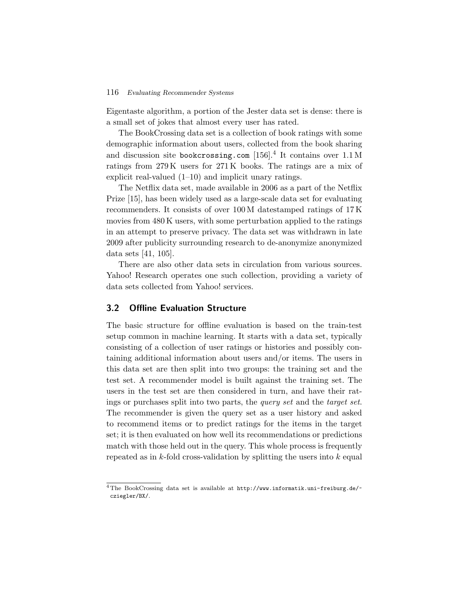#### 116 *Evaluating Recommender Systems*

Eigentaste algorithm, a portion of the Jester data set is dense: there is a small set of jokes that almost every user has rated.

The BookCrossing data set is a collection of book ratings with some demographic information about users, collected from the book sharing and discussion site bookcrossing.com  $[156]$ <sup>4</sup> It contains over 1.1 M ratings from 279 K users for 271 K books. The ratings are a mix of explicit real-valued  $(1-10)$  and implicit unary ratings.

The Netflix data set, made available in 2006 as a part of the Netflix Prize [15], has been widely used as a large-scale data set for evaluating recommenders. It consists of over 100 M datestamped ratings of 17 K movies from 480 K users, with some perturbation applied to the ratings in an attempt to preserve privacy. The data set was withdrawn in late 2009 after publicity surrounding research to de-anonymize anonymized data sets [41, 105].

There are also other data sets in circulation from various sources. Yahoo! Research operates one such collection, providing a variety of data sets collected from Yahoo! services.

#### **3.2 Offline Evaluation Structure**

The basic structure for offline evaluation is based on the train-test setup common in machine learning. It starts with a data set, typically consisting of a collection of user ratings or histories and possibly containing additional information about users and/or items. The users in this data set are then split into two groups: the training set and the test set. A recommender model is built against the training set. The users in the test set are then considered in turn, and have their ratings or purchases split into two parts, the *query set* and the *target set*. The recommender is given the query set as a user history and asked to recommend items or to predict ratings for the items in the target set; it is then evaluated on how well its recommendations or predictions match with those held out in the query. This whole process is frequently repeated as in  $k$ -fold cross-validation by splitting the users into  $k$  equal

<sup>4</sup> The BookCrossing data set is available at http://www.informatik.uni-freiburg.de/˜ cziegler/BX/.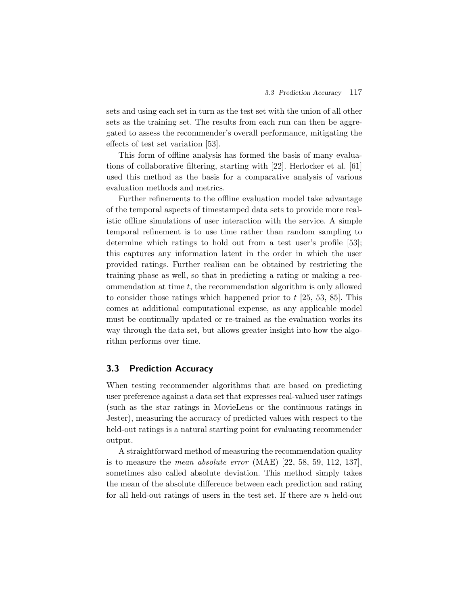sets and using each set in turn as the test set with the union of all other sets as the training set. The results from each run can then be aggregated to assess the recommender's overall performance, mitigating the effects of test set variation [53].

This form of offline analysis has formed the basis of many evaluations of collaborative filtering, starting with [22]. Herlocker et al. [61] used this method as the basis for a comparative analysis of various evaluation methods and metrics.

Further refinements to the offline evaluation model take advantage of the temporal aspects of timestamped data sets to provide more realistic offline simulations of user interaction with the service. A simple temporal refinement is to use time rather than random sampling to determine which ratings to hold out from a test user's profile [53]; this captures any information latent in the order in which the user provided ratings. Further realism can be obtained by restricting the training phase as well, so that in predicting a rating or making a recommendation at time  $t$ , the recommendation algorithm is only allowed to consider those ratings which happened prior to  $t$  [25, 53, 85]. This comes at additional computational expense, as any applicable model must be continually updated or re-trained as the evaluation works its way through the data set, but allows greater insight into how the algorithm performs over time.

#### **3.3 Prediction Accuracy**

When testing recommender algorithms that are based on predicting user preference against a data set that expresses real-valued user ratings (such as the star ratings in MovieLens or the continuous ratings in Jester), measuring the accuracy of predicted values with respect to the held-out ratings is a natural starting point for evaluating recommender output.

A straightforward method of measuring the recommendation quality is to measure the *mean absolute error* (MAE) [22, 58, 59, 112, 137], sometimes also called absolute deviation. This method simply takes the mean of the absolute difference between each prediction and rating for all held-out ratings of users in the test set. If there are  $n$  held-out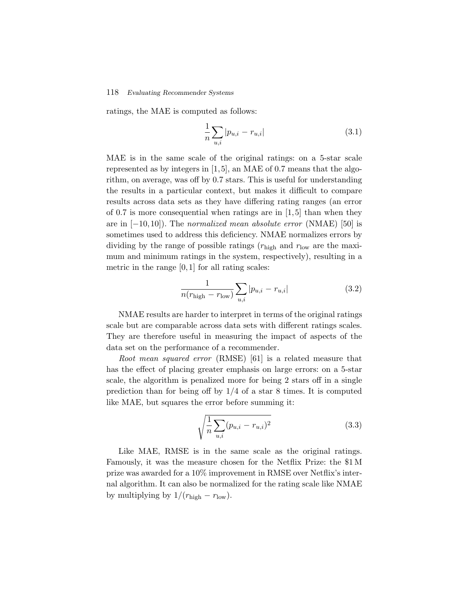#### 118 *Evaluating Recommender Systems*

ratings, the MAE is computed as follows:

$$
\frac{1}{n} \sum_{u,i} |p_{u,i} - r_{u,i}| \tag{3.1}
$$

MAE is in the same scale of the original ratings: on a 5-star scale represented as by integers in [1,5], an MAE of 0.7 means that the algorithm, on average, was off by 0.7 stars. This is useful for understanding the results in a particular context, but makes it difficult to compare results across data sets as they have differing rating ranges (an error of 0.7 is more consequential when ratings are in [1,5] than when they are in [−10,10]). The *normalized mean absolute error* (NMAE) [50] is sometimes used to address this deficiency. NMAE normalizes errors by dividing by the range of possible ratings  $(r_{\text{high}}$  and  $r_{\text{low}}$  are the maximum and minimum ratings in the system, respectively), resulting in a metric in the range  $[0,1]$  for all rating scales:

$$
\frac{1}{n(r_{\text{high}} - r_{\text{low}})} \sum_{u,i} |p_{u,i} - r_{u,i}|
$$
\n(3.2)

NMAE results are harder to interpret in terms of the original ratings scale but are comparable across data sets with different ratings scales. They are therefore useful in measuring the impact of aspects of the data set on the performance of a recommender.

*Root mean squared error* (RMSE) [61] is a related measure that has the effect of placing greater emphasis on large errors: on a 5-star scale, the algorithm is penalized more for being 2 stars off in a single prediction than for being off by 1/4 of a star 8 times. It is computed like MAE, but squares the error before summing it:

$$
\sqrt{\frac{1}{n} \sum_{u,i} (p_{u,i} - r_{u,i})^2}
$$
 (3.3)

Like MAE, RMSE is in the same scale as the original ratings. Famously, it was the measure chosen for the Netflix Prize: the \$1 M prize was awarded for a 10% improvement in RMSE over Netflix's internal algorithm. It can also be normalized for the rating scale like NMAE by multiplying by  $1/(r_{\text{high}} - r_{\text{low}})$ .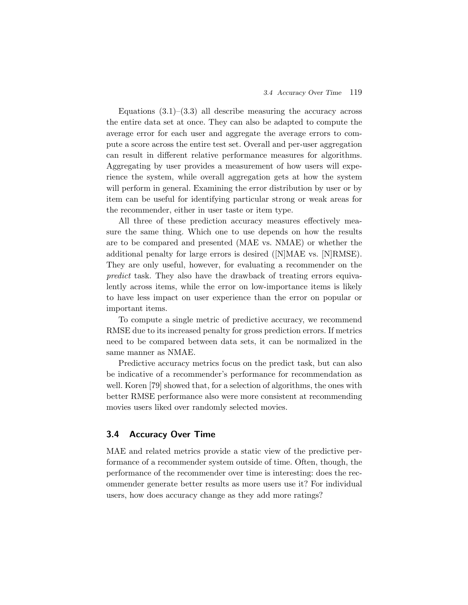Equations  $(3.1)$ – $(3.3)$  all describe measuring the accuracy across the entire data set at once. They can also be adapted to compute the average error for each user and aggregate the average errors to compute a score across the entire test set. Overall and per-user aggregation can result in different relative performance measures for algorithms. Aggregating by user provides a measurement of how users will experience the system, while overall aggregation gets at how the system will perform in general. Examining the error distribution by user or by item can be useful for identifying particular strong or weak areas for the recommender, either in user taste or item type.

All three of these prediction accuracy measures effectively measure the same thing. Which one to use depends on how the results are to be compared and presented (MAE vs. NMAE) or whether the additional penalty for large errors is desired  $([N]MAE$  vs.  $[N]RMSE)$ . They are only useful, however, for evaluating a recommender on the *predict* task. They also have the drawback of treating errors equivalently across items, while the error on low-importance items is likely to have less impact on user experience than the error on popular or important items.

To compute a single metric of predictive accuracy, we recommend RMSE due to its increased penalty for gross prediction errors. If metrics need to be compared between data sets, it can be normalized in the same manner as NMAE.

Predictive accuracy metrics focus on the predict task, but can also be indicative of a recommender's performance for recommendation as well. Koren [79] showed that, for a selection of algorithms, the ones with better RMSE performance also were more consistent at recommending movies users liked over randomly selected movies.

#### **3.4 Accuracy Over Time**

MAE and related metrics provide a static view of the predictive performance of a recommender system outside of time. Often, though, the performance of the recommender over time is interesting: does the recommender generate better results as more users use it? For individual users, how does accuracy change as they add more ratings?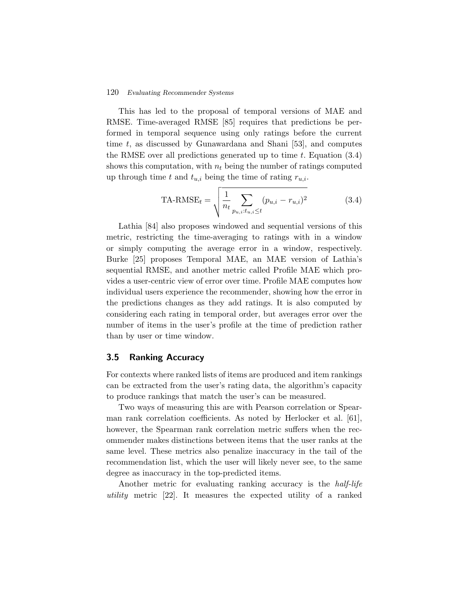#### 120 *Evaluating Recommender Systems*

This has led to the proposal of temporal versions of MAE and RMSE. Time-averaged RMSE [85] requires that predictions be performed in temporal sequence using only ratings before the current time  $t$ , as discussed by Gunawardana and Shani [53], and computes the RMSE over all predictions generated up to time  $t$ . Equation  $(3.4)$ shows this computation, with  $n_t$  being the number of ratings computed up through time t and  $t_{u,i}$  being the time of rating  $r_{u,i}$ .

$$
\text{TA-RMSE}_{t} = \sqrt{\frac{1}{n_t} \sum_{p_{u,i}: t_{u,i} \le t} (p_{u,i} - r_{u,i})^2}
$$
(3.4)

Lathia [84] also proposes windowed and sequential versions of this metric, restricting the time-averaging to ratings with in a window or simply computing the average error in a window, respectively. Burke [25] proposes Temporal MAE, an MAE version of Lathia's sequential RMSE, and another metric called Profile MAE which provides a user-centric view of error over time. Profile MAE computes how individual users experience the recommender, showing how the error in the predictions changes as they add ratings. It is also computed by considering each rating in temporal order, but averages error over the number of items in the user's profile at the time of prediction rather than by user or time window.

#### **3.5 Ranking Accuracy**

For contexts where ranked lists of items are produced and item rankings can be extracted from the user's rating data, the algorithm's capacity to produce rankings that match the user's can be measured.

Two ways of measuring this are with Pearson correlation or Spearman rank correlation coefficients. As noted by Herlocker et al. [61], however, the Spearman rank correlation metric suffers when the recommender makes distinctions between items that the user ranks at the same level. These metrics also penalize inaccuracy in the tail of the recommendation list, which the user will likely never see, to the same degree as inaccuracy in the top-predicted items.

Another metric for evaluating ranking accuracy is the *half-life utility* metric [22]. It measures the expected utility of a ranked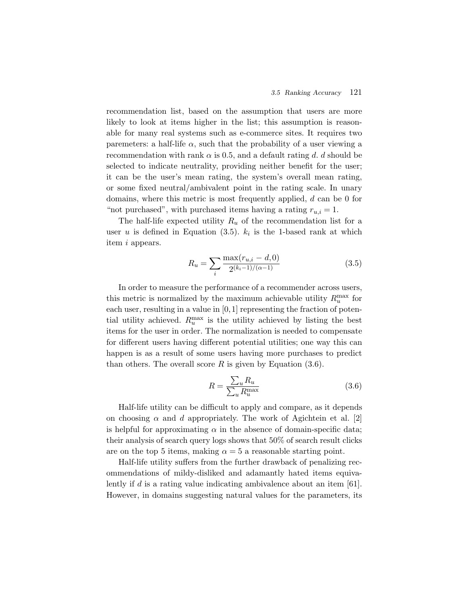recommendation list, based on the assumption that users are more likely to look at items higher in the list; this assumption is reasonable for many real systems such as e-commerce sites. It requires two paremeters: a half-life  $\alpha$ , such that the probability of a user viewing a recommendation with rank  $\alpha$  is 0.5, and a default rating d. d should be selected to indicate neutrality, providing neither benefit for the user; it can be the user's mean rating, the system's overall mean rating, or some fixed neutral/ambivalent point in the rating scale. In unary domains, where this metric is most frequently applied, d can be 0 for "not purchased", with purchased items having a rating  $r_{u,i} = 1$ .

The half-life expected utility  $R_u$  of the recommendation list for a user u is defined in Equation (3.5).  $k_i$  is the 1-based rank at which item i appears.

$$
R_u = \sum_{i} \frac{\max(r_{u,i} - d, 0)}{2^{(k_i - 1)/( \alpha - 1)}}
$$
(3.5)

In order to measure the performance of a recommender across users, this metric is normalized by the maximum achievable utility  $R_u^{\text{max}}$  for each user, resulting in a value in  $[0,1]$  representing the fraction of potential utility achieved.  $R_u^{\text{max}}$  is the utility achieved by listing the best items for the user in order. The normalization is needed to compensate for different users having different potential utilities; one way this can happen is as a result of some users having more purchases to predict than others. The overall score R is given by Equation  $(3.6)$ .

$$
R = \frac{\sum_{u} R_u}{\sum_{u} R_u^{\text{max}}} \tag{3.6}
$$

Half-life utility can be difficult to apply and compare, as it depends on choosing  $\alpha$  and d appropriately. The work of Agichtein et al. [2] is helpful for approximating  $\alpha$  in the absence of domain-specific data; their analysis of search query logs shows that 50% of search result clicks are on the top 5 items, making  $\alpha = 5$  a reasonable starting point.

Half-life utility suffers from the further drawback of penalizing recommendations of mildy-disliked and adamantly hated items equivalently if d is a rating value indicating ambivalence about an item [61]. However, in domains suggesting natural values for the parameters, its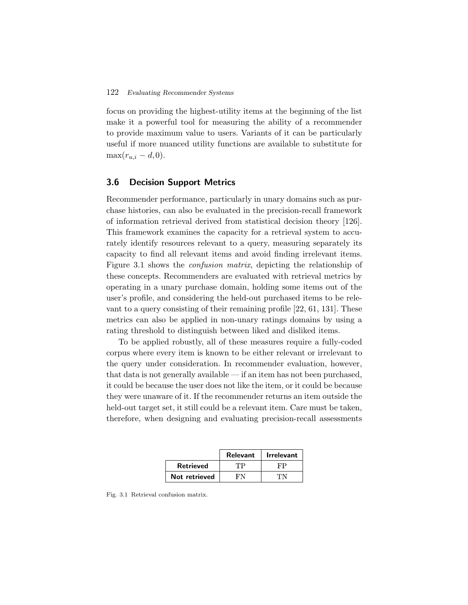#### 122 *Evaluating Recommender Systems*

focus on providing the highest-utility items at the beginning of the list make it a powerful tool for measuring the ability of a recommender to provide maximum value to users. Variants of it can be particularly useful if more nuanced utility functions are available to substitute for  $\max(r_{u,i} - d, 0).$ 

#### **3.6 Decision Support Metrics**

Recommender performance, particularly in unary domains such as purchase histories, can also be evaluated in the precision-recall framework of information retrieval derived from statistical decision theory [126]. This framework examines the capacity for a retrieval system to accurately identify resources relevant to a query, measuring separately its capacity to find all relevant items and avoid finding irrelevant items. Figure 3.1 shows the *confusion matrix*, depicting the relationship of these concepts. Recommenders are evaluated with retrieval metrics by operating in a unary purchase domain, holding some items out of the user's profile, and considering the held-out purchased items to be relevant to a query consisting of their remaining profile [22, 61, 131]. These metrics can also be applied in non-unary ratings domains by using a rating threshold to distinguish between liked and disliked items.

To be applied robustly, all of these measures require a fully-coded corpus where every item is known to be either relevant or irrelevant to the query under consideration. In recommender evaluation, however, that data is not generally available — if an item has not been purchased, it could be because the user does not like the item, or it could be because they were unaware of it. If the recommender returns an item outside the held-out target set, it still could be a relevant item. Care must be taken, therefore, when designing and evaluating precision-recall assessments

|                  | <b>Relevant</b> | <b>Irrelevant</b> |
|------------------|-----------------|-------------------|
| <b>Retrieved</b> |                 |                   |
| Not retrieved    |                 |                   |

Fig. 3.1 Retrieval confusion matrix.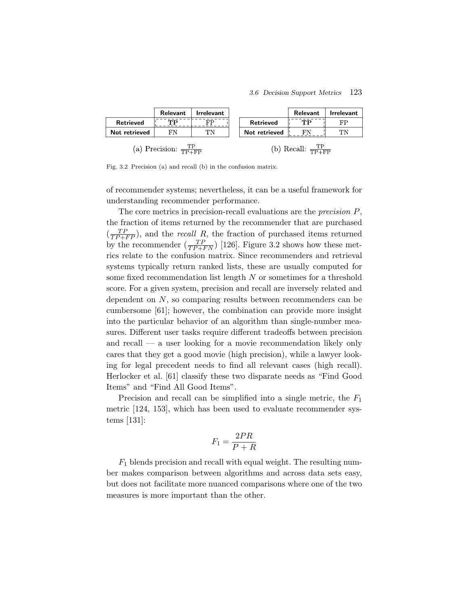#### *3.6 Decision Support Metrics* 123

|                                   | <b>Relevant</b> | <b>Irrelevant</b> |               | <b>Relevant</b>                              | <b>Irrelevant</b> |
|-----------------------------------|-----------------|-------------------|---------------|----------------------------------------------|-------------------|
| <b>Retrieved</b>                  | TР              | FР                | Retrieved     | TР                                           | FP                |
| Not retrieved                     | FN              | TN                | Not retrieved | FN                                           |                   |
| (a) Precision: $\frac{TP}{TP+FP}$ |                 |                   |               | (b) Recall: $\frac{\text{TP}}{\text{TP+FP}}$ |                   |

Fig. 3.2 Precision (a) and recall (b) in the confusion matrix.

of recommender systems; nevertheless, it can be a useful framework for understanding recommender performance.

The core metrics in precision-recall evaluations are the *precision* P, the fraction of items returned by the recommender that are purchased  $(\frac{TP}{TP+FP})$ , and the *recall* R, the fraction of purchased items returned by the recommender  $(\frac{TP}{TP+FN})$  [126]. Figure 3.2 shows how these metrics relate to the confusion matrix. Since recommenders and retrieval systems typically return ranked lists, these are usually computed for some fixed recommendation list length N or sometimes for a threshold score. For a given system, precision and recall are inversely related and dependent on N, so comparing results between recommenders can be cumbersome [61]; however, the combination can provide more insight into the particular behavior of an algorithm than single-number measures. Different user tasks require different tradeoffs between precision and recall — a user looking for a movie recommendation likely only cares that they get a good movie (high precision), while a lawyer looking for legal precedent needs to find all relevant cases (high recall). Herlocker et al. [61] classify these two disparate needs as "Find Good Items" and "Find All Good Items".

Precision and recall can be simplified into a single metric, the  $F_1$ metric [124, 153], which has been used to evaluate recommender systems [131]:

$$
F_1 = \frac{2PR}{P + R}
$$

 $F_1$  blends precision and recall with equal weight. The resulting number makes comparison between algorithms and across data sets easy, but does not facilitate more nuanced comparisons where one of the two measures is more important than the other.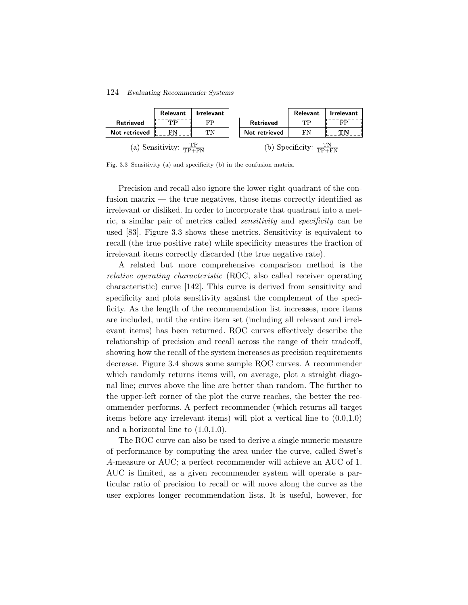#### 124 *Evaluating Recommender Systems*

|                                                   | <b>Relevant</b> | <b>Irrelevant</b> |               | <b>Relevant</b>                     | <b>Irrelevant</b> |
|---------------------------------------------------|-----------------|-------------------|---------------|-------------------------------------|-------------------|
| <b>Retrieved</b>                                  | TР              | FP                | Retrieved     | TP                                  | FP                |
| Not retrieved                                     | FN              | TN                | Not retrieved | FN                                  | тN                |
| (a) Sensitivity: $\frac{\text{TP}}{\text{TP+FN}}$ |                 |                   |               | (b) Specificity: $\frac{TN}{TP+FN}$ |                   |

Fig. 3.3 Sensitivity (a) and specificity (b) in the confusion matrix.

Precision and recall also ignore the lower right quadrant of the confusion matrix — the true negatives, those items correctly identified as irrelevant or disliked. In order to incorporate that quadrant into a metric, a similar pair of metrics called *sensitivity* and *specificity* can be used [83]. Figure 3.3 shows these metrics. Sensitivity is equivalent to recall (the true positive rate) while specificity measures the fraction of irrelevant items correctly discarded (the true negative rate).

A related but more comprehensive comparison method is the *relative operating characteristic* (ROC, also called receiver operating characteristic) curve [142]. This curve is derived from sensitivity and specificity and plots sensitivity against the complement of the specificity. As the length of the recommendation list increases, more items are included, until the entire item set (including all relevant and irrelevant items) has been returned. ROC curves effectively describe the relationship of precision and recall across the range of their tradeoff, showing how the recall of the system increases as precision requirements decrease. Figure 3.4 shows some sample ROC curves. A recommender which randomly returns items will, on average, plot a straight diagonal line; curves above the line are better than random. The further to the upper-left corner of the plot the curve reaches, the better the recommender performs. A perfect recommender (which returns all target items before any irrelevant items) will plot a vertical line to (0.0,1.0) and a horizontal line to (1.0,1.0).

The ROC curve can also be used to derive a single numeric measure of performance by computing the area under the curve, called Swet's A-measure or AUC; a perfect recommender will achieve an AUC of 1. AUC is limited, as a given recommender system will operate a particular ratio of precision to recall or will move along the curve as the user explores longer recommendation lists. It is useful, however, for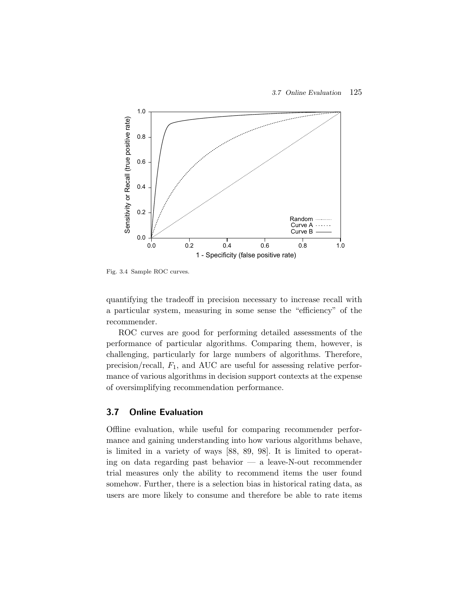

Fig. 3.4 Sample ROC curves.

quantifying the tradeoff in precision necessary to increase recall with a particular system, measuring in some sense the "efficiency" of the recommender.

ROC curves are good for performing detailed assessments of the performance of particular algorithms. Comparing them, however, is challenging, particularly for large numbers of algorithms. Therefore, precision/recall,  $F_1$ , and AUC are useful for assessing relative performance of various algorithms in decision support contexts at the expense of oversimplifying recommendation performance.

#### **3.7 Online Evaluation**

Offline evaluation, while useful for comparing recommender performance and gaining understanding into how various algorithms behave, is limited in a variety of ways [88, 89, 98]. It is limited to operating on data regarding past behavior — a leave-N-out recommender trial measures only the ability to recommend items the user found somehow. Further, there is a selection bias in historical rating data, as users are more likely to consume and therefore be able to rate items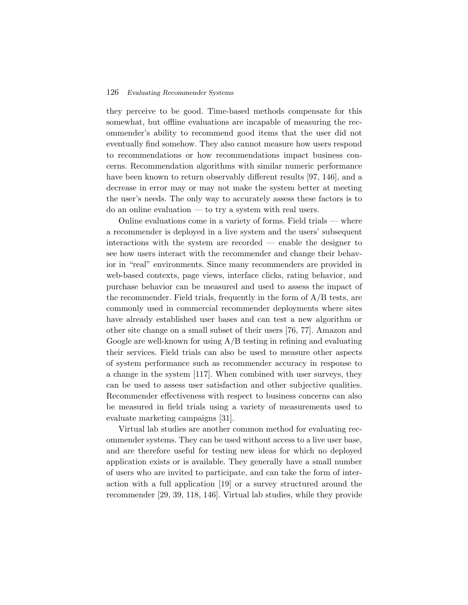#### 126 *Evaluating Recommender Systems*

they perceive to be good. Time-based methods compensate for this somewhat, but offline evaluations are incapable of measuring the recommender's ability to recommend good items that the user did not eventually find somehow. They also cannot measure how users respond to recommendations or how recommendations impact business concerns. Recommendation algorithms with similar numeric performance have been known to return observably different results [97, 146], and a decrease in error may or may not make the system better at meeting the user's needs. The only way to accurately assess these factors is to do an online evaluation — to try a system with real users.

Online evaluations come in a variety of forms. Field trials — where a recommender is deployed in a live system and the users' subsequent interactions with the system are recorded — enable the designer to see how users interact with the recommender and change their behavior in "real" environments. Since many recommenders are provided in web-based contexts, page views, interface clicks, rating behavior, and purchase behavior can be measured and used to assess the impact of the recommender. Field trials, frequently in the form of  $A/B$  tests, are commonly used in commercial recommender deployments where sites have already established user bases and can test a new algorithm or other site change on a small subset of their users [76, 77]. Amazon and Google are well-known for using  $A/B$  testing in refining and evaluating their services. Field trials can also be used to measure other aspects of system performance such as recommender accuracy in response to a change in the system [117]. When combined with user surveys, they can be used to assess user satisfaction and other subjective qualities. Recommender effectiveness with respect to business concerns can also be measured in field trials using a variety of measurements used to evaluate marketing campaigns [31].

Virtual lab studies are another common method for evaluating recommender systems. They can be used without access to a live user base, and are therefore useful for testing new ideas for which no deployed application exists or is available. They generally have a small number of users who are invited to participate, and can take the form of interaction with a full application [19] or a survey structured around the recommender [29, 39, 118, 146]. Virtual lab studies, while they provide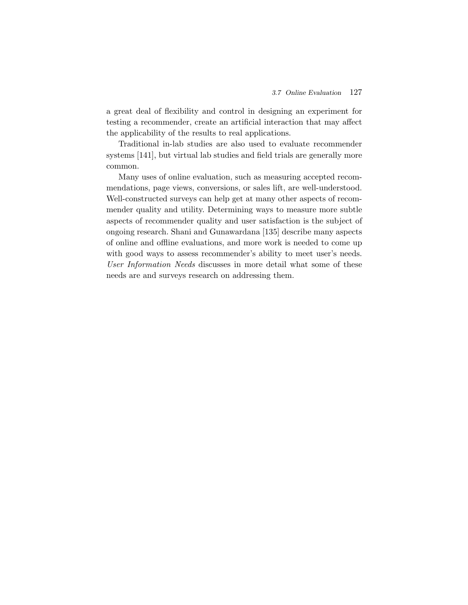a great deal of flexibility and control in designing an experiment for testing a recommender, create an artificial interaction that may affect the applicability of the results to real applications.

Traditional in-lab studies are also used to evaluate recommender systems [141], but virtual lab studies and field trials are generally more common.

Many uses of online evaluation, such as measuring accepted recommendations, page views, conversions, or sales lift, are well-understood. Well-constructed surveys can help get at many other aspects of recommender quality and utility. Determining ways to measure more subtle aspects of recommender quality and user satisfaction is the subject of ongoing research. Shani and Gunawardana [135] describe many aspects of online and offline evaluations, and more work is needed to come up with good ways to assess recommender's ability to meet user's needs. *User Information Needs* discusses in more detail what some of these needs are and surveys research on addressing them.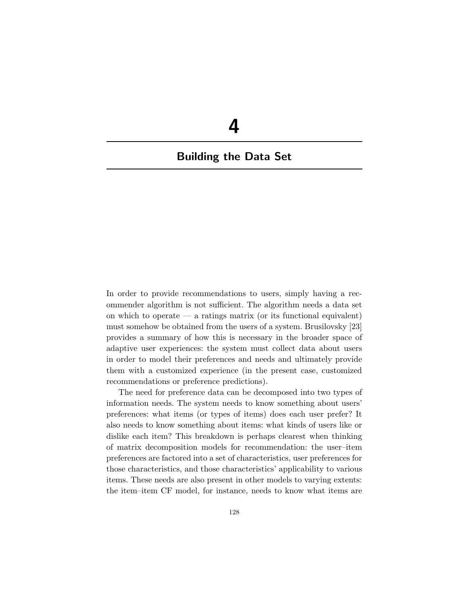# **4**

## **Building the Data Set**

In order to provide recommendations to users, simply having a recommender algorithm is not sufficient. The algorithm needs a data set on which to operate  $-$  a ratings matrix (or its functional equivalent) must somehow be obtained from the users of a system. Brusilovsky [23] provides a summary of how this is necessary in the broader space of adaptive user experiences: the system must collect data about users in order to model their preferences and needs and ultimately provide them with a customized experience (in the present case, customized recommendations or preference predictions).

The need for preference data can be decomposed into two types of information needs. The system needs to know something about users' preferences: what items (or types of items) does each user prefer? It also needs to know something about items: what kinds of users like or dislike each item? This breakdown is perhaps clearest when thinking of matrix decomposition models for recommendation: the user–item preferences are factored into a set of characteristics, user preferences for those characteristics, and those characteristics' applicability to various items. These needs are also present in other models to varying extents: the item–item CF model, for instance, needs to know what items are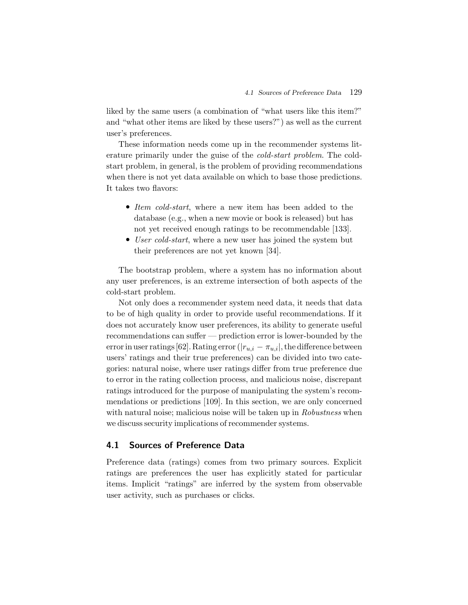liked by the same users (a combination of "what users like this item?" and "what other items are liked by these users?") as well as the current user's preferences.

These information needs come up in the recommender systems literature primarily under the guise of the *cold-start problem*. The coldstart problem, in general, is the problem of providing recommendations when there is not yet data available on which to base those predictions. It takes two flavors:

- *Item cold-start*, where a new item has been added to the database (e.g., when a new movie or book is released) but has not yet received enough ratings to be recommendable [133].
- *User cold-start*, where a new user has joined the system but their preferences are not yet known [34].

The bootstrap problem, where a system has no information about any user preferences, is an extreme intersection of both aspects of the cold-start problem.

Not only does a recommender system need data, it needs that data to be of high quality in order to provide useful recommendations. If it does not accurately know user preferences, its ability to generate useful recommendations can suffer — prediction error is lower-bounded by the error in user ratings [62]. Rating error  $(|r_{u,i} - \pi_{u,i}|)$ , the difference between users' ratings and their true preferences) can be divided into two categories: natural noise, where user ratings differ from true preference due to error in the rating collection process, and malicious noise, discrepant ratings introduced for the purpose of manipulating the system's recommendations or predictions [109]. In this section, we are only concerned with natural noise; malicious noise will be taken up in *Robustness* when we discuss security implications of recommender systems.

#### **4.1 Sources of Preference Data**

Preference data (ratings) comes from two primary sources. Explicit ratings are preferences the user has explicitly stated for particular items. Implicit "ratings" are inferred by the system from observable user activity, such as purchases or clicks.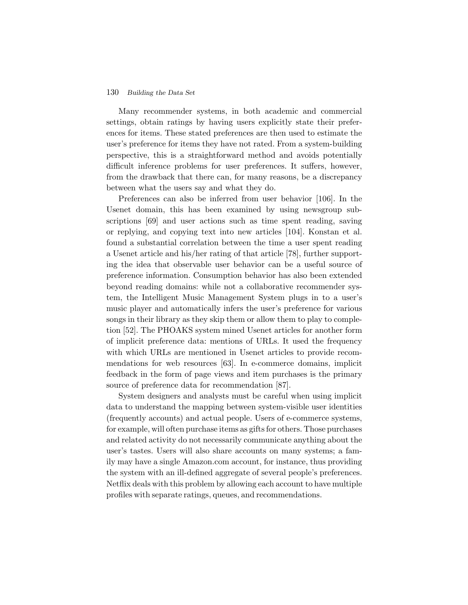#### 130 *Building the Data Set*

Many recommender systems, in both academic and commercial settings, obtain ratings by having users explicitly state their preferences for items. These stated preferences are then used to estimate the user's preference for items they have not rated. From a system-building perspective, this is a straightforward method and avoids potentially difficult inference problems for user preferences. It suffers, however, from the drawback that there can, for many reasons, be a discrepancy between what the users say and what they do.

Preferences can also be inferred from user behavior [106]. In the Usenet domain, this has been examined by using newsgroup subscriptions [69] and user actions such as time spent reading, saving or replying, and copying text into new articles [104]. Konstan et al. found a substantial correlation between the time a user spent reading a Usenet article and his/her rating of that article [78], further supporting the idea that observable user behavior can be a useful source of preference information. Consumption behavior has also been extended beyond reading domains: while not a collaborative recommender system, the Intelligent Music Management System plugs in to a user's music player and automatically infers the user's preference for various songs in their library as they skip them or allow them to play to completion [52]. The PHOAKS system mined Usenet articles for another form of implicit preference data: mentions of URLs. It used the frequency with which URLs are mentioned in Usenet articles to provide recommendations for web resources [63]. In e-commerce domains, implicit feedback in the form of page views and item purchases is the primary source of preference data for recommendation [87].

System designers and analysts must be careful when using implicit data to understand the mapping between system-visible user identities (frequently accounts) and actual people. Users of e-commerce systems, for example, will often purchase items as gifts for others. Those purchases and related activity do not necessarily communicate anything about the user's tastes. Users will also share accounts on many systems; a family may have a single Amazon.com account, for instance, thus providing the system with an ill-defined aggregate of several people's preferences. Netflix deals with this problem by allowing each account to have multiple profiles with separate ratings, queues, and recommendations.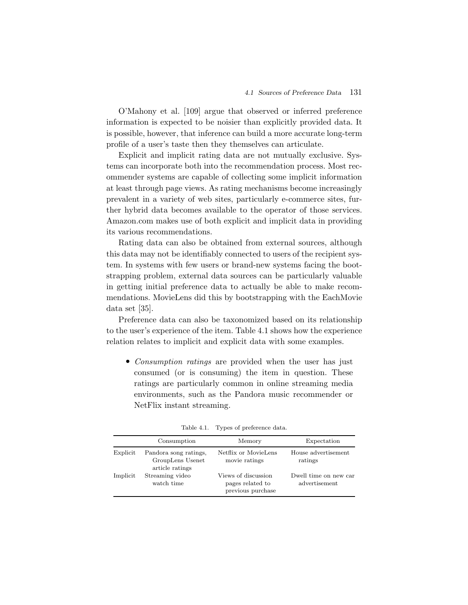O'Mahony et al. [109] argue that observed or inferred preference information is expected to be noisier than explicitly provided data. It is possible, however, that inference can build a more accurate long-term profile of a user's taste then they themselves can articulate.

Explicit and implicit rating data are not mutually exclusive. Systems can incorporate both into the recommendation process. Most recommender systems are capable of collecting some implicit information at least through page views. As rating mechanisms become increasingly prevalent in a variety of web sites, particularly e-commerce sites, further hybrid data becomes available to the operator of those services. Amazon.com makes use of both explicit and implicit data in providing its various recommendations.

Rating data can also be obtained from external sources, although this data may not be identifiably connected to users of the recipient system. In systems with few users or brand-new systems facing the bootstrapping problem, external data sources can be particularly valuable in getting initial preference data to actually be able to make recommendations. MovieLens did this by bootstrapping with the EachMovie data set [35].

Preference data can also be taxonomized based on its relationship to the user's experience of the item. Table 4.1 shows how the experience relation relates to implicit and explicit data with some examples.

• *Consumption ratings* are provided when the user has just consumed (or is consuming) the item in question. These ratings are particularly common in online streaming media environments, such as the Pandora music recommender or NetFlix instant streaming.

|          | Consumption                                                  | Memory                                                       | Expectation                            |
|----------|--------------------------------------------------------------|--------------------------------------------------------------|----------------------------------------|
| Explicit | Pandora song ratings,<br>GroupLens Usenet<br>article ratings | Netflix or MovieLens<br>movie ratings                        | House advertisement<br>ratings         |
| Implicit | Streaming video<br>watch time                                | Views of discussion<br>pages related to<br>previous purchase | Dwell time on new car<br>advertisement |

Table 4.1. Types of preference data.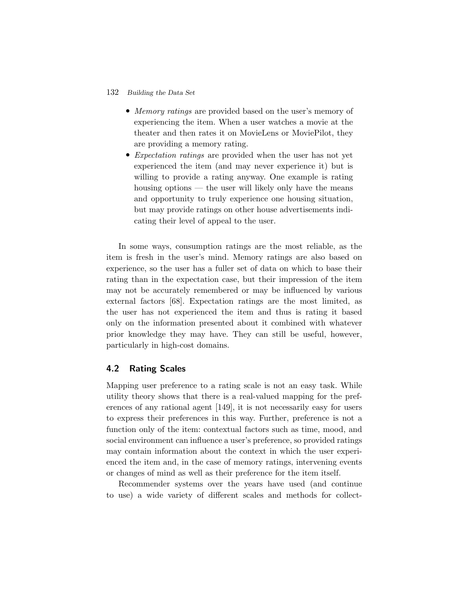#### 132 *Building the Data Set*

- *Memory ratings* are provided based on the user's memory of experiencing the item. When a user watches a movie at the theater and then rates it on MovieLens or MoviePilot, they are providing a memory rating.
- *Expectation ratings* are provided when the user has not yet experienced the item (and may never experience it) but is willing to provide a rating anyway. One example is rating housing options — the user will likely only have the means and opportunity to truly experience one housing situation, but may provide ratings on other house advertisements indicating their level of appeal to the user.

In some ways, consumption ratings are the most reliable, as the item is fresh in the user's mind. Memory ratings are also based on experience, so the user has a fuller set of data on which to base their rating than in the expectation case, but their impression of the item may not be accurately remembered or may be influenced by various external factors [68]. Expectation ratings are the most limited, as the user has not experienced the item and thus is rating it based only on the information presented about it combined with whatever prior knowledge they may have. They can still be useful, however, particularly in high-cost domains.

#### **4.2 Rating Scales**

Mapping user preference to a rating scale is not an easy task. While utility theory shows that there is a real-valued mapping for the preferences of any rational agent [149], it is not necessarily easy for users to express their preferences in this way. Further, preference is not a function only of the item: contextual factors such as time, mood, and social environment can influence a user's preference, so provided ratings may contain information about the context in which the user experienced the item and, in the case of memory ratings, intervening events or changes of mind as well as their preference for the item itself.

Recommender systems over the years have used (and continue to use) a wide variety of different scales and methods for collect-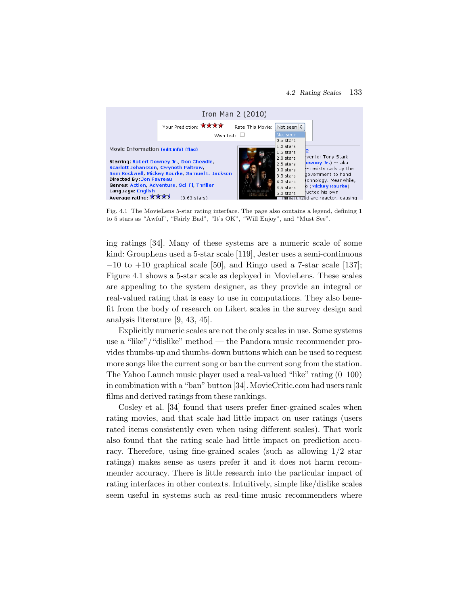

Fig. 4.1 The MovieLens 5-star rating interface. The page also contains a legend, defining 1 to 5 stars as "Awful", "Fairly Bad", "It's OK", "Will Enjoy", and "Must See".

ing ratings [34]. Many of these systems are a numeric scale of some kind: GroupLens used a 5-star scale [119], Jester uses a semi-continuous  $-10$  to  $+10$  graphical scale [50], and Ringo used a 7-star scale [137]; Figure 4.1 shows a 5-star scale as deployed in MovieLens. These scales are appealing to the system designer, as they provide an integral or real-valued rating that is easy to use in computations. They also benefit from the body of research on Likert scales in the survey design and analysis literature [9, 43, 45].

Explicitly numeric scales are not the only scales in use. Some systems use a "like"/"dislike" method — the Pandora music recommender provides thumbs-up and thumbs-down buttons which can be used to request more songs like the current song or ban the current song from the station. The Yahoo Launch music player used a real-valued "like" rating (0–100) in combination with a "ban" button [34]. MovieCritic.com had users rank films and derived ratings from these rankings.

Cosley et al. [34] found that users prefer finer-grained scales when rating movies, and that scale had little impact on user ratings (users rated items consistently even when using different scales). That work also found that the rating scale had little impact on prediction accuracy. Therefore, using fine-grained scales (such as allowing 1/2 star ratings) makes sense as users prefer it and it does not harm recommender accuracy. There is little research into the particular impact of rating interfaces in other contexts. Intuitively, simple like/dislike scales seem useful in systems such as real-time music recommenders where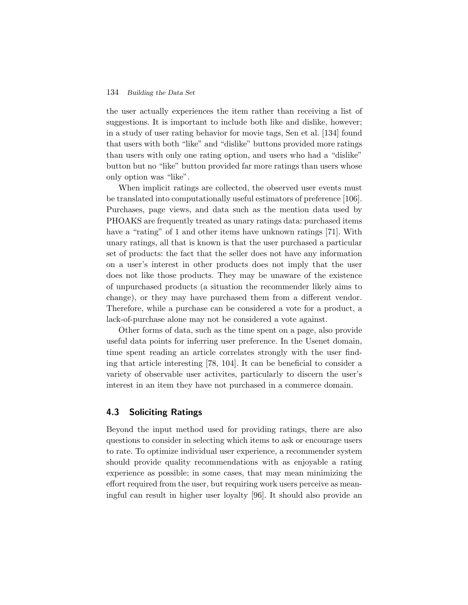#### 134 *Building the Data Set*

the user actually experiences the item rather than receiving a list of suggestions. It is important to include both like and dislike, however; in a study of user rating behavior for movie tags, Sen et al. [134] found that users with both "like" and "dislike" buttons provided more ratings than users with only one rating option, and users who had a "dislike" button but no "like" button provided far more ratings than users whose only option was "like".

When implicit ratings are collected, the observed user events must be translated into computationally useful estimators of preference [106]. Purchases, page views, and data such as the mention data used by PHOAKS are frequently treated as unary ratings data: purchased items have a "rating" of 1 and other items have unknown ratings [71]. With unary ratings, all that is known is that the user purchased a particular set of products: the fact that the seller does not have any information on a user's interest in other products does not imply that the user does not like those products. They may be unaware of the existence of unpurchased products (a situation the recommender likely aims to change), or they may have purchased them from a different vendor. Therefore, while a purchase can be considered a vote for a product, a lack-of-purchase alone may not be considered a vote against.

Other forms of data, such as the time spent on a page, also provide useful data points for inferring user preference. In the Usenet domain, time spent reading an article correlates strongly with the user finding that article interesting [78, 104]. It can be beneficial to consider a variety of observable user activites, particularly to discern the user's interest in an item they have not purchased in a commerce domain.

#### **4.3 Soliciting Ratings**

Beyond the input method used for providing ratings, there are also questions to consider in selecting which items to ask or encourage users to rate. To optimize individual user experience, a recommender system should provide quality recommendations with as enjoyable a rating experience as possible; in some cases, that may mean minimizing the effort required from the user, but requiring work users perceive as meaningful can result in higher user loyalty [96]. It should also provide an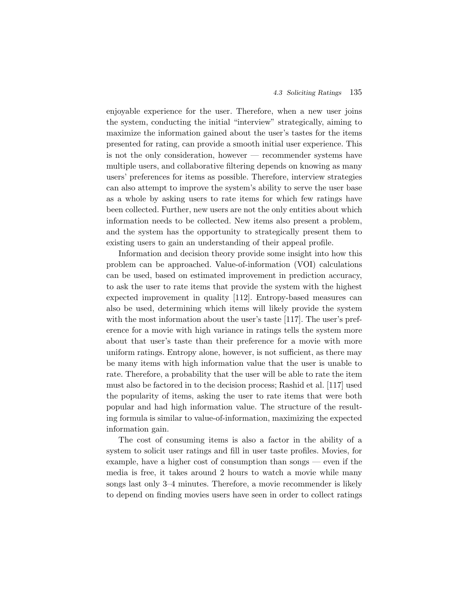enjoyable experience for the user. Therefore, when a new user joins the system, conducting the initial "interview" strategically, aiming to maximize the information gained about the user's tastes for the items presented for rating, can provide a smooth initial user experience. This is not the only consideration, however — recommender systems have multiple users, and collaborative filtering depends on knowing as many users' preferences for items as possible. Therefore, interview strategies can also attempt to improve the system's ability to serve the user base as a whole by asking users to rate items for which few ratings have been collected. Further, new users are not the only entities about which information needs to be collected. New items also present a problem, and the system has the opportunity to strategically present them to existing users to gain an understanding of their appeal profile.

Information and decision theory provide some insight into how this problem can be approached. Value-of-information (VOI) calculations can be used, based on estimated improvement in prediction accuracy, to ask the user to rate items that provide the system with the highest expected improvement in quality [112]. Entropy-based measures can also be used, determining which items will likely provide the system with the most information about the user's taste [117]. The user's preference for a movie with high variance in ratings tells the system more about that user's taste than their preference for a movie with more uniform ratings. Entropy alone, however, is not sufficient, as there may be many items with high information value that the user is unable to rate. Therefore, a probability that the user will be able to rate the item must also be factored in to the decision process; Rashid et al. [117] used the popularity of items, asking the user to rate items that were both popular and had high information value. The structure of the resulting formula is similar to value-of-information, maximizing the expected information gain.

The cost of consuming items is also a factor in the ability of a system to solicit user ratings and fill in user taste profiles. Movies, for example, have a higher cost of consumption than songs — even if the media is free, it takes around 2 hours to watch a movie while many songs last only 3–4 minutes. Therefore, a movie recommender is likely to depend on finding movies users have seen in order to collect ratings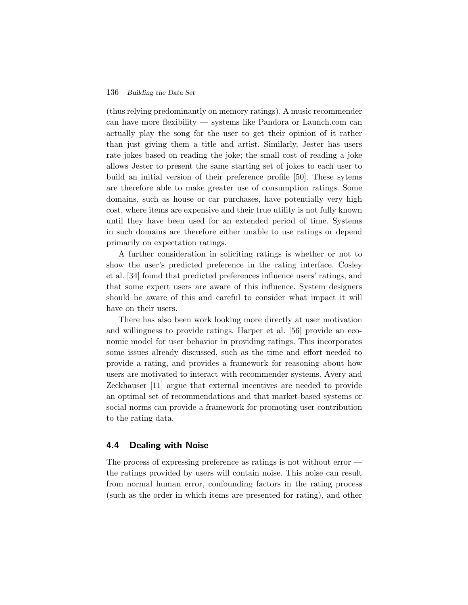#### 136 *Building the Data Set*

(thus relying predominantly on memory ratings). A music recommender can have more flexibility — systems like Pandora or Launch.com can actually play the song for the user to get their opinion of it rather than just giving them a title and artist. Similarly, Jester has users rate jokes based on reading the joke; the small cost of reading a joke allows Jester to present the same starting set of jokes to each user to build an initial version of their preference profile [50]. These sytems are therefore able to make greater use of consumption ratings. Some domains, such as house or car purchases, have potentially very high cost, where items are expensive and their true utility is not fully known until they have been used for an extended period of time. Systems in such domains are therefore either unable to use ratings or depend primarily on expectation ratings.

A further consideration in soliciting ratings is whether or not to show the user's predicted preference in the rating interface. Cosley et al. [34] found that predicted preferences influence users' ratings, and that some expert users are aware of this influence. System designers should be aware of this and careful to consider what impact it will have on their users.

There has also been work looking more directly at user motivation and willingness to provide ratings. Harper et al. [56] provide an economic model for user behavior in providing ratings. This incorporates some issues already discussed, such as the time and effort needed to provide a rating, and provides a framework for reasoning about how users are motivated to interact with recommender systems. Avery and Zeckhauser [11] argue that external incentives are needed to provide an optimal set of recommendations and that market-based systems or social norms can provide a framework for promoting user contribution to the rating data.

#### **4.4 Dealing with Noise**

The process of expressing preference as ratings is not without error the ratings provided by users will contain noise. This noise can result from normal human error, confounding factors in the rating process (such as the order in which items are presented for rating), and other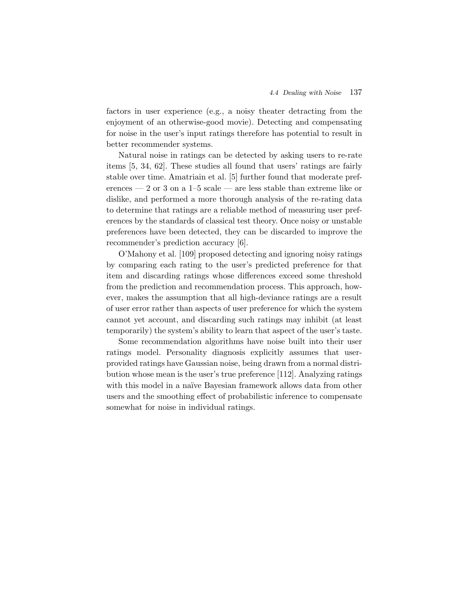factors in user experience (e.g., a noisy theater detracting from the enjoyment of an otherwise-good movie). Detecting and compensating for noise in the user's input ratings therefore has potential to result in better recommender systems.

Natural noise in ratings can be detected by asking users to re-rate items [5, 34, 62]. These studies all found that users' ratings are fairly stable over time. Amatriain et al. [5] further found that moderate preferences — 2 or 3 on a 1–5 scale — are less stable than extreme like or dislike, and performed a more thorough analysis of the re-rating data to determine that ratings are a reliable method of measuring user preferences by the standards of classical test theory. Once noisy or unstable preferences have been detected, they can be discarded to improve the recommender's prediction accuracy [6].

O'Mahony et al. [109] proposed detecting and ignoring noisy ratings by comparing each rating to the user's predicted preference for that item and discarding ratings whose differences exceed some threshold from the prediction and recommendation process. This approach, however, makes the assumption that all high-deviance ratings are a result of user error rather than aspects of user preference for which the system cannot yet account, and discarding such ratings may inhibit (at least temporarily) the system's ability to learn that aspect of the user's taste.

Some recommendation algorithms have noise built into their user ratings model. Personality diagnosis explicitly assumes that userprovided ratings have Gaussian noise, being drawn from a normal distribution whose mean is the user's true preference [112]. Analyzing ratings with this model in a naïve Bayesian framework allows data from other users and the smoothing effect of probabilistic inference to compensate somewhat for noise in individual ratings.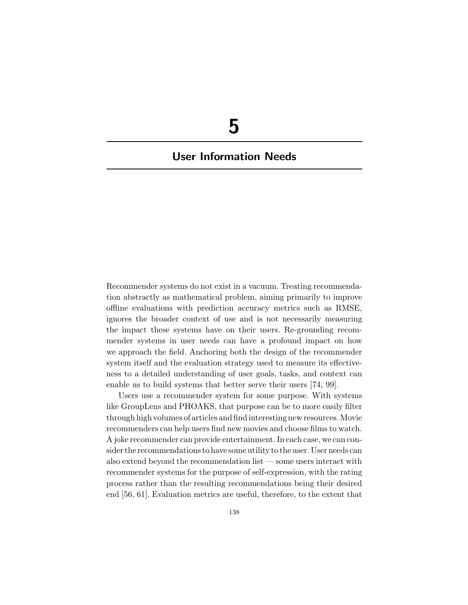# **5**

### **User Information Needs**

Recommender systems do not exist in a vacuum. Treating recommendation abstractly as mathematical problem, aiming primarily to improve offline evaluations with prediction accuracy metrics such as RMSE, ignores the broader context of use and is not necessarily measuring the impact these systems have on their users. Re-grounding recommender systems in user needs can have a profound impact on how we approach the field. Anchoring both the design of the recommender system itself and the evaluation strategy used to measure its effectiveness to a detailed understanding of user goals, tasks, and context can enable us to build systems that better serve their users [74, 99].

Users use a recommender system for some purpose. With systems like GroupLens and PHOAKS, that purpose can be to more easily filter through high volumes of articles and find interesting new resources.Movie recommenders can help users find new movies and choose films to watch. A joke recommender can provide entertainment. In each case, we can consider the recommendations to have some utility to the user. User needs can also extend beyond the recommendation list — some users interact with recommender systems for the purpose of self-expression, with the rating process rather than the resulting recommendations being their desired end [56, 61]. Evaluation metrics are useful, therefore, to the extent that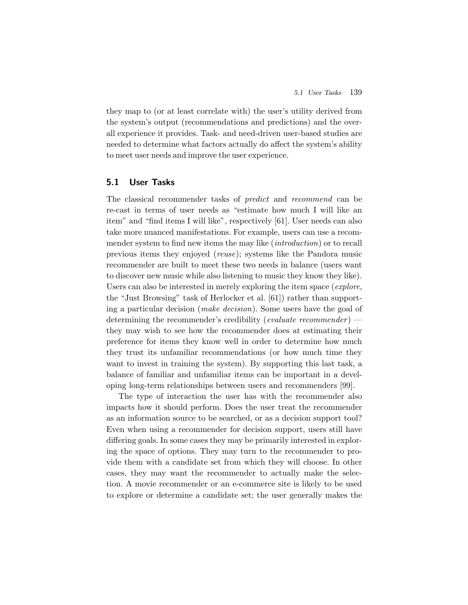they map to (or at least correlate with) the user's utility derived from the system's output (recommendations and predictions) and the overall experience it provides. Task- and need-driven user-based studies are needed to determine what factors actually do affect the system's ability to meet user needs and improve the user experience.

#### **5.1 User Tasks**

The classical recommender tasks of *predict* and *recommend* can be re-cast in terms of user needs as "estimate how much I will like an item" and "find items I will like", respectively [61]. User needs can also take more nuanced manifestations. For example, users can use a recommender system to find new items the may like (*introduction*) or to recall previous items they enjoyed (*reuse*); systems like the Pandora music recommender are built to meet these two needs in balance (users want to discover new music while also listening to music they know they like). Users can also be interested in merely exploring the item space (*explore*, the "Just Browsing" task of Herlocker et al. [61]) rather than supporting a particular decision (*make decision*). Some users have the goal of determining the recommender's credibility (*evaluate recommender* ) they may wish to see how the recommender does at estimating their preference for items they know well in order to determine how much they trust its unfamiliar recommendations (or how much time they want to invest in training the system). By supporting this last task, a balance of familiar and unfamiliar items can be important in a developing long-term relationships between users and recommenders [99].

The type of interaction the user has with the recommender also impacts how it should perform. Does the user treat the recommender as an information source to be searched, or as a decision support tool? Even when using a recommender for decision support, users still have differing goals. In some cases they may be primarily interested in exploring the space of options. They may turn to the recommender to provide them with a candidate set from which they will choose. In other cases, they may want the recommender to actually make the selection. A movie recommender or an e-commerce site is likely to be used to explore or determine a candidate set; the user generally makes the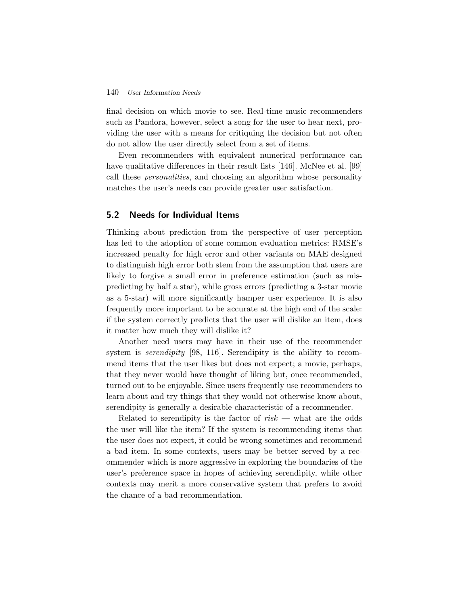#### 140 *User Information Needs*

final decision on which movie to see. Real-time music recommenders such as Pandora, however, select a song for the user to hear next, providing the user with a means for critiquing the decision but not often do not allow the user directly select from a set of items.

Even recommenders with equivalent numerical performance can have qualitative differences in their result lists [146]. McNee et al. [99] call these *personalities*, and choosing an algorithm whose personality matches the user's needs can provide greater user satisfaction.

#### **5.2 Needs for Individual Items**

Thinking about prediction from the perspective of user perception has led to the adoption of some common evaluation metrics: RMSE's increased penalty for high error and other variants on MAE designed to distinguish high error both stem from the assumption that users are likely to forgive a small error in preference estimation (such as mispredicting by half a star), while gross errors (predicting a 3-star movie as a 5-star) will more significantly hamper user experience. It is also frequently more important to be accurate at the high end of the scale: if the system correctly predicts that the user will dislike an item, does it matter how much they will dislike it?

Another need users may have in their use of the recommender system is *serendipity* [98, 116]. Serendipity is the ability to recommend items that the user likes but does not expect; a movie, perhaps, that they never would have thought of liking but, once recommended, turned out to be enjoyable. Since users frequently use recommenders to learn about and try things that they would not otherwise know about, serendipity is generally a desirable characteristic of a recommender.

Related to serendipity is the factor of *risk* — what are the odds the user will like the item? If the system is recommending items that the user does not expect, it could be wrong sometimes and recommend a bad item. In some contexts, users may be better served by a recommender which is more aggressive in exploring the boundaries of the user's preference space in hopes of achieving serendipity, while other contexts may merit a more conservative system that prefers to avoid the chance of a bad recommendation.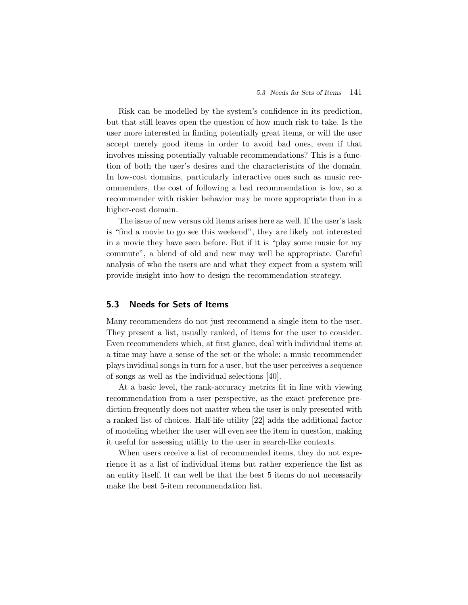Risk can be modelled by the system's confidence in its prediction, but that still leaves open the question of how much risk to take. Is the user more interested in finding potentially great items, or will the user accept merely good items in order to avoid bad ones, even if that involves missing potentially valuable recommendations? This is a function of both the user's desires and the characteristics of the domain. In low-cost domains, particularly interactive ones such as music recommenders, the cost of following a bad recommendation is low, so a recommender with riskier behavior may be more appropriate than in a higher-cost domain.

The issue of new versus old items arises here as well. If the user's task is "find a movie to go see this weekend", they are likely not interested in a movie they have seen before. But if it is "play some music for my commute", a blend of old and new may well be appropriate. Careful analysis of who the users are and what they expect from a system will provide insight into how to design the recommendation strategy.

#### **5.3 Needs for Sets of Items**

Many recommenders do not just recommend a single item to the user. They present a list, usually ranked, of items for the user to consider. Even recommenders which, at first glance, deal with individual items at a time may have a sense of the set or the whole: a music recommender plays invidiual songs in turn for a user, but the user perceives a sequence of songs as well as the individual selections [40].

At a basic level, the rank-accuracy metrics fit in line with viewing recommendation from a user perspective, as the exact preference prediction frequently does not matter when the user is only presented with a ranked list of choices. Half-life utility [22] adds the additional factor of modeling whether the user will even see the item in question, making it useful for assessing utility to the user in search-like contexts.

When users receive a list of recommended items, they do not experience it as a list of individual items but rather experience the list as an entity itself. It can well be that the best 5 items do not necessarily make the best 5-item recommendation list.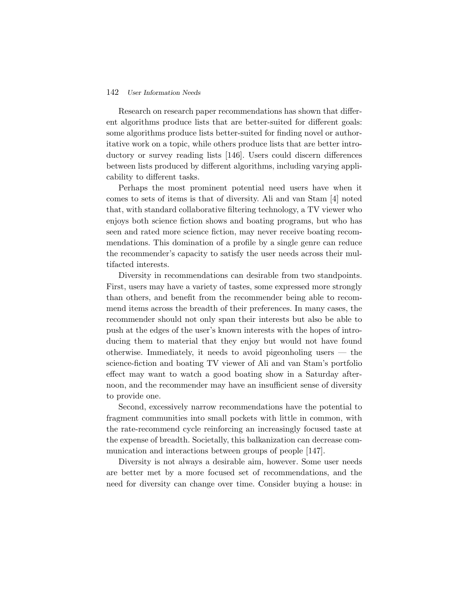#### 142 *User Information Needs*

Research on research paper recommendations has shown that different algorithms produce lists that are better-suited for different goals: some algorithms produce lists better-suited for finding novel or authoritative work on a topic, while others produce lists that are better introductory or survey reading lists [146]. Users could discern differences between lists produced by different algorithms, including varying applicability to different tasks.

Perhaps the most prominent potential need users have when it comes to sets of items is that of diversity. Ali and van Stam [4] noted that, with standard collaborative filtering technology, a TV viewer who enjoys both science fiction shows and boating programs, but who has seen and rated more science fiction, may never receive boating recommendations. This domination of a profile by a single genre can reduce the recommender's capacity to satisfy the user needs across their multifacted interests.

Diversity in recommendations can desirable from two standpoints. First, users may have a variety of tastes, some expressed more strongly than others, and benefit from the recommender being able to recommend items across the breadth of their preferences. In many cases, the recommender should not only span their interests but also be able to push at the edges of the user's known interests with the hopes of introducing them to material that they enjoy but would not have found otherwise. Immediately, it needs to avoid pigeonholing users — the science-fiction and boating TV viewer of Ali and van Stam's portfolio effect may want to watch a good boating show in a Saturday afternoon, and the recommender may have an insufficient sense of diversity to provide one.

Second, excessively narrow recommendations have the potential to fragment communities into small pockets with little in common, with the rate-recommend cycle reinforcing an increasingly focused taste at the expense of breadth. Societally, this balkanization can decrease communication and interactions between groups of people [147].

Diversity is not always a desirable aim, however. Some user needs are better met by a more focused set of recommendations, and the need for diversity can change over time. Consider buying a house: in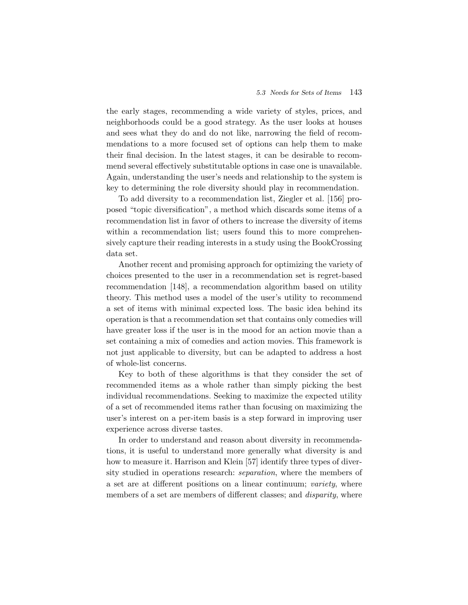the early stages, recommending a wide variety of styles, prices, and neighborhoods could be a good strategy. As the user looks at houses and sees what they do and do not like, narrowing the field of recommendations to a more focused set of options can help them to make their final decision. In the latest stages, it can be desirable to recommend several effectively substitutable options in case one is unavailable. Again, understanding the user's needs and relationship to the system is key to determining the role diversity should play in recommendation.

To add diversity to a recommendation list, Ziegler et al. [156] proposed "topic diversification", a method which discards some items of a recommendation list in favor of others to increase the diversity of items within a recommendation list; users found this to more comprehensively capture their reading interests in a study using the BookCrossing data set.

Another recent and promising approach for optimizing the variety of choices presented to the user in a recommendation set is regret-based recommendation [148], a recommendation algorithm based on utility theory. This method uses a model of the user's utility to recommend a set of items with minimal expected loss. The basic idea behind its operation is that a recommendation set that contains only comedies will have greater loss if the user is in the mood for an action movie than a set containing a mix of comedies and action movies. This framework is not just applicable to diversity, but can be adapted to address a host of whole-list concerns.

Key to both of these algorithms is that they consider the set of recommended items as a whole rather than simply picking the best individual recommendations. Seeking to maximize the expected utility of a set of recommended items rather than focusing on maximizing the user's interest on a per-item basis is a step forward in improving user experience across diverse tastes.

In order to understand and reason about diversity in recommendations, it is useful to understand more generally what diversity is and how to measure it. Harrison and Klein [57] identify three types of diversity studied in operations research: *separation*, where the members of a set are at different positions on a linear continuum; *variety*, where members of a set are members of different classes; and *disparity*, where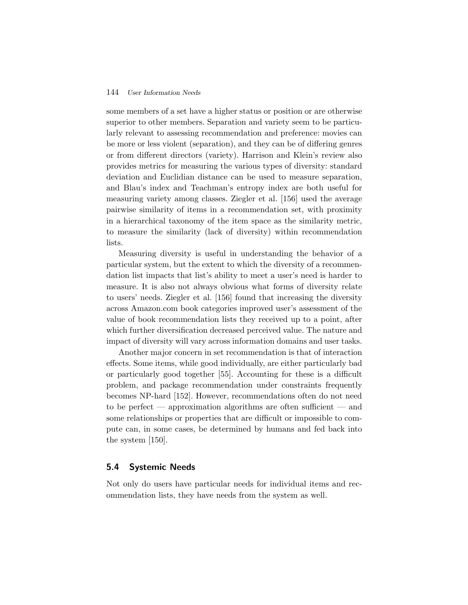#### 144 *User Information Needs*

some members of a set have a higher status or position or are otherwise superior to other members. Separation and variety seem to be particularly relevant to assessing recommendation and preference: movies can be more or less violent (separation), and they can be of differing genres or from different directors (variety). Harrison and Klein's review also provides metrics for measuring the various types of diversity: standard deviation and Euclidian distance can be used to measure separation, and Blau's index and Teachman's entropy index are both useful for measuring variety among classes. Ziegler et al. [156] used the average pairwise similarity of items in a recommendation set, with proximity in a hierarchical taxonomy of the item space as the similarity metric, to measure the similarity (lack of diversity) within recommendation lists.

Measuring diversity is useful in understanding the behavior of a particular system, but the extent to which the diversity of a recommendation list impacts that list's ability to meet a user's need is harder to measure. It is also not always obvious what forms of diversity relate to users' needs. Ziegler et al. [156] found that increasing the diversity across Amazon.com book categories improved user's assessment of the value of book recommendation lists they received up to a point, after which further diversification decreased perceived value. The nature and impact of diversity will vary across information domains and user tasks.

Another major concern in set recommendation is that of interaction effects. Some items, while good individually, are either particularly bad or particularly good together [55]. Accounting for these is a difficult problem, and package recommendation under constraints frequently becomes NP-hard [152]. However, recommendations often do not need to be perfect — approximation algorithms are often sufficient — and some relationships or properties that are difficult or impossible to compute can, in some cases, be determined by humans and fed back into the system [150].

#### **5.4 Systemic Needs**

Not only do users have particular needs for individual items and recommendation lists, they have needs from the system as well.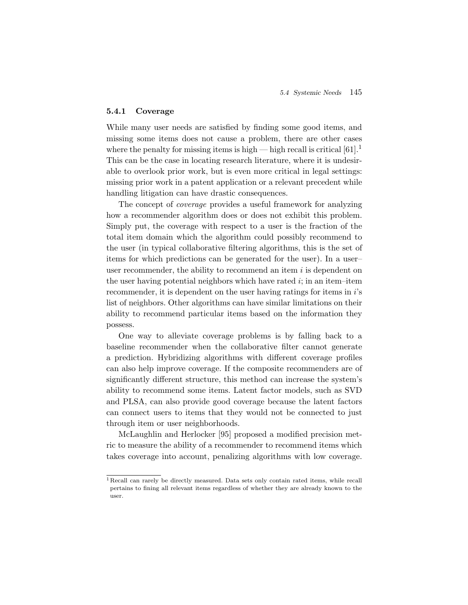#### **5.4.1 Coverage**

While many user needs are satisfied by finding some good items, and missing some items does not cause a problem, there are other cases where the penalty for missing items is high — high recall is critical  $[61]$ <sup>1</sup> This can be the case in locating research literature, where it is undesirable to overlook prior work, but is even more critical in legal settings: missing prior work in a patent application or a relevant precedent while handling litigation can have drastic consequences.

The concept of *coverage* provides a useful framework for analyzing how a recommender algorithm does or does not exhibit this problem. Simply put, the coverage with respect to a user is the fraction of the total item domain which the algorithm could possibly recommend to the user (in typical collaborative filtering algorithms, this is the set of items for which predictions can be generated for the user). In a user– user recommender, the ability to recommend an item  $i$  is dependent on the user having potential neighbors which have rated  $i$ ; in an item–item recommender, it is dependent on the user having ratings for items in  $i$ 's list of neighbors. Other algorithms can have similar limitations on their ability to recommend particular items based on the information they possess.

One way to alleviate coverage problems is by falling back to a baseline recommender when the collaborative filter cannot generate a prediction. Hybridizing algorithms with different coverage profiles can also help improve coverage. If the composite recommenders are of significantly different structure, this method can increase the system's ability to recommend some items. Latent factor models, such as SVD and PLSA, can also provide good coverage because the latent factors can connect users to items that they would not be connected to just through item or user neighborhoods.

McLaughlin and Herlocker [95] proposed a modified precision metric to measure the ability of a recommender to recommend items which takes coverage into account, penalizing algorithms with low coverage.

<sup>1</sup> Recall can rarely be directly measured. Data sets only contain rated items, while recall pertains to fining all relevant items regardless of whether they are already known to the user.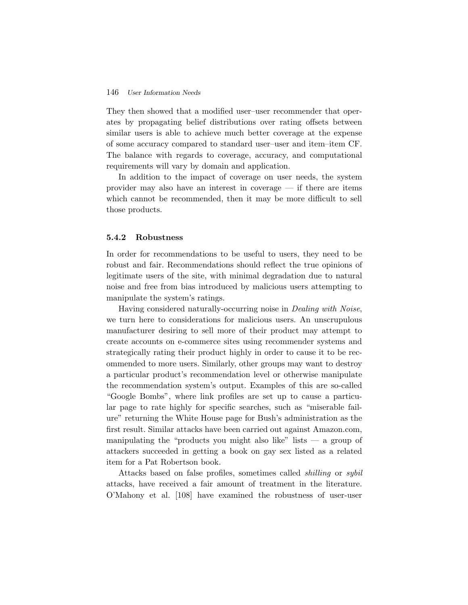#### 146 *User Information Needs*

They then showed that a modified user–user recommender that operates by propagating belief distributions over rating offsets between similar users is able to achieve much better coverage at the expense of some accuracy compared to standard user–user and item–item CF. The balance with regards to coverage, accuracy, and computational requirements will vary by domain and application.

In addition to the impact of coverage on user needs, the system provider may also have an interest in coverage — if there are items which cannot be recommended, then it may be more difficult to sell those products.

#### **5.4.2 Robustness**

In order for recommendations to be useful to users, they need to be robust and fair. Recommendations should reflect the true opinions of legitimate users of the site, with minimal degradation due to natural noise and free from bias introduced by malicious users attempting to manipulate the system's ratings.

Having considered naturally-occurring noise in *Dealing with Noise*, we turn here to considerations for malicious users. An unscrupulous manufacturer desiring to sell more of their product may attempt to create accounts on e-commerce sites using recommender systems and strategically rating their product highly in order to cause it to be recommended to more users. Similarly, other groups may want to destroy a particular product's recommendation level or otherwise manipulate the recommendation system's output. Examples of this are so-called "Google Bombs", where link profiles are set up to cause a particular page to rate highly for specific searches, such as "miserable failure" returning the White House page for Bush's administration as the first result. Similar attacks have been carried out against Amazon.com, manipulating the "products you might also like" lists  $-$  a group of attackers succeeded in getting a book on gay sex listed as a related item for a Pat Robertson book.

Attacks based on false profiles, sometimes called *shilling* or *sybil* attacks, have received a fair amount of treatment in the literature. O'Mahony et al. [108] have examined the robustness of user-user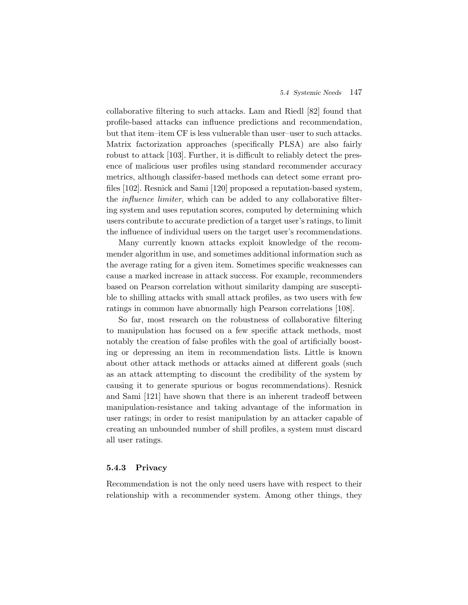#### *5.4 Systemic Needs* 147

collaborative filtering to such attacks. Lam and Riedl [82] found that profile-based attacks can influence predictions and recommendation, but that item–item CF is less vulnerable than user–user to such attacks. Matrix factorization approaches (specifically PLSA) are also fairly robust to attack [103]. Further, it is difficult to reliably detect the presence of malicious user profiles using standard recommender accuracy metrics, although classifer-based methods can detect some errant profiles [102]. Resnick and Sami [120] proposed a reputation-based system, the *influence limiter*, which can be added to any collaborative filtering system and uses reputation scores, computed by determining which users contribute to accurate prediction of a target user's ratings, to limit the influence of individual users on the target user's recommendations.

Many currently known attacks exploit knowledge of the recommender algorithm in use, and sometimes additional information such as the average rating for a given item. Sometimes specific weaknesses can cause a marked increase in attack success. For example, recommenders based on Pearson correlation without similarity damping are susceptible to shilling attacks with small attack profiles, as two users with few ratings in common have abnormally high Pearson correlations [108].

So far, most research on the robustness of collaborative filtering to manipulation has focused on a few specific attack methods, most notably the creation of false profiles with the goal of artificially boosting or depressing an item in recommendation lists. Little is known about other attack methods or attacks aimed at different goals (such as an attack attempting to discount the credibility of the system by causing it to generate spurious or bogus recommendations). Resnick and Sami [121] have shown that there is an inherent tradeoff between manipulation-resistance and taking advantage of the information in user ratings; in order to resist manipulation by an attacker capable of creating an unbounded number of shill profiles, a system must discard all user ratings.

#### **5.4.3 Privacy**

Recommendation is not the only need users have with respect to their relationship with a recommender system. Among other things, they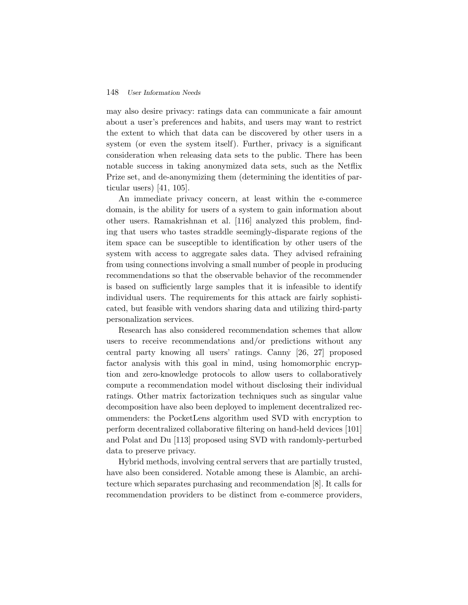#### 148 *User Information Needs*

may also desire privacy: ratings data can communicate a fair amount about a user's preferences and habits, and users may want to restrict the extent to which that data can be discovered by other users in a system (or even the system itself). Further, privacy is a significant consideration when releasing data sets to the public. There has been notable success in taking anonymized data sets, such as the Netflix Prize set, and de-anonymizing them (determining the identities of particular users) [41, 105].

An immediate privacy concern, at least within the e-commerce domain, is the ability for users of a system to gain information about other users. Ramakrishnan et al. [116] analyzed this problem, finding that users who tastes straddle seemingly-disparate regions of the item space can be susceptible to identification by other users of the system with access to aggregate sales data. They advised refraining from using connections involving a small number of people in producing recommendations so that the observable behavior of the recommender is based on sufficiently large samples that it is infeasible to identify individual users. The requirements for this attack are fairly sophisticated, but feasible with vendors sharing data and utilizing third-party personalization services.

Research has also considered recommendation schemes that allow users to receive recommendations and/or predictions without any central party knowing all users' ratings. Canny [26, 27] proposed factor analysis with this goal in mind, using homomorphic encryption and zero-knowledge protocols to allow users to collaboratively compute a recommendation model without disclosing their individual ratings. Other matrix factorization techniques such as singular value decomposition have also been deployed to implement decentralized recommenders: the PocketLens algorithm used SVD with encryption to perform decentralized collaborative filtering on hand-held devices [101] and Polat and Du [113] proposed using SVD with randomly-perturbed data to preserve privacy.

Hybrid methods, involving central servers that are partially trusted, have also been considered. Notable among these is Alambic, an architecture which separates purchasing and recommendation [8]. It calls for recommendation providers to be distinct from e-commerce providers,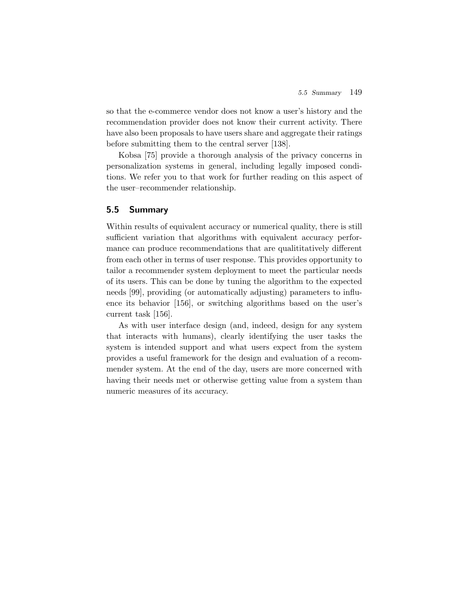so that the e-commerce vendor does not know a user's history and the recommendation provider does not know their current activity. There have also been proposals to have users share and aggregate their ratings before submitting them to the central server [138].

Kobsa [75] provide a thorough analysis of the privacy concerns in personalization systems in general, including legally imposed conditions. We refer you to that work for further reading on this aspect of the user–recommender relationship.

#### **5.5 Summary**

Within results of equivalent accuracy or numerical quality, there is still sufficient variation that algorithms with equivalent accuracy performance can produce recommendations that are qualititatively different from each other in terms of user response. This provides opportunity to tailor a recommender system deployment to meet the particular needs of its users. This can be done by tuning the algorithm to the expected needs [99], providing (or automatically adjusting) parameters to influence its behavior [156], or switching algorithms based on the user's current task [156].

As with user interface design (and, indeed, design for any system that interacts with humans), clearly identifying the user tasks the system is intended support and what users expect from the system provides a useful framework for the design and evaluation of a recommender system. At the end of the day, users are more concerned with having their needs met or otherwise getting value from a system than numeric measures of its accuracy.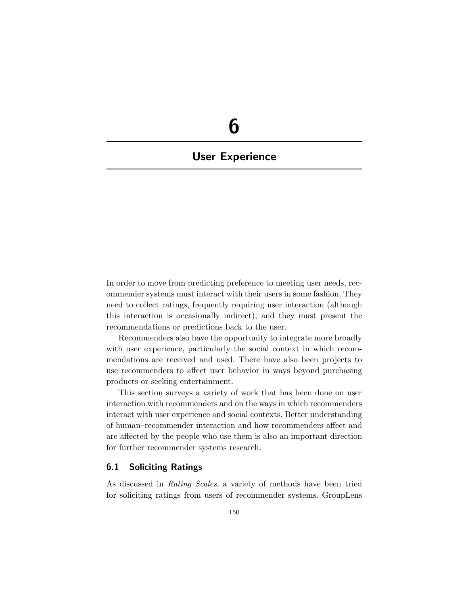# **6**

## **User Experience**

In order to move from predicting preference to meeting user needs, recommender systems must interact with their users in some fashion. They need to collect ratings, frequently requiring user interaction (although this interaction is occasionally indirect), and they must present the recommendations or predictions back to the user.

Recommenders also have the opportunity to integrate more broadly with user experience, particularly the social context in which recommendations are received and used. There have also been projects to use recommenders to affect user behavior in ways beyond purchasing products or seeking entertainment.

This section surveys a variety of work that has been done on user interaction with recommenders and on the ways in which recommenders interact with user experience and social contexts. Better understanding of human–recommender interaction and how recommenders affect and are affected by the people who use them is also an important direction for further recommender systems research.

#### **6.1 Soliciting Ratings**

As discussed in *Rating Scales*, a variety of methods have been tried for soliciting ratings from users of recommender systems. GroupLens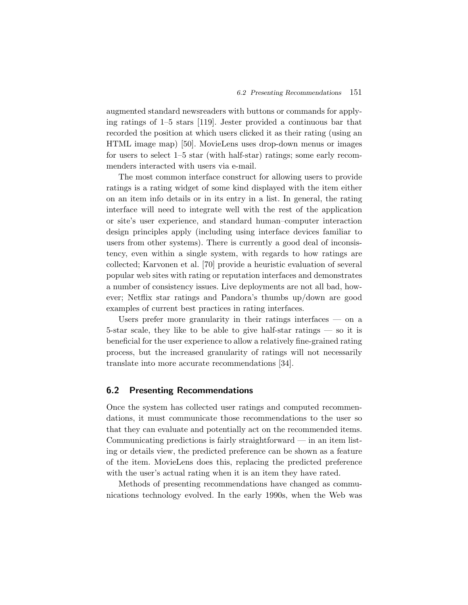augmented standard newsreaders with buttons or commands for applying ratings of 1–5 stars [119]. Jester provided a continuous bar that recorded the position at which users clicked it as their rating (using an HTML image map) [50]. MovieLens uses drop-down menus or images for users to select 1–5 star (with half-star) ratings; some early recommenders interacted with users via e-mail.

The most common interface construct for allowing users to provide ratings is a rating widget of some kind displayed with the item either on an item info details or in its entry in a list. In general, the rating interface will need to integrate well with the rest of the application or site's user experience, and standard human–computer interaction design principles apply (including using interface devices familiar to users from other systems). There is currently a good deal of inconsistency, even within a single system, with regards to how ratings are collected; Karvonen et al. [70] provide a heuristic evaluation of several popular web sites with rating or reputation interfaces and demonstrates a number of consistency issues. Live deployments are not all bad, however; Netflix star ratings and Pandora's thumbs up/down are good examples of current best practices in rating interfaces.

Users prefer more granularity in their ratings interfaces — on a 5-star scale, they like to be able to give half-star ratings — so it is beneficial for the user experience to allow a relatively fine-grained rating process, but the increased granularity of ratings will not necessarily translate into more accurate recommendations [34].

# **6.2 Presenting Recommendations**

Once the system has collected user ratings and computed recommendations, it must communicate those recommendations to the user so that they can evaluate and potentially act on the recommended items. Communicating predictions is fairly straightforward  $-$  in an item listing or details view, the predicted preference can be shown as a feature of the item. MovieLens does this, replacing the predicted preference with the user's actual rating when it is an item they have rated.

Methods of presenting recommendations have changed as communications technology evolved. In the early 1990s, when the Web was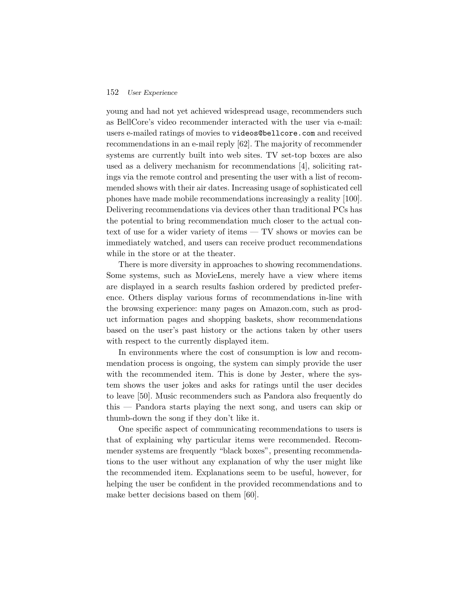young and had not yet achieved widespread usage, recommenders such as BellCore's video recommender interacted with the user via e-mail: users e-mailed ratings of movies to videos@bellcore.com and received recommendations in an e-mail reply [62]. The majority of recommender systems are currently built into web sites. TV set-top boxes are also used as a delivery mechanism for recommendations [4], soliciting ratings via the remote control and presenting the user with a list of recommended shows with their air dates. Increasing usage of sophisticated cell phones have made mobile recommendations increasingly a reality [100]. Delivering recommendations via devices other than traditional PCs has the potential to bring recommendation much closer to the actual context of use for a wider variety of items — TV shows or movies can be immediately watched, and users can receive product recommendations while in the store or at the theater.

There is more diversity in approaches to showing recommendations. Some systems, such as MovieLens, merely have a view where items are displayed in a search results fashion ordered by predicted preference. Others display various forms of recommendations in-line with the browsing experience: many pages on Amazon.com, such as product information pages and shopping baskets, show recommendations based on the user's past history or the actions taken by other users with respect to the currently displayed item.

In environments where the cost of consumption is low and recommendation process is ongoing, the system can simply provide the user with the recommended item. This is done by Jester, where the system shows the user jokes and asks for ratings until the user decides to leave [50]. Music recommenders such as Pandora also frequently do this — Pandora starts playing the next song, and users can skip or thumb-down the song if they don't like it.

One specific aspect of communicating recommendations to users is that of explaining why particular items were recommended. Recommender systems are frequently "black boxes", presenting recommendations to the user without any explanation of why the user might like the recommended item. Explanations seem to be useful, however, for helping the user be confident in the provided recommendations and to make better decisions based on them [60].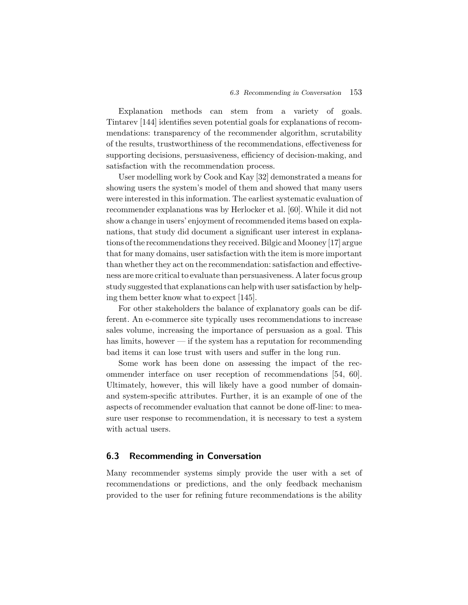Explanation methods can stem from a variety of goals. Tintarev [144] identifies seven potential goals for explanations of recommendations: transparency of the recommender algorithm, scrutability of the results, trustworthiness of the recommendations, effectiveness for supporting decisions, persuasiveness, efficiency of decision-making, and satisfaction with the recommendation process.

User modelling work by Cook and Kay [32] demonstrated a means for showing users the system's model of them and showed that many users were interested in this information. The earliest systematic evaluation of recommender explanations was by Herlocker et al. [60]. While it did not show a change in users' enjoyment of recommended items based on explanations, that study did document a significant user interest in explanations of the recommendations they received. Bilgic and Mooney [17] argue that for many domains, user satisfaction with the item is more important than whether they act on the recommendation: satisfaction and effectiveness are more critical to evaluate than persuasiveness. A later focus group study suggested that explanations can help with user satisfaction by helping them better know what to expect [145].

For other stakeholders the balance of explanatory goals can be different. An e-commerce site typically uses recommendations to increase sales volume, increasing the importance of persuasion as a goal. This has limits, however — if the system has a reputation for recommending bad items it can lose trust with users and suffer in the long run.

Some work has been done on assessing the impact of the recommender interface on user reception of recommendations [54, 60]. Ultimately, however, this will likely have a good number of domainand system-specific attributes. Further, it is an example of one of the aspects of recommender evaluation that cannot be done off-line: to measure user response to recommendation, it is necessary to test a system with actual users.

## **6.3 Recommending in Conversation**

Many recommender systems simply provide the user with a set of recommendations or predictions, and the only feedback mechanism provided to the user for refining future recommendations is the ability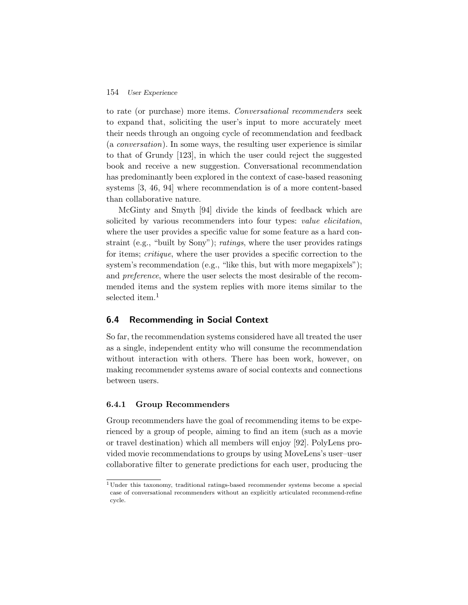to rate (or purchase) more items. *Conversational recommenders* seek to expand that, soliciting the user's input to more accurately meet their needs through an ongoing cycle of recommendation and feedback (a *conversation*). In some ways, the resulting user experience is similar to that of Grundy [123], in which the user could reject the suggested book and receive a new suggestion. Conversational recommendation has predominantly been explored in the context of case-based reasoning systems [3, 46, 94] where recommendation is of a more content-based than collaborative nature.

McGinty and Smyth [94] divide the kinds of feedback which are solicited by various recommenders into four types: *value elicitation*, where the user provides a specific value for some feature as a hard constraint (e.g., "built by Sony"); *ratings*, where the user provides ratings for items; *critique*, where the user provides a specific correction to the system's recommendation (e.g., "like this, but with more megapixels"); and *preference*, where the user selects the most desirable of the recommended items and the system replies with more items similar to the selected item.<sup>1</sup>

# **6.4 Recommending in Social Context**

So far, the recommendation systems considered have all treated the user as a single, independent entity who will consume the recommendation without interaction with others. There has been work, however, on making recommender systems aware of social contexts and connections between users.

### **6.4.1 Group Recommenders**

Group recommenders have the goal of recommending items to be experienced by a group of people, aiming to find an item (such as a movie or travel destination) which all members will enjoy [92]. PolyLens provided movie recommendations to groups by using MoveLens's user–user collaborative filter to generate predictions for each user, producing the

<sup>1</sup> Under this taxonomy, traditional ratings-based recommender systems become a special case of conversational recommenders without an explicitly articulated recommend-refine cycle.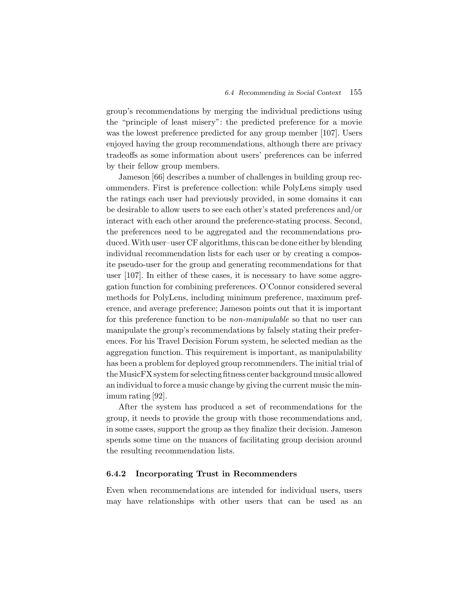group's recommendations by merging the individual predictions using the "principle of least misery": the predicted preference for a movie was the lowest preference predicted for any group member [107]. Users enjoyed having the group recommendations, although there are privacy tradeoffs as some information about users' preferences can be inferred by their fellow group members.

Jameson [66] describes a number of challenges in building group recommenders. First is preference collection: while PolyLens simply used the ratings each user had previously provided, in some domains it can be desirable to allow users to see each other's stated preferences and/or interact with each other around the preference-stating process. Second, the preferences need to be aggregated and the recommendations produced.With user–user CF algorithms, this can be done either by blending individual recommendation lists for each user or by creating a composite pseudo-user for the group and generating recommendations for that user [107]. In either of these cases, it is necessary to have some aggregation function for combining preferences. O'Connor considered several methods for PolyLens, including minimum preference, maximum preference, and average preference; Jameson points out that it is important for this preference function to be *non-manipulable* so that no user can manipulate the group's recommendations by falsely stating their preferences. For his Travel Decision Forum system, he selected median as the aggregation function. This requirement is important, as manipulability has been a problem for deployed group recommenders. The initial trial of theMusicFX system for selecting fitness center background music allowed an individual to force a music change by giving the current music the minimum rating [92].

After the system has produced a set of recommendations for the group, it needs to provide the group with those recommendations and, in some cases, support the group as they finalize their decision. Jameson spends some time on the nuances of facilitating group decision around the resulting recommendation lists.

# **6.4.2 Incorporating Trust in Recommenders**

Even when recommendations are intended for individual users, users may have relationships with other users that can be used as an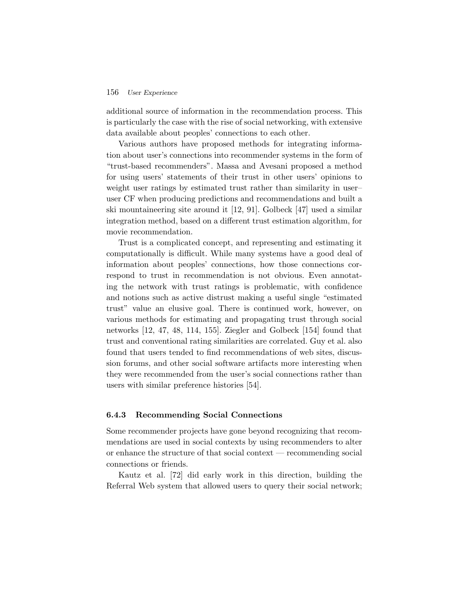additional source of information in the recommendation process. This is particularly the case with the rise of social networking, with extensive data available about peoples' connections to each other.

Various authors have proposed methods for integrating information about user's connections into recommender systems in the form of "trust-based recommenders". Massa and Avesani proposed a method for using users' statements of their trust in other users' opinions to weight user ratings by estimated trust rather than similarity in user– user CF when producing predictions and recommendations and built a ski mountaineering site around it [12, 91]. Golbeck [47] used a similar integration method, based on a different trust estimation algorithm, for movie recommendation.

Trust is a complicated concept, and representing and estimating it computationally is difficult. While many systems have a good deal of information about peoples' connections, how those connections correspond to trust in recommendation is not obvious. Even annotating the network with trust ratings is problematic, with confidence and notions such as active distrust making a useful single "estimated trust" value an elusive goal. There is continued work, however, on various methods for estimating and propagating trust through social networks [12, 47, 48, 114, 155]. Ziegler and Golbeck [154] found that trust and conventional rating similarities are correlated. Guy et al. also found that users tended to find recommendations of web sites, discussion forums, and other social software artifacts more interesting when they were recommended from the user's social connections rather than users with similar preference histories [54].

### **6.4.3 Recommending Social Connections**

Some recommender projects have gone beyond recognizing that recommendations are used in social contexts by using recommenders to alter or enhance the structure of that social context — recommending social connections or friends.

Kautz et al. [72] did early work in this direction, building the Referral Web system that allowed users to query their social network;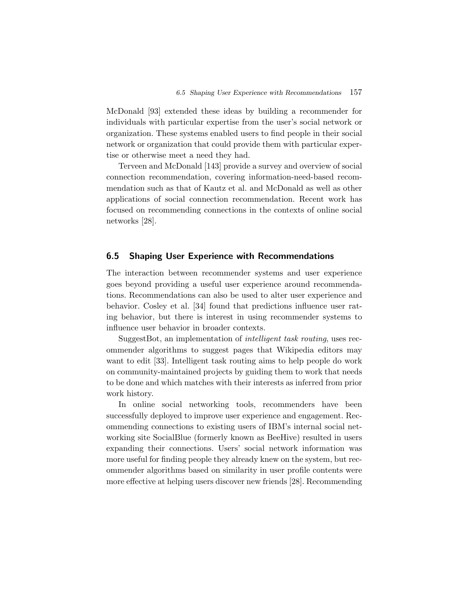McDonald [93] extended these ideas by building a recommender for individuals with particular expertise from the user's social network or organization. These systems enabled users to find people in their social network or organization that could provide them with particular expertise or otherwise meet a need they had.

Terveen and McDonald [143] provide a survey and overview of social connection recommendation, covering information-need-based recommendation such as that of Kautz et al. and McDonald as well as other applications of social connection recommendation. Recent work has focused on recommending connections in the contexts of online social networks [28].

# **6.5 Shaping User Experience with Recommendations**

The interaction between recommender systems and user experience goes beyond providing a useful user experience around recommendations. Recommendations can also be used to alter user experience and behavior. Cosley et al. [34] found that predictions influence user rating behavior, but there is interest in using recommender systems to influence user behavior in broader contexts.

SuggestBot, an implementation of *intelligent task routing*, uses recommender algorithms to suggest pages that Wikipedia editors may want to edit [33]. Intelligent task routing aims to help people do work on community-maintained projects by guiding them to work that needs to be done and which matches with their interests as inferred from prior work history.

In online social networking tools, recommenders have been successfully deployed to improve user experience and engagement. Recommending connections to existing users of IBM's internal social networking site SocialBlue (formerly known as BeeHive) resulted in users expanding their connections. Users' social network information was more useful for finding people they already knew on the system, but recommender algorithms based on similarity in user profile contents were more effective at helping users discover new friends [28]. Recommending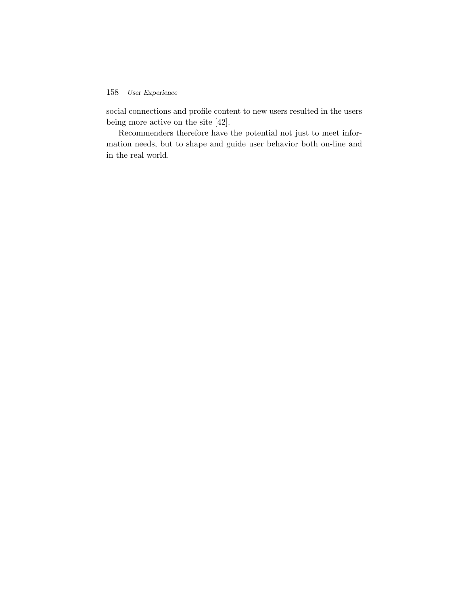social connections and profile content to new users resulted in the users being more active on the site [42].

Recommenders therefore have the potential not just to meet information needs, but to shape and guide user behavior both on-line and in the real world.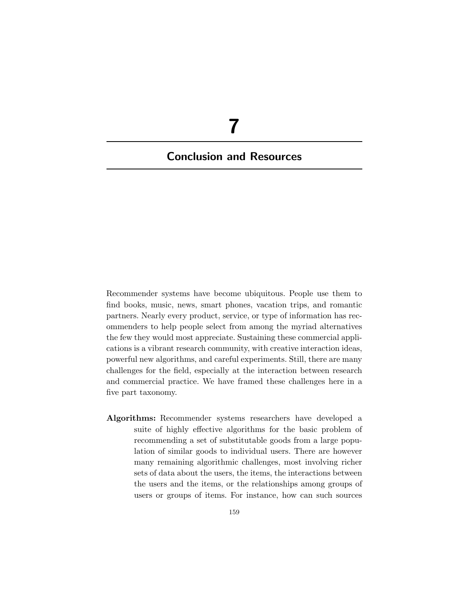# **7**

# **Conclusion and Resources**

Recommender systems have become ubiquitous. People use them to find books, music, news, smart phones, vacation trips, and romantic partners. Nearly every product, service, or type of information has recommenders to help people select from among the myriad alternatives the few they would most appreciate. Sustaining these commercial applications is a vibrant research community, with creative interaction ideas, powerful new algorithms, and careful experiments. Still, there are many challenges for the field, especially at the interaction between research and commercial practice. We have framed these challenges here in a five part taxonomy.

**Algorithms:** Recommender systems researchers have developed a suite of highly effective algorithms for the basic problem of recommending a set of substitutable goods from a large population of similar goods to individual users. There are however many remaining algorithmic challenges, most involving richer sets of data about the users, the items, the interactions between the users and the items, or the relationships among groups of users or groups of items. For instance, how can such sources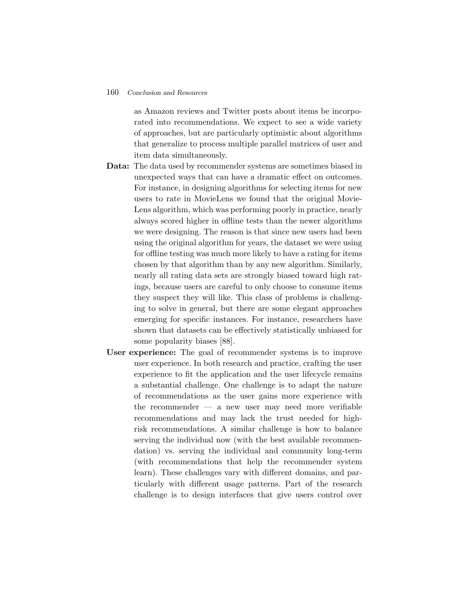### 160 *Conclusion and Resources*

as Amazon reviews and Twitter posts about items be incorporated into recommendations. We expect to see a wide variety of approaches, but are particularly optimistic about algorithms that generalize to process multiple parallel matrices of user and item data simultaneously.

- **Data:** The data used by recommender systems are sometimes biased in unexpected ways that can have a dramatic effect on outcomes. For instance, in designing algorithms for selecting items for new users to rate in MovieLens we found that the original Movie-Lens algorithm, which was performing poorly in practice, nearly always scored higher in offline tests than the newer algorithms we were designing. The reason is that since new users had been using the original algorithm for years, the dataset we were using for offline testing was much more likely to have a rating for items chosen by that algorithm than by any new algorithm. Similarly, nearly all rating data sets are strongly biased toward high ratings, because users are careful to only choose to consume items they suspect they will like. This class of problems is challenging to solve in general, but there are some elegant approaches emerging for specific instances. For instance, researchers have shown that datasets can be effectively statistically unbiased for some popularity biases [88].
- **User experience:** The goal of recommender systems is to improve user experience. In both research and practice, crafting the user experience to fit the application and the user lifecycle remains a substantial challenge. One challenge is to adapt the nature of recommendations as the user gains more experience with the recommender  $-$  a new user may need more verifiable recommendations and may lack the trust needed for highrisk recommendations. A similar challenge is how to balance serving the individual now (with the best available recommendation) vs. serving the individual and community long-term (with recommendations that help the recommender system learn). These challenges vary with different domains, and particularly with different usage patterns. Part of the research challenge is to design interfaces that give users control over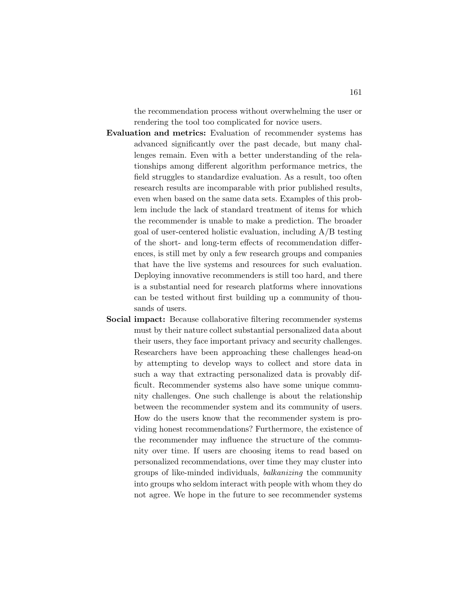the recommendation process without overwhelming the user or rendering the tool too complicated for novice users.

- **Evaluation and metrics:** Evaluation of recommender systems has advanced significantly over the past decade, but many challenges remain. Even with a better understanding of the relationships among different algorithm performance metrics, the field struggles to standardize evaluation. As a result, too often research results are incomparable with prior published results, even when based on the same data sets. Examples of this problem include the lack of standard treatment of items for which the recommender is unable to make a prediction. The broader goal of user-centered holistic evaluation, including A/B testing of the short- and long-term effects of recommendation differences, is still met by only a few research groups and companies that have the live systems and resources for such evaluation. Deploying innovative recommenders is still too hard, and there is a substantial need for research platforms where innovations can be tested without first building up a community of thousands of users.
- **Social impact:** Because collaborative filtering recommender systems must by their nature collect substantial personalized data about their users, they face important privacy and security challenges. Researchers have been approaching these challenges head-on by attempting to develop ways to collect and store data in such a way that extracting personalized data is provably difficult. Recommender systems also have some unique community challenges. One such challenge is about the relationship between the recommender system and its community of users. How do the users know that the recommender system is providing honest recommendations? Furthermore, the existence of the recommender may influence the structure of the community over time. If users are choosing items to read based on personalized recommendations, over time they may cluster into groups of like-minded individuals, *balkanizing* the community into groups who seldom interact with people with whom they do not agree. We hope in the future to see recommender systems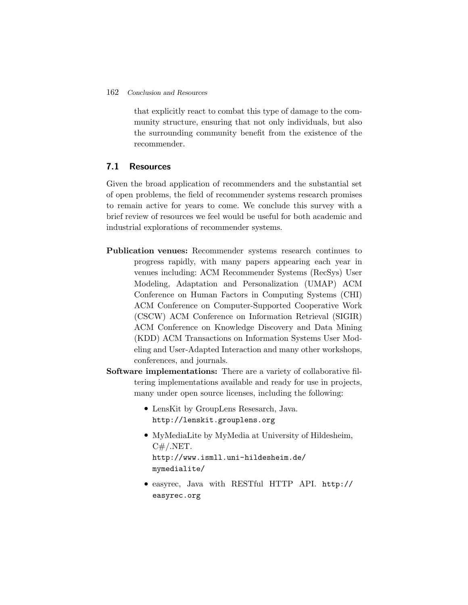### 162 *Conclusion and Resources*

that explicitly react to combat this type of damage to the community structure, ensuring that not only individuals, but also the surrounding community benefit from the existence of the recommender.

# **7.1 Resources**

Given the broad application of recommenders and the substantial set of open problems, the field of recommender systems research promises to remain active for years to come. We conclude this survey with a brief review of resources we feel would be useful for both academic and industrial explorations of recommender systems.

- **Publication venues:** Recommender systems research continues to progress rapidly, with many papers appearing each year in venues including: ACM Recommender Systems (RecSys) User Modeling, Adaptation and Personalization (UMAP) ACM Conference on Human Factors in Computing Systems (CHI) ACM Conference on Computer-Supported Cooperative Work (CSCW) ACM Conference on Information Retrieval (SIGIR) ACM Conference on Knowledge Discovery and Data Mining (KDD) ACM Transactions on Information Systems User Modeling and User-Adapted Interaction and many other workshops, conferences, and journals.
- **Software implementations:** There are a variety of collaborative filtering implementations available and ready for use in projects, many under open source licenses, including the following:
	- LensKit by GroupLens Resesarch, Java. http://lenskit.grouplens.org
	- MyMediaLite by MyMedia at University of Hildesheim,  $C#/$ .NET. http://www.ismll.uni-hildesheim.de/ mymedialite/
	- easyrec, Java with RESTful HTTP API. http:// easyrec.org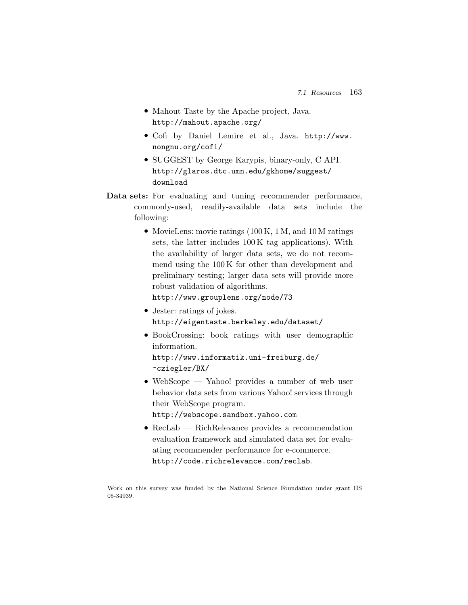- Mahout Taste by the Apache project, Java. http://mahout.apache.org/
- Cofi by Daniel Lemire et al., Java. http://www. nongnu.org/cofi/
- SUGGEST by George Karypis, binary-only, C API. http://glaros.dtc.umn.edu/gkhome/suggest/ download
- **Data sets:** For evaluating and tuning recommender performance, commonly-used, readily-available data sets include the following:
	- MovieLens: movie ratings  $(100 \text{ K}, 1 \text{ M}, \text{ and } 10 \text{ M} \text{ ratings})$ sets, the latter includes 100 K tag applications). With the availability of larger data sets, we do not recommend using the 100 K for other than development and preliminary testing; larger data sets will provide more robust validation of algorithms.

http://www.grouplens.org/node/73

- Jester: ratings of jokes. http://eigentaste.berkeley.edu/dataset/
- BookCrossing: book ratings with user demographic information.

```
http://www.informatik.uni-freiburg.de/
˜cziegler/BX/
```
• WebScope — Yahoo! provides a number of web user behavior data sets from various Yahoo! services through their WebScope program.

http://webscope.sandbox.yahoo.com

• RecLab — RichRelevance provides a recommendation evaluation framework and simulated data set for evaluating recommender performance for e-commerce. http://code.richrelevance.com/reclab.

Work on this survey was funded by the National Science Foundation under grant IIS 05-34939.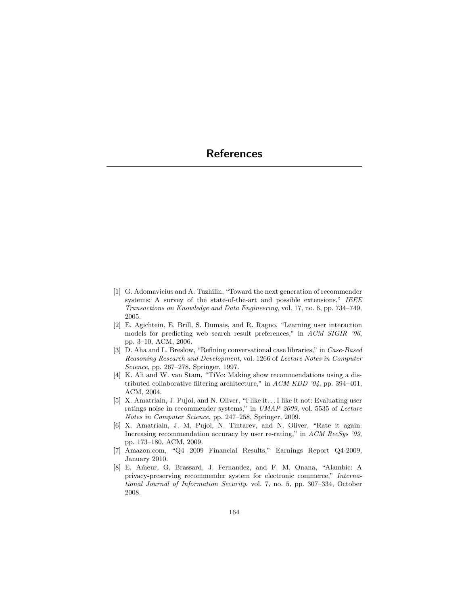- [1] G. Adomavicius and A. Tuzhilin, "Toward the next generation of recommender systems: A survey of the state-of-the-art and possible extensions," IEEE Transactions on Knowledge and Data Engineering, vol. 17, no. 6, pp. 734–749, 2005.
- [2] E. Agichtein, E. Brill, S. Dumais, and R. Ragno, "Learning user interaction models for predicting web search result preferences," in ACM SIGIR '06, pp. 3–10, ACM, 2006.
- [3] D. Aha and L. Breslow, "Refining conversational case libraries," in Case-Based Reasoning Research and Development, vol. 1266 of Lecture Notes in Computer Science, pp. 267–278, Springer, 1997.
- [4] K. Ali and W. van Stam, "TiVo: Making show recommendations using a distributed collaborative filtering architecture," in ACM KDD '04, pp. 394–401, ACM, 2004.
- [5] X. Amatriain, J. Pujol, and N. Oliver, "I like it. . . I like it not: Evaluating user ratings noise in recommender systems," in UMAP 2009, vol. 5535 of Lecture Notes in Computer Science, pp. 247–258, Springer, 2009.
- [6] X. Amatriain, J. M. Pujol, N. Tintarev, and N. Oliver, "Rate it again: Increasing recommendation accuracy by user re-rating," in ACM RecSys '09, pp. 173–180, ACM, 2009.
- [7] Amazon.com, "Q4 2009 Financial Results," Earnings Report Q4-2009, January 2010.
- [8] E. Ameur, G. Brassard, J. Fernandez, and F. M. Onana, "Alambic: A privacy-preserving recommender system for electronic commerce," International Journal of Information Security, vol. 7, no. 5, pp. 307–334, October 2008.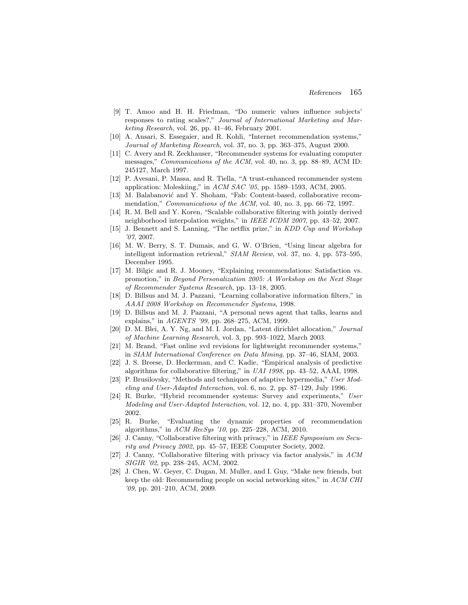- [9] T. Amoo and H. H. Friedman, "Do numeric values influence subjects' responses to rating scales?," Journal of International Marketing and Marketing Research, vol. 26, pp. 41–46, February 2001.
- [10] A. Ansari, S. Essegaier, and R. Kohli, "Internet recommendation systems," Journal of Marketing Research, vol. 37, no. 3, pp. 363–375, August 2000.
- [11] C. Avery and R. Zeckhauser, "Recommender systems for evaluating computer messages," Communications of the ACM, vol. 40, no. 3, pp. 88–89, ACM ID: 245127, March 1997.
- [12] P. Avesani, P. Massa, and R. Tiella, "A trust-enhanced recommender system application: Moleskiing," in ACM SAC '05, pp. 1589–1593, ACM, 2005.
- [13] M. Balabanović and Y. Shoham, "Fab: Content-based, collaborative recommendation," Communications of the ACM, vol. 40, no. 3, pp. 66–72, 1997.
- [14] R. M. Bell and Y. Koren, "Scalable collaborative filtering with jointly derived neighborhood interpolation weights," in IEEE ICDM 2007, pp. 43–52, 2007.
- [15] J. Bennett and S. Lanning, "The netflix prize," in KDD Cup and Workshop '07, 2007.
- [16] M. W. Berry, S. T. Dumais, and G. W. O'Brien, "Using linear algebra for intelligent information retrieval," SIAM Review, vol. 37, no. 4, pp. 573–595, December 1995.
- [17] M. Bilgic and R. J. Mooney, "Explaining recommendations: Satisfaction vs. promotion," in Beyond Personalization 2005: A Workshop on the Next Stage of Recommender Systems Research, pp. 13–18, 2005.
- [18] D. Billsus and M. J. Pazzani, "Learning collaborative information filters," in AAAI 2008 Workshop on Recommender Systems, 1998.
- [19] D. Billsus and M. J. Pazzani, "A personal news agent that talks, learns and explains," in AGENTS '99, pp. 268–275, ACM, 1999.
- [20] D. M. Blei, A. Y. Ng, and M. I. Jordan, "Latent dirichlet allocation," Journal of Machine Learning Research, vol. 3, pp. 993–1022, March 2003.
- [21] M. Brand, "Fast online svd revisions for lightweight recommender systems," in SIAM International Conference on Data Mining, pp. 37–46, SIAM, 2003.
- [22] J. S. Breese, D. Heckerman, and C. Kadie, "Empirical analysis of predictive algorithms for collaborative filtering," in UAI 1998, pp. 43–52, AAAI, 1998.
- [23] P. Brusilovsky, "Methods and techniques of adaptive hypermedia," User Modeling and User-Adapted Interaction, vol. 6, no. 2, pp. 87–129, July 1996.
- [24] R. Burke, "Hybrid recommender systems: Survey and experiments," User Modeling and User-Adapted Interaction, vol. 12, no. 4, pp. 331–370, November 2002.
- [25] R. Burke, "Evaluating the dynamic properties of recommendation algorithms," in ACM RecSys '10, pp. 225–228, ACM, 2010.
- [26] J. Canny, "Collaborative filtering with privacy," in IEEE Symposium on Security and Privacy 2002, pp. 45–57, IEEE Computer Society, 2002.
- [27] J. Canny, "Collaborative filtering with privacy via factor analysis," in ACM SIGIR '02, pp. 238–245, ACM, 2002.
- [28] J. Chen, W. Geyer, C. Dugan, M. Muller, and I. Guy, "Make new friends, but keep the old: Recommending people on social networking sites," in ACM CHI '09, pp. 201–210, ACM, 2009.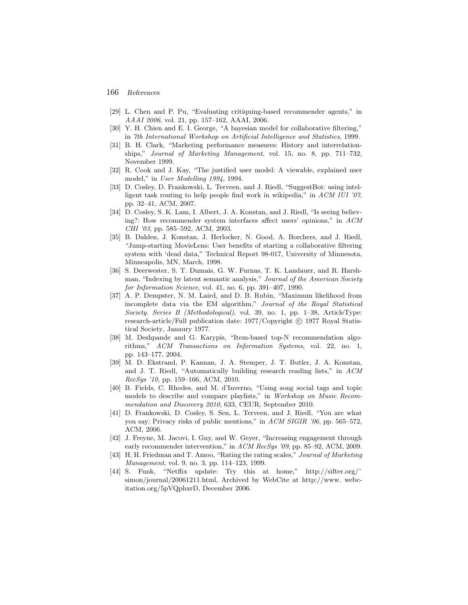- [29] L. Chen and P. Pu, "Evaluating critiquing-based recommender agents," in AAAI 2006, vol. 21, pp. 157–162, AAAI, 2006.
- [30] Y. H. Chien and E. I. George, "A bayesian model for collaborative filtering," in 7th International Workshop on Artificial Intelligence and Statistics, 1999.
- [31] B. H. Clark, "Marketing performance measures: History and interrelationships," Journal of Marketing Management, vol. 15, no. 8, pp. 711–732, November 1999.
- [32] R. Cook and J. Kay, "The justified user model: A viewable, explained user model," in User Modelling 1994, 1994.
- [33] D. Cosley, D. Frankowski, L. Terveen, and J. Riedl, "SuggestBot: using intelligent task routing to help people find work in wikipedia," in ACM IUI '07, pp. 32–41, ACM, 2007.
- [34] D. Cosley, S. K. Lam, I. Albert, J. A. Konstan, and J. Riedl, "Is seeing believing?: How recommender system interfaces affect users' opinions," in ACM CHI '03, pp. 585-592, ACM, 2003.
- [35] B. Dahlen, J. Konstan, J. Herlocker, N. Good, A. Borchers, and J. Riedl, "Jump-starting MovieLens: User benefits of starting a collaborative filtering system with 'dead data," Technical Report 98-017, University of Minnesota, Minneapolis, MN, March, 1998.
- [36] S. Deerwester, S. T. Dumais, G. W. Furnas, T. K. Landauer, and R. Harshman, "Indexing by latent semantic analysis," Journal of the American Society for Information Science, vol. 41, no. 6, pp. 391–407, 1990.
- [37] A. P. Dempster, N. M. Laird, and D. B. Rubin, "Maximum likelihood from incomplete data via the EM algorithm," Journal of the Royal Statistical Society. Series B (Methodological), vol. 39, no. 1, pp. 1–38, ArticleType: research-article/Full publication date:  $1977$ /Copyright (c) 1977 Royal Statistical Society, Janaury 1977.
- [38] M. Deshpande and G. Karypis, "Item-based top-N recommendation algorithms," ACM Transactions on Information Systems, vol. 22, no. 1, pp. 143–177, 2004.
- [39] M. D. Ekstrand, P. Kannan, J. A. Stemper, J. T. Butler, J. A. Konstan, and J. T. Riedl, "Automatically building research reading lists," in ACM RecSys '10, pp. 159–166, ACM, 2010.
- [40] B. Fields, C. Rhodes, and M. d'Inverno, "Using song social tags and topic models to describe and compare playlists," in Workshop on Music Recommendation and Discovery 2010, 633, CEUR, September 2010.
- [41] D. Frankowski, D. Cosley, S. Sen, L. Terveen, and J. Riedl, "You are what you say: Privacy risks of public mentions," in ACM SIGIR '06, pp. 565–572, ACM, 2006.
- [42] J. Freyne, M. Jacovi, I. Guy, and W. Geyer, "Increasing engagement through early recommender intervention," in ACM RecSys '09, pp. 85-92, ACM, 2009.
- [43] H. H. Friedman and T. Amoo, "Rating the rating scales," Journal of Marketing Management, vol. 9, no. 3, pp. 114–123, 1999.
- [44] S. Funk, "Netflix update: Try this at home," http://sifter.org/˜ simon/journal/20061211.html, Archived by WebCite at http://www. webcitation.org/5pVQphxrD, December 2006.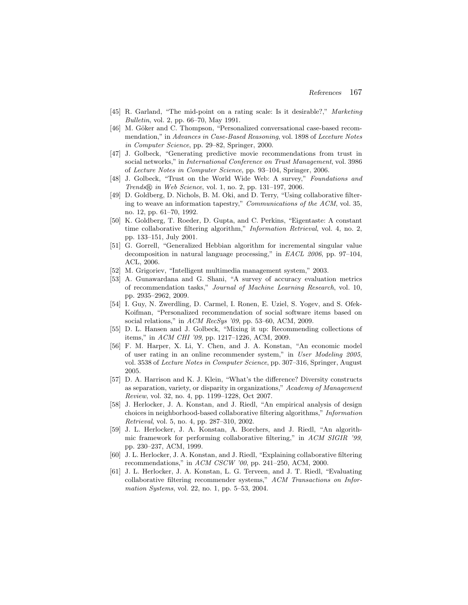- [45] R. Garland, "The mid-point on a rating scale: Is it desirable?," Marketing Bulletin, vol. 2, pp. 66–70, May 1991.
- [46] M. Göker and C. Thompson, "Personalized conversational case-based recommendation," in Advances in Case-Based Reasoning, vol. 1898 of Leceture Notes in Computer Science, pp. 29–82, Springer, 2000.
- [47] J. Golbeck, "Generating predictive movie recommendations from trust in social networks," in *International Conference on Trust Management*, vol. 3986 of Lecture Notes in Computer Science, pp. 93–104, Springer, 2006.
- [48] J. Golbeck, "Trust on the World Wide Web: A survey," Foundations and Trends $\mathbb R$  in Web Science, vol. 1, no. 2, pp. 131–197, 2006.
- [49] D. Goldberg, D. Nichols, B. M. Oki, and D. Terry, "Using collaborative filtering to weave an information tapestry," Communications of the ACM, vol. 35, no. 12, pp. 61–70, 1992.
- [50] K. Goldberg, T. Roeder, D. Gupta, and C. Perkins, "Eigentaste: A constant time collaborative filtering algorithm," Information Retrieval, vol. 4, no. 2, pp. 133–151, July 2001.
- [51] G. Gorrell, "Generalized Hebbian algorithm for incremental singular value decomposition in natural language processing," in EACL 2006, pp. 97–104, ACL, 2006.
- [52] M. Grigoriev, "Intelligent multimedia management system," 2003.
- [53] A. Gunawardana and G. Shani, "A survey of accuracy evaluation metrics of recommendation tasks," Journal of Machine Learning Research, vol. 10, pp. 2935–2962, 2009.
- [54] I. Guy, N. Zwerdling, D. Carmel, I. Ronen, E. Uziel, S. Yogev, and S. Ofek-Koifman, "Personalized recommendation of social software items based on social relations," in ACM RecSys '09, pp. 53–60, ACM, 2009.
- [55] D. L. Hansen and J. Golbeck, "Mixing it up: Recommending collections of items," in ACM CHI '09, pp. 1217–1226, ACM, 2009.
- [56] F. M. Harper, X. Li, Y. Chen, and J. A. Konstan, "An economic model of user rating in an online recommender system," in User Modeling 2005, vol. 3538 of Lecture Notes in Computer Science, pp. 307–316, Springer, August 2005.
- [57] D. A. Harrison and K. J. Klein, "What's the difference? Diversity constructs as separation, variety, or disparity in organizations," Academy of Management Review, vol. 32, no. 4, pp. 1199–1228, Oct 2007.
- [58] J. Herlocker, J. A. Konstan, and J. Riedl, "An empirical analysis of design choices in neighborhood-based collaborative filtering algorithms," Information Retrieval, vol. 5, no. 4, pp. 287–310, 2002.
- [59] J. L. Herlocker, J. A. Konstan, A. Borchers, and J. Riedl, "An algorithmic framework for performing collaborative filtering," in ACM SIGIR '99, pp. 230–237, ACM, 1999.
- [60] J. L. Herlocker, J. A. Konstan, and J. Riedl, "Explaining collaborative filtering recommendations," in ACM CSCW '00, pp. 241–250, ACM, 2000.
- [61] J. L. Herlocker, J. A. Konstan, L. G. Terveen, and J. T. Riedl, "Evaluating collaborative filtering recommender systems," ACM Transactions on Information Systems, vol. 22, no. 1, pp. 5–53, 2004.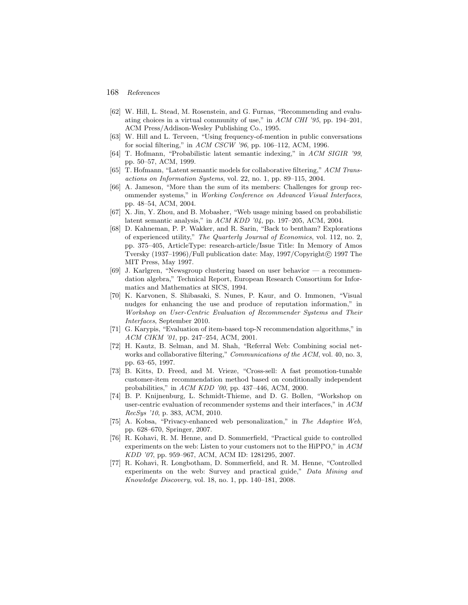- [62] W. Hill, L. Stead, M. Rosenstein, and G. Furnas, "Recommending and evaluating choices in a virtual community of use," in ACM CHI '95, pp. 194–201, ACM Press/Addison-Wesley Publishing Co., 1995.
- [63] W. Hill and L. Terveen, "Using frequency-of-mention in public conversations for social filtering," in ACM CSCW '96, pp. 106–112, ACM, 1996.
- [64] T. Hofmann, "Probabilistic latent semantic indexing," in ACM SIGIR '99, pp. 50–57, ACM, 1999.
- [65] T. Hofmann, "Latent semantic models for collaborative filtering," ACM Transactions on Information Systems, vol. 22, no. 1, pp. 89–115, 2004.
- [66] A. Jameson, "More than the sum of its members: Challenges for group recommender systems," in Working Conference on Advanced Visual Interfaces, pp. 48–54, ACM, 2004.
- [67] X. Jin, Y. Zhou, and B. Mobasher, "Web usage mining based on probabilistic latent semantic analysis," in ACM KDD '04, pp. 197–205, ACM, 2004.
- [68] D. Kahneman, P. P. Wakker, and R. Sarin, "Back to bentham? Explorations of experienced utility," The Quarterly Journal of Economics, vol. 112, no. 2, pp. 375–405, ArticleType: research-article/Issue Title: In Memory of Amos Tversky  $(1937-1996)/$ Full publication date: May,  $1997$ /Copyright $\odot$  1997 The MIT Press, May 1997.
- [69] J. Karlgren, "Newsgroup clustering based on user behavior a recommendation algebra," Technical Report, European Research Consortium for Informatics and Mathematics at SICS, 1994.
- [70] K. Karvonen, S. Shibasaki, S. Nunes, P. Kaur, and O. Immonen, "Visual nudges for enhancing the use and produce of reputation information," in Workshop on User-Centric Evaluation of Recommender Systems and Their Interfaces, September 2010.
- [71] G. Karypis, "Evaluation of item-based top-N recommendation algorithms," in ACM CIKM '01, pp. 247–254, ACM, 2001.
- [72] H. Kautz, B. Selman, and M. Shah, "Referral Web: Combining social networks and collaborative filtering," *Communications of the ACM*, vol. 40, no. 3, pp. 63–65, 1997.
- [73] B. Kitts, D. Freed, and M. Vrieze, "Cross-sell: A fast promotion-tunable customer-item recommendation method based on conditionally independent probabilities," in ACM KDD '00, pp. 437–446, ACM, 2000.
- [74] B. P. Knijnenburg, L. Schmidt-Thieme, and D. G. Bollen, "Workshop on user-centric evaluation of recommender systems and their interfaces," in ACM RecSys '10, p. 383, ACM, 2010.
- [75] A. Kobsa, "Privacy-enhanced web personalization," in The Adaptive Web, pp. 628–670, Springer, 2007.
- [76] R. Kohavi, R. M. Henne, and D. Sommerfield, "Practical guide to controlled experiments on the web: Listen to your customers not to the HiPPO," in ACM KDD '07, pp. 959–967, ACM, ACM ID: 1281295, 2007.
- [77] R. Kohavi, R. Longbotham, D. Sommerfield, and R. M. Henne, "Controlled experiments on the web: Survey and practical guide," Data Mining and Knowledge Discovery, vol. 18, no. 1, pp. 140–181, 2008.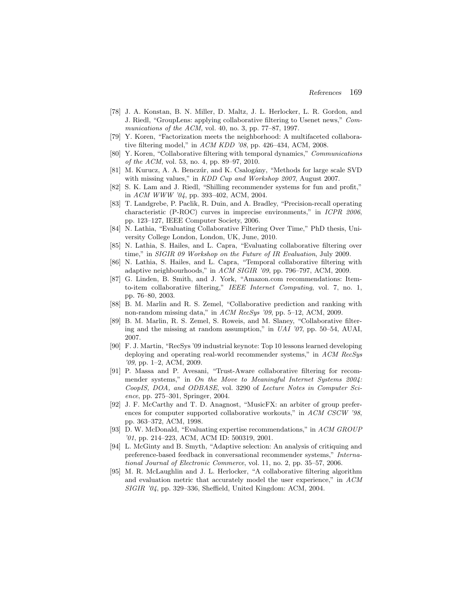- [78] J. A. Konstan, B. N. Miller, D. Maltz, J. L. Herlocker, L. R. Gordon, and J. Riedl, "GroupLens: applying collaborative filtering to Usenet news," Communications of the ACM, vol. 40, no. 3, pp. 77–87, 1997.
- [79] Y. Koren, "Factorization meets the neighborhood: A multifaceted collaborative filtering model," in ACM KDD '08, pp. 426–434, ACM, 2008.
- [80] Y. Koren, "Collaborative filtering with temporal dynamics," Communications of the ACM, vol. 53, no. 4, pp. 89–97, 2010.
- [81] M. Kurucz, A. A. Benczúr, and K. Csalogány, "Methods for large scale SVD with missing values," in *KDD Cup and Workshop 2007*, August 2007.
- [82] S. K. Lam and J. Riedl, "Shilling recommender systems for fun and profit," in ACM WWW '04, pp. 393–402, ACM, 2004.
- [83] T. Landgrebe, P. Paclik, R. Duin, and A. Bradley, "Precision-recall operating characteristic (P-ROC) curves in imprecise environments," in ICPR 2006, pp. 123–127, IEEE Computer Society, 2006.
- [84] N. Lathia, "Evaluating Collaborative Filtering Over Time," PhD thesis, University College London, London, UK, June, 2010.
- [85] N. Lathia, S. Hailes, and L. Capra, "Evaluating collaborative filtering over time," in SIGIR 09 Workshop on the Future of IR Evaluation, July 2009.
- [86] N. Lathia, S. Hailes, and L. Capra, "Temporal collaborative filtering with adaptive neighbourhoods," in ACM SIGIR '09, pp. 796–797, ACM, 2009.
- [87] G. Linden, B. Smith, and J. York, "Amazon.com recommendations: Itemto-item collaborative filtering," IEEE Internet Computing, vol. 7, no. 1, pp. 76–80, 2003.
- [88] B. M. Marlin and R. S. Zemel, "Collaborative prediction and ranking with non-random missing data," in ACM RecSys '09, pp. 5–12, ACM, 2009.
- [89] B. M. Marlin, R. S. Zemel, S. Roweis, and M. Slaney, "Collaborative filtering and the missing at random assumption," in UAI '07, pp. 50–54, AUAI, 2007.
- [90] F. J. Martin, "RecSys '09 industrial keynote: Top 10 lessons learned developing deploying and operating real-world recommender systems," in ACM RecSus '09, pp. 1–2, ACM, 2009.
- [91] P. Massa and P. Avesani, "Trust-Aware collaborative filtering for recommender systems," in On the Move to Meaningful Internet Systems 2004: CoopIS, DOA, and ODBASE, vol. 3290 of Lecture Notes in Computer Science, pp. 275–301, Springer, 2004.
- [92] J. F. McCarthy and T. D. Anagnost, "MusicFX: an arbiter of group preferences for computer supported collaborative workouts," in ACM CSCW '98, pp. 363–372, ACM, 1998.
- [93] D. W. McDonald, "Evaluating expertise recommendations," in ACM GROUP '01, pp. 214–223, ACM, ACM ID: 500319, 2001.
- [94] L. McGinty and B. Smyth, "Adaptive selection: An analysis of critiquing and preference-based feedback in conversational recommender systems," International Journal of Electronic Commerce, vol. 11, no. 2, pp. 35–57, 2006.
- [95] M. R. McLaughlin and J. L. Herlocker, "A collaborative filtering algorithm and evaluation metric that accurately model the user experience," in ACM SIGIR '04, pp. 329–336, Sheffield, United Kingdom: ACM, 2004.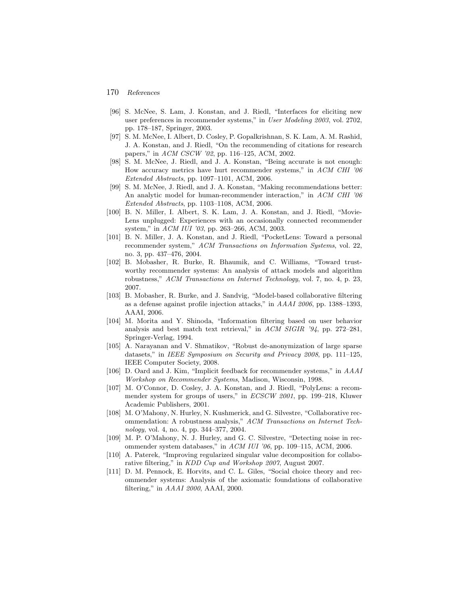- [96] S. McNee, S. Lam, J. Konstan, and J. Riedl, "Interfaces for eliciting new user preferences in recommender systems," in User Modeling 2003, vol. 2702, pp. 178–187, Springer, 2003.
- [97] S. M. McNee, I. Albert, D. Cosley, P. Gopalkrishnan, S. K. Lam, A. M. Rashid, J. A. Konstan, and J. Riedl, "On the recommending of citations for research papers," in ACM CSCW '02, pp. 116–125, ACM, 2002.
- [98] S. M. McNee, J. Riedl, and J. A. Konstan, "Being accurate is not enough: How accuracy metrics have hurt recommender systems," in ACM CHI '06 Extended Abstracts, pp. 1097–1101, ACM, 2006.
- [99] S. M. McNee, J. Riedl, and J. A. Konstan, "Making recommendations better: An analytic model for human-recommender interaction," in ACM CHI '06 Extended Abstracts, pp. 1103–1108, ACM, 2006.
- [100] B. N. Miller, I. Albert, S. K. Lam, J. A. Konstan, and J. Riedl, "Movie-Lens unplugged: Experiences with an occasionally connected recommender system," in ACM IUI '03, pp. 263–266, ACM, 2003.
- [101] B. N. Miller, J. A. Konstan, and J. Riedl, "PocketLens: Toward a personal recommender system," ACM Transactions on Information Systems, vol. 22, no. 3, pp. 437–476, 2004.
- [102] B. Mobasher, R. Burke, R. Bhaumik, and C. Williams, "Toward trustworthy recommender systems: An analysis of attack models and algorithm robustness," ACM Transactions on Internet Technology, vol. 7, no. 4, p. 23, 2007.
- [103] B. Mobasher, R. Burke, and J. Sandvig, "Model-based collaborative filtering as a defense against profile injection attacks," in AAAI 2006, pp. 1388–1393, AAAI, 2006.
- [104] M. Morita and Y. Shinoda, "Information filtering based on user behavior analysis and best match text retrieval," in ACM SIGIR '94, pp. 272–281, Springer-Verlag, 1994.
- [105] A. Narayanan and V. Shmatikov, "Robust de-anonymization of large sparse datasets," in IEEE Symposium on Security and Privacy 2008, pp. 111–125, IEEE Computer Society, 2008.
- [106] D. Oard and J. Kim, "Implicit feedback for recommender systems," in AAAI Workshop on Recommender Systems, Madison, Wisconsin, 1998.
- [107] M. O'Connor, D. Cosley, J. A. Konstan, and J. Riedl, "PolyLens: a recommender system for groups of users," in *ECSCW 2001*, pp. 199–218, Kluwer Academic Publishers, 2001.
- [108] M. O'Mahony, N. Hurley, N. Kushmerick, and G. Silvestre, "Collaborative recommendation: A robustness analysis," ACM Transactions on Internet Technology, vol. 4, no. 4, pp. 344–377, 2004.
- [109] M. P. O'Mahony, N. J. Hurley, and G. C. Silvestre, "Detecting noise in recommender system databases," in ACM IUI '06, pp. 109–115, ACM, 2006.
- [110] A. Paterek, "Improving regularized singular value decomposition for collaborative filtering," in KDD Cup and Workshop 2007, August 2007.
- [111] D. M. Pennock, E. Horvits, and C. L. Giles, "Social choice theory and recommender systems: Analysis of the axiomatic foundations of collaborative filtering," in AAAI 2000, AAAI, 2000.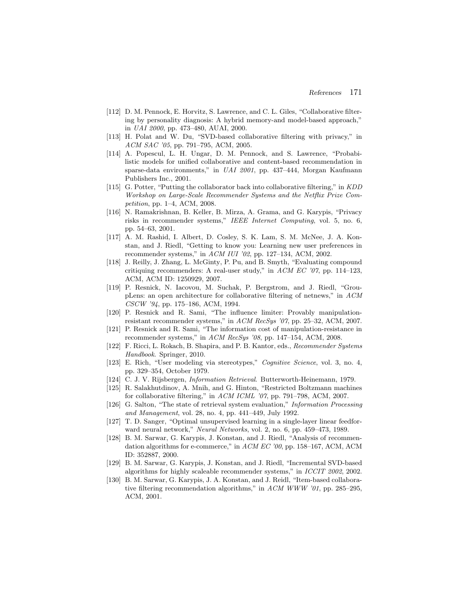- [112] D. M. Pennock, E. Horvitz, S. Lawrence, and C. L. Giles, "Collaborative filtering by personality diagnosis: A hybrid memory-and model-based approach," in UAI 2000, pp. 473–480, AUAI, 2000.
- [113] H. Polat and W. Du, "SVD-based collaborative filtering with privacy," in ACM SAC '05, pp. 791–795, ACM, 2005.
- [114] A. Popescul, L. H. Ungar, D. M. Pennock, and S. Lawrence, "Probabilistic models for unified collaborative and content-based recommendation in sparse-data environments," in UAI 2001, pp. 437–444, Morgan Kaufmann Publishers Inc., 2001.
- [115] G. Potter, "Putting the collaborator back into collaborative filtering," in KDD Workshop on Large-Scale Recommender Systems and the Netflix Prize Competition, pp. 1–4, ACM, 2008.
- [116] N. Ramakrishnan, B. Keller, B. Mirza, A. Grama, and G. Karypis, "Privacy risks in recommender systems," IEEE Internet Computing, vol. 5, no. 6, pp. 54–63, 2001.
- [117] A. M. Rashid, I. Albert, D. Cosley, S. K. Lam, S. M. McNee, J. A. Konstan, and J. Riedl, "Getting to know you: Learning new user preferences in recommender systems," in ACM IUI '02, pp. 127–134, ACM, 2002.
- [118] J. Reilly, J. Zhang, L. McGinty, P. Pu, and B. Smyth, "Evaluating compound critiquing recommenders: A real-user study," in  $ACM$  EC '07, pp. 114–123, ACM, ACM ID: 1250929, 2007.
- [119] P. Resnick, N. Iacovou, M. Suchak, P. Bergstrom, and J. Riedl, "GroupLens: an open architecture for collaborative filtering of netnews," in ACM CSCW '94, pp. 175–186, ACM, 1994.
- [120] P. Resnick and R. Sami, "The influence limiter: Provably manipulationresistant recommender systems," in ACM RecSys '07, pp. 25–32, ACM, 2007.
- [121] P. Resnick and R. Sami, "The information cost of manipulation-resistance in recommender systems," in ACM RecSys '08, pp. 147–154, ACM, 2008.
- [122] F. Ricci, L. Rokach, B. Shapira, and P. B. Kantor, eds., Recommender Systems Handbook. Springer, 2010.
- [123] E. Rich, "User modeling via stereotypes," Cognitive Science, vol. 3, no. 4, pp. 329–354, October 1979.
- [124] C. J. V. Rijsbergen, Information Retrieval. Butterworth-Heinemann, 1979.
- [125] R. Salakhutdinov, A. Mnih, and G. Hinton, "Restricted Boltzmann machines for collaborative filtering," in ACM ICML '07, pp. 791–798, ACM, 2007.
- [126] G. Salton, "The state of retrieval system evaluation," Information Processing and Management, vol. 28, no. 4, pp. 441–449, July 1992.
- [127] T. D. Sanger, "Optimal unsupervised learning in a single-layer linear feedforward neural network," Neural Networks, vol. 2, no. 6, pp. 459–473, 1989.
- [128] B. M. Sarwar, G. Karypis, J. Konstan, and J. Riedl, "Analysis of recommendation algorithms for e-commerce," in ACM EC '00, pp. 158-167, ACM, ACM ID: 352887, 2000.
- [129] B. M. Sarwar, G. Karypis, J. Konstan, and J. Riedl, "Incremental SVD-based algorithms for highly scaleable recommender systems," in ICCIT 2002, 2002.
- [130] B. M. Sarwar, G. Karypis, J. A. Konstan, and J. Reidl, "Item-based collaborative filtering recommendation algorithms," in ACM WWW '01, pp. 285–295, ACM, 2001.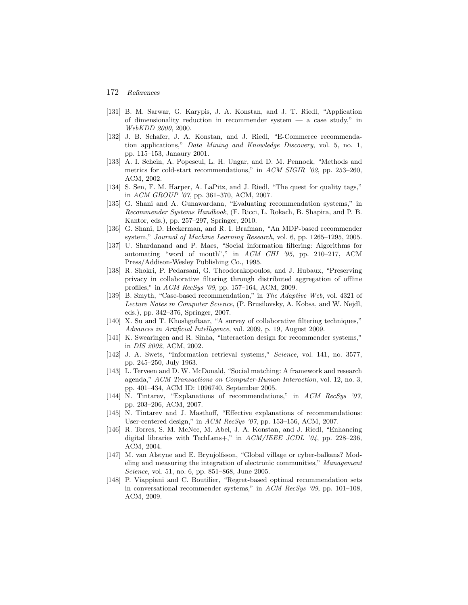- [131] B. M. Sarwar, G. Karypis, J. A. Konstan, and J. T. Riedl, "Application of dimensionality reduction in recommender system  $-$  a case study," in WebKDD 2000, 2000.
- [132] J. B. Schafer, J. A. Konstan, and J. Riedl, "E-Commerce recommendation applications," Data Mining and Knowledge Discovery, vol. 5, no. 1, pp. 115–153, Janaury 2001.
- [133] A. I. Schein, A. Popescul, L. H. Ungar, and D. M. Pennock, "Methods and metrics for cold-start recommendations," in ACM SIGIR '02, pp. 253-260, ACM, 2002.
- [134] S. Sen, F. M. Harper, A. LaPitz, and J. Riedl, "The quest for quality tags," in ACM GROUP '07, pp. 361–370, ACM, 2007.
- [135] G. Shani and A. Gunawardana, "Evaluating recommendation systems," in Recommender Systems Handbook, (F. Ricci, L. Rokach, B. Shapira, and P. B. Kantor, eds.), pp. 257–297, Springer, 2010.
- [136] G. Shani, D. Heckerman, and R. I. Brafman, "An MDP-based recommender system," Journal of Machine Learning Research, vol. 6, pp. 1265–1295, 2005.
- [137] U. Shardanand and P. Maes, "Social information filtering: Algorithms for automating "word of mouth"," in ACM CHI '95, pp. 210–217, ACM Press/Addison-Wesley Publishing Co., 1995.
- [138] R. Shokri, P. Pedarsani, G. Theodorakopoulos, and J. Hubaux, "Preserving privacy in collaborative filtering through distributed aggregation of offline profiles," in ACM RecSys '09, pp. 157–164, ACM, 2009.
- [139] B. Smyth, "Case-based recommendation," in The Adaptive Web, vol. 4321 of Lecture Notes in Computer Science, (P. Brusilovsky, A. Kobsa, and W. Nejdl, eds.), pp. 342–376, Springer, 2007.
- [140] X. Su and T. Khoshgoftaar, "A survey of collaborative filtering techniques," Advances in Artificial Intelligence, vol. 2009, p. 19, August 2009.
- [141] K. Swearingen and R. Sinha, "Interaction design for recommender systems," in DIS 2002, ACM, 2002.
- [142] J. A. Swets, "Information retrieval systems," Science, vol. 141, no. 3577, pp. 245–250, July 1963.
- [143] L. Terveen and D. W. McDonald, "Social matching: A framework and research agenda," ACM Transactions on Computer-Human Interaction, vol. 12, no. 3, pp. 401–434, ACM ID: 1096740, September 2005.
- [144] N. Tintarev, "Explanations of recommendations," in ACM RecSys '07, pp. 203–206, ACM, 2007.
- [145] N. Tintarev and J. Masthoff, "Effective explanations of recommendations: User-centered design," in ACM RecSys '07, pp. 153–156, ACM, 2007.
- [146] R. Torres, S. M. McNee, M. Abel, J. A. Konstan, and J. Riedl, "Enhancing digital libraries with TechLens+," in  $ACM/IEEE\ JCDL$  '04, pp. 228-236, ACM, 2004.
- [147] M. van Alstyne and E. Brynjolfsson, "Global village or cyber-balkans? Modeling and measuring the integration of electronic communities," Management Science, vol. 51, no. 6, pp. 851–868, June 2005.
- [148] P. Viappiani and C. Boutilier, "Regret-based optimal recommendation sets in conversational recommender systems," in ACM RecSys '09, pp. 101–108, ACM, 2009.